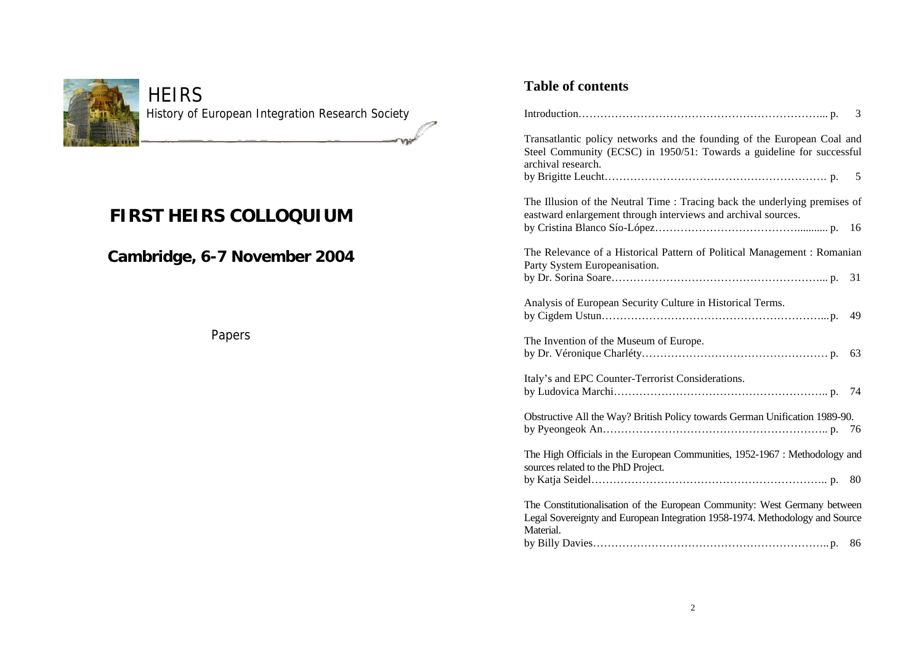

# **HEIRS** History of European Integration Research Society

ำกล

# **FIRST HEIRS COLLOQUIUM**

# **Cambridge, 6-7 November 2004**

Papers

# **Table of contents**

|                                                                                                                                                                        | 3  |  |
|------------------------------------------------------------------------------------------------------------------------------------------------------------------------|----|--|
| Transatlantic policy networks and the founding of the European Coal and<br>Steel Community (ECSC) in 1950/51: Towards a guideline for successful<br>archival research. |    |  |
|                                                                                                                                                                        | 5  |  |
| The Illusion of the Neutral Time: Tracing back the underlying premises of<br>eastward enlargement through interviews and archival sources.                             |    |  |
|                                                                                                                                                                        | 16 |  |
| The Relevance of a Historical Pattern of Political Management : Romanian<br>Party System Europeanisation.                                                              |    |  |
|                                                                                                                                                                        | 31 |  |
| Analysis of European Security Culture in Historical Terms.                                                                                                             | 49 |  |
| The Invention of the Museum of Europe.                                                                                                                                 | 63 |  |
| Italy's and EPC Counter-Terrorist Considerations.                                                                                                                      | 74 |  |
| Obstructive All the Way? British Policy towards German Unification 1989-90.                                                                                            |    |  |
| The High Officials in the European Communities, 1952-1967 : Methodology and<br>sources related to the PhD Project.                                                     |    |  |
|                                                                                                                                                                        | 80 |  |
| The Constitutionalisation of the European Community: West Germany between<br>Legal Sovereignty and European Integration 1958-1974. Methodology and Source              |    |  |
| Material.                                                                                                                                                              | 86 |  |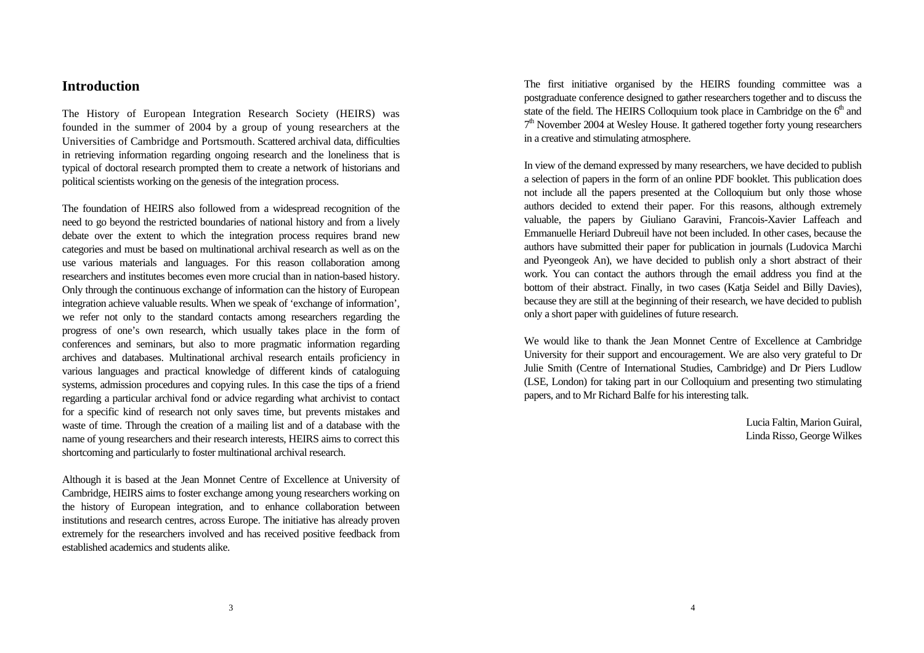# **Introduction**

The History of European Integration Research Society (HEIRS) was founded in the summer of 2004 by a group of young researchers at the Universities of Cambridge and Portsmouth. Scattered archival data, difficulties in retrieving information regarding ongoing research and the loneliness that is typical of doctoral research prompted them to create a network of historians and political scientists working on the genesis of the integration process.

The foundation of HEIRS also followed from a widespread recognition of the need to go beyond the restricted boundaries of national history and from a lively debate over the extent to which the integration process requires brand new categories and must be based on multinational archival research as well as on the use various materials and languages. For this reason collaboration among researchers and institutes becomes even more crucial than in nation-based history. Only through the continuous exchange of information can the history of European integration achieve valuable results. When we speak of 'exchange of information', we refer not only to the standard contacts among researchers regarding the progress of one's own research, which usually takes place in the form of conferences and seminars, but also to more pragmatic information regarding archives and databases. Multinational archival research entails proficiency in various languages and practical knowledge of different kinds of cataloguing systems, admission procedures and copying rules. In this case the tips of a friend regarding a particular archival fond or advice regarding what archivist to contact for a specific kind of research not only saves time, but prevents mistakes and waste of time. Through the creation of a mailing list and of a database with the name of young researchers and their research interests, HEIRS aims to correct this shortcoming and particularly to foster multinational archival research.

Although it is based at the Jean Monnet Centre of Excellence at University of Cambridge, HEIRS aims to foster exchange among young researchers working on the history of European integration, and to enhance collaboration between institutions and research centres, across Europe. The initiative has already proven extremely for the researchers involved and has received positive feedback from established academics and students alike.

The first initiative organised by the HEIRS founding committee was a postgraduate conference designed to gather researchers together and to discuss the state of the field. The HEIRS Colloquium took place in Cambridge on the  $6<sup>th</sup>$  and 7<sup>th</sup> November 2004 at Wesley House. It gathered together forty young researchers in a creative and stimulating atmosphere.

In view of the demand expressed by many researchers, we have decided to publish a selection of papers in the form of an online PDF booklet. This publication does not include all the papers presented at the Colloquium but only those whose authors decided to extend their paper. For this reasons, although extremely valuable, the papers by Giuliano Garavini, Francois-Xavier Laffeach and Emmanuelle Heriard Dubreuil have not been included. In other cases, because the authors have submitted their paper for publication in journals (Ludovica Marchi and Pyeongeok An), we have decided to publish only a short abstract of their work. You can contact the authors through the email address you find at the bottom of their abstract. Finally, in two cases (Katja Seidel and Billy Davies), because they are still at the beginning of their research, we have decided to publish only a short paper with guidelines of future research.

We would like to thank the Jean Monnet Centre of Excellence at Cambridge University for their support and encouragement. We are also very grateful to Dr Julie Smith (Centre of International Studies, Cambridge) and Dr Piers Ludlow (LSE, London) for taking part in our Colloquium and presenting two stimulating papers, and to Mr Richard Balfe for his interesting talk.

> Lucia Faltin, Marion Guiral, Linda Risso, George Wilkes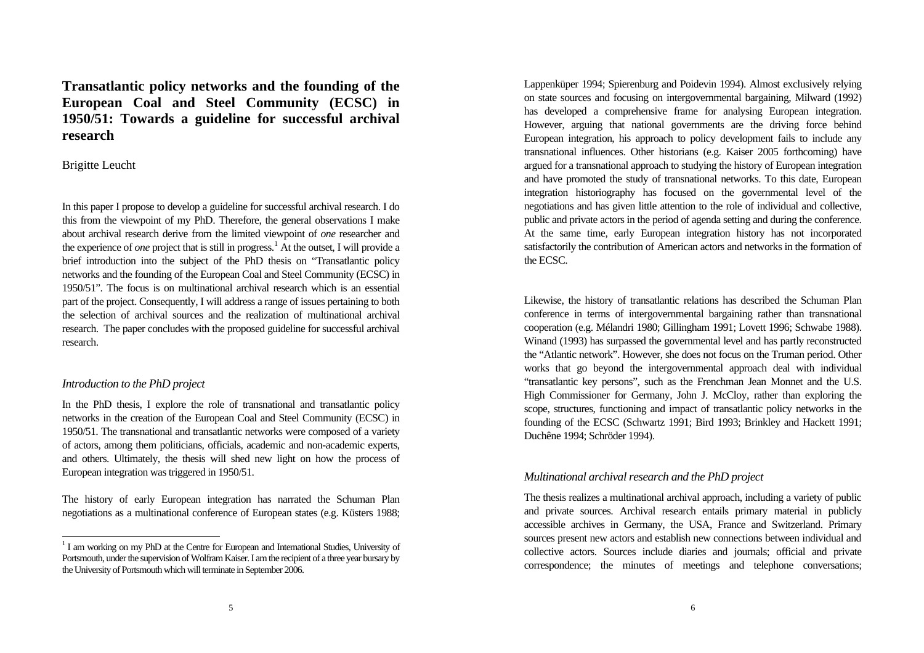**Transatlantic policy networks and the founding of the European Coal and Steel Community (ECSC) in 1950/51: Towards a guideline for successful archival research**

Brigitte Leucht

In this paper I propose to develop a guideline for successful archival research. I do this from the viewpoint of my PhD. Therefore, the general observations I make about archival research derive from the limited viewpoint of *one* researcher and the experience of *one* project that is still in progress.<sup>1</sup> At the outset, I will provide a brief introduction into the subject of the PhD thesis on "Transatlantic policy networks and the founding of the European Coal and Steel Community (ECSC) in 1950/51". The focus is on multinational archival research which is an essential part of the project. Consequently, I will address a range of issues pertaining to both the selection of archival sources and the realization of multinational archival research. The paper concludes with the proposed guideline for successful archival research.

#### *Introduction to the PhD project*

 $\overline{a}$ 

In the PhD thesis, I explore the role of transnational and transatlantic policy networks in the creation of the European Coal and Steel Community (ECSC) in 1950/51. The transnational and transatlantic networks were composed of a variety of actors, among them politicians, officials, academic and non-academic experts, and others. Ultimately, the thesis will shed new light on how the process of European integration was triggered in 1950/51.

The history of early European integration has narrated the Schuman Plan negotiations as a multinational conference of European states (e.g. Küsters 1988; Lappenküper 1994; Spierenburg and Poidevin 1994). Almost exclusively relying on state sources and focusing on intergovernmental bargaining, Milward (1992) has developed a comprehensive frame for analysing European integration. However, arguing that national governments are the driving force behind European integration, his approach to policy development fails to include any transnational influences. Other historians (e.g. Kaiser 2005 forthcoming) have argued for a transnational approach to studying the history of European integration and have promoted the study of transnational networks. To this date, European integration historiography has focused on the governmental level of the negotiations and has given little attention to the role of individual and collective, public and private actors in the period of agenda setting and during the conference. At the same time, early European integration history has not incorporated satisfactorily the contribution of American actors and networks in the formation of the ECSC.

Likewise, the history of transatlantic relations has described the Schuman Plan conference in terms of intergovernmental bargaining rather than transnational cooperation (e.g. Mélandri 1980; Gillingham 1991; Lovett 1996; Schwabe 1988). Winand (1993) has surpassed the governmental level and has partly reconstructed the "Atlantic network". However, she does not focus on the Truman period. Other works that go beyond the intergovernmental approach deal with individual "transatlantic key persons", such as the Frenchman Jean Monnet and the U.S. High Commissioner for Germany, John J. McCloy, rather than exploring the scope, structures, functioning and impact of transatlantic policy networks in the founding of the ECSC (Schwartz 1991; Bird 1993; Brinkley and Hackett 1991; Duchêne 1994; Schröder 1994).

#### *Multinational archival research and the PhD project*

The thesis realizes a multinational archival approach, including a variety of public and private sources. Archival research entails primary material in publicly accessible archives in Germany, the USA, France and Switzerland. Primary sources present new actors and establish new connections between individual and collective actors. Sources include diaries and journals; official and private correspondence; the minutes of meetings and telephone conversations;

<sup>&</sup>lt;sup>1</sup> I am working on my PhD at the Centre for European and International Studies, University of Portsmouth, under the supervision of Wolfram Kaiser. I am the recipient of a three year bursary by the University of Portsmouth which will terminate in September 2006.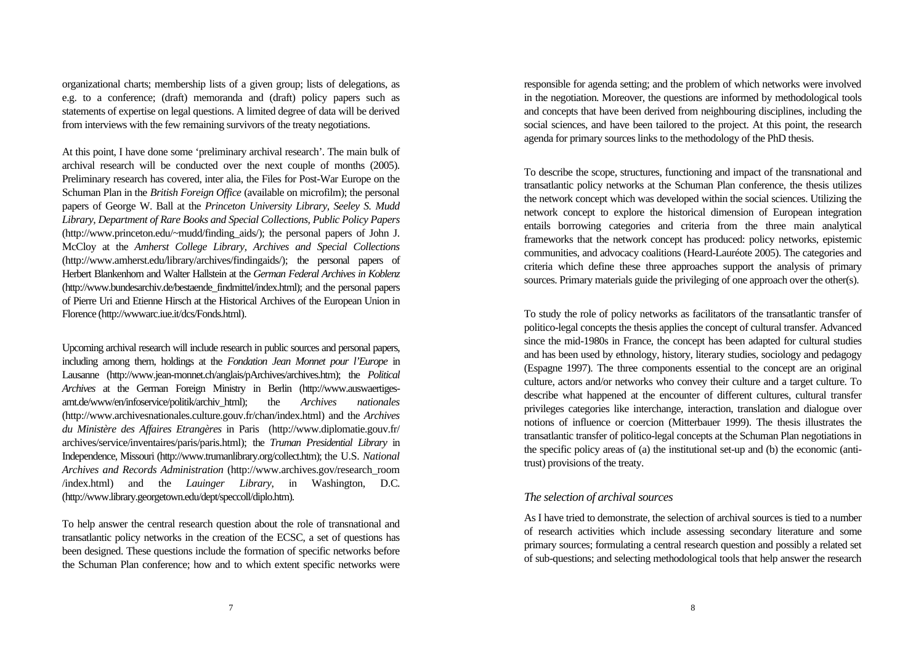organizational charts; membership lists of a given group; lists of delegations, as e.g. to a conference; (draft) memoranda and (draft) policy papers such as statements of expertise on legal questions. A limited degree of data will be derived from interviews with the few remaining survivors of the treaty negotiations.

At this point, I have done some 'preliminary archival research'. The main bulk of archival research will be conducted over the next couple of months (2005). Preliminary research has covered, inter alia, the Files for Post-War Europe on the Schuman Plan in the *British Foreign Office* (available on microfilm); the personal papers of George W. Ball at the *Princeton University Library, Seeley S. Mudd Library, Department of Rare Books and Special Collections, Public Policy Papers* (http://www.princeton.edu/~mudd/finding\_aids/); the personal papers of John J. McCloy at the *Amherst College Library, Archives and Special Collections* (http://www.amherst.edu/library/archives/findingaids/); the personal papers of Herbert Blankenhorn and Walter Hallstein at the *German Federal Archives in Koblenz* (http://www.bundesarchiv.de/bestaende\_findmittel/index.html); and the personal papers of Pierre Uri and Etienne Hirsch at the Historical Archives of the European Union in Florence (http://wwwarc.iue.it/dcs/Fonds.html).

Upcoming archival research will include research in public sources and personal papers, including among them, holdings at the *Fondation Jean Monnet pour l'Europe* in Lausanne (http://www.jean-monnet.ch/anglais/pArchives/archives.htm); the *Political Archives* at the German Foreign Ministry in Berlin (http://www.auswaertigesamt.de/www/en/infoservice/politik/archiv\_html); the *Archives nationales* (http://www.archivesnationales.culture.gouv.fr/chan/index.html) and the *Archives du Ministère des Affaires Etrangères* in Paris (http://www.diplomatie.gouv.fr/ archives/service/inventaires/paris/paris.html); the *Truman Presidential Library* in Independence, Missouri (http://www.trumanlibrary.org/collect.htm); the U.S. *National Archives and Records Administration* (http://www.archives.gov/research\_room /index.html) and the *Lauinger Library*, in Washington, D.C. (http://www.library.georgetown.edu/dept/speccoll/diplo.htm).

To help answer the central research question about the role of transnational and transatlantic policy networks in the creation of the ECSC, a set of questions has been designed. These questions include the formation of specific networks before the Schuman Plan conference; how and to which extent specific networks were

responsible for agenda setting; and the problem of which networks were involved in the negotiation. Moreover, the questions are informed by methodological tools and concepts that have been derived from neighbouring disciplines, including the social sciences, and have been tailored to the project. At this point, the research agenda for primary sources links to the methodology of the PhD thesis.

To describe the scope, structures, functioning and impact of the transnational and transatlantic policy networks at the Schuman Plan conference, the thesis utilizes the network concept which was developed within the social sciences. Utilizing the network concept to explore the historical dimension of European integration entails borrowing categories and criteria from the three main analytical frameworks that the network concept has produced: policy networks, epistemic communities, and advocacy coalitions (Heard-Lauréote 2005). The categories and criteria which define these three approaches support the analysis of primary sources. Primary materials guide the privileging of one approach over the other(s).

To study the role of policy networks as facilitators of the transatlantic transfer of politico-legal concepts the thesis applies the concept of cultural transfer. Advanced since the mid-1980s in France, the concept has been adapted for cultural studies and has been used by ethnology, history, literary studies, sociology and pedagogy (Espagne 1997). The three components essential to the concept are an original culture, actors and/or networks who convey their culture and a target culture. To describe what happened at the encounter of different cultures, cultural transfer privileges categories like interchange, interaction, translation and dialogue over notions of influence or coercion (Mitterbauer 1999). The thesis illustrates the transatlantic transfer of politico-legal concepts at the Schuman Plan negotiations in the specific policy areas of (a) the institutional set-up and (b) the economic (antitrust) provisions of the treaty.

#### *The selection of archival sources*

As I have tried to demonstrate, the selection of archival sources is tied to a number of research activities which include assessing secondary literature and some primary sources; formulating a central research question and possibly a related set of sub-questions; and selecting methodological tools that help answer the research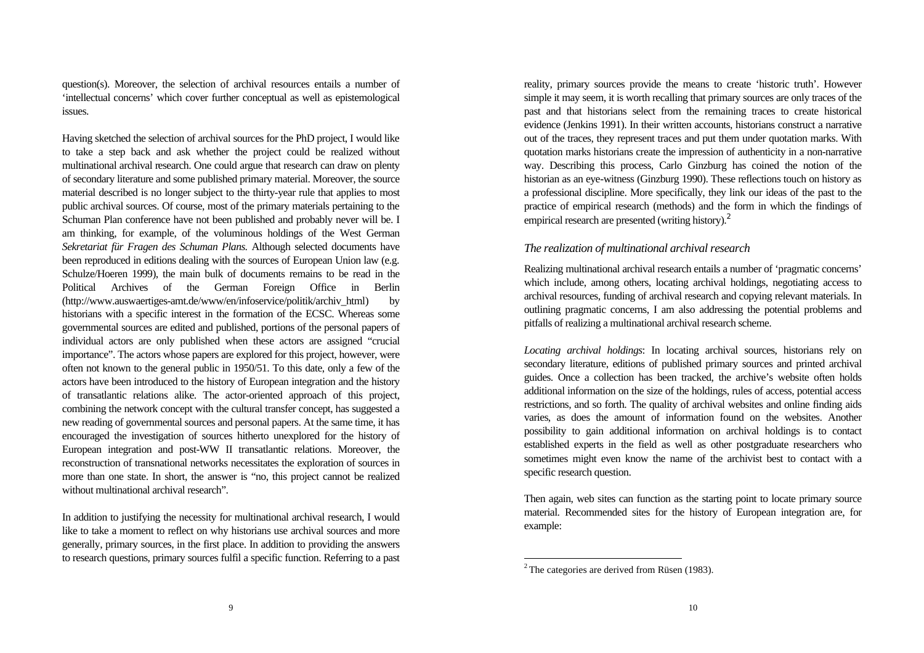question(s). Moreover, the selection of archival resources entails a number of 'intellectual concerns' which cover further conceptual as well as epistemological issues.

Having sketched the selection of archival sources for the PhD project, I would like to take a step back and ask whether the project could be realized without multinational archival research. One could argue that research can draw on plenty of secondary literature and some published primary material. Moreover, the source material described is no longer subject to the thirty-year rule that applies to most public archival sources. Of course, most of the primary materials pertaining to the Schuman Plan conference have not been published and probably never will be. I am thinking, for example, of the voluminous holdings of the West German *Sekretariat für Fragen des Schuman Plans*. Although selected documents have been reproduced in editions dealing with the sources of European Union law (e.g. Schulze/Hoeren 1999), the main bulk of documents remains to be read in the Political Archives of the German Foreign Office in Berlin (http://www.auswaertiges-amt.de/www/en/infoservice/politik/archiv\_html) by historians with a specific interest in the formation of the ECSC. Whereas some governmental sources are edited and published, portions of the personal papers of individual actors are only published when these actors are assigned "crucial importance". The actors whose papers are explored for this project, however, were often not known to the general public in 1950/51. To this date, only a few of the actors have been introduced to the history of European integration and the history of transatlantic relations alike. The actor-oriented approach of this project, combining the network concept with the cultural transfer concept, has suggested a new reading of governmental sources and personal papers. At the same time, it has encouraged the investigation of sources hitherto unexplored for the history of European integration and post-WW II transatlantic relations. Moreover, the reconstruction of transnational networks necessitates the exploration of sources in more than one state. In short, the answer is "no, this project cannot be realized without multinational archival research".

In addition to justifying the necessity for multinational archival research, I would like to take a moment to reflect on why historians use archival sources and more generally, primary sources, in the first place. In addition to providing the answers to research questions, primary sources fulfil a specific function. Referring to a past

reality, primary sources provide the means to create 'historic truth'. However simple it may seem, it is worth recalling that primary sources are only traces of the past and that historians select from the remaining traces to create historical evidence (Jenkins 1991). In their written accounts, historians construct a narrative out of the traces, they represent traces and put them under quotation marks. With quotation marks historians create the impression of authenticity in a non-narrative way. Describing this process, Carlo Ginzburg has coined the notion of the historian as an eye-witness (Ginzburg 1990). These reflections touch on history as a professional discipline. More specifically, they link our ideas of the past to the practice of empirical research (methods) and the form in which the findings of empirical research are presented (writing history).<sup>2</sup>

#### *The realization of multinational archival research*

Realizing multinational archival research entails a number of 'pragmatic concerns' which include, among others, locating archival holdings, negotiating access to archival resources, funding of archival research and copying relevant materials. In outlining pragmatic concerns, I am also addressing the potential problems and pitfalls of realizing a multinational archival research scheme.

*Locating archival holdings*: In locating archival sources, historians rely on secondary literature, editions of published primary sources and printed archival guides. Once a collection has been tracked, the archive's website often holds additional information on the size of the holdings, rules of access, potential access restrictions, and so forth. The quality of archival websites and online finding aids varies, as does the amount of information found on the websites. Another possibility to gain additional information on archival holdings is to contact established experts in the field as well as other postgraduate researchers who sometimes might even know the name of the archivist best to contact with a specific research question.

Then again, web sites can function as the starting point to locate primary source material. Recommended sites for the history of European integration are, for example:

 $2$ <sup>2</sup> The categories are derived from Rüsen (1983).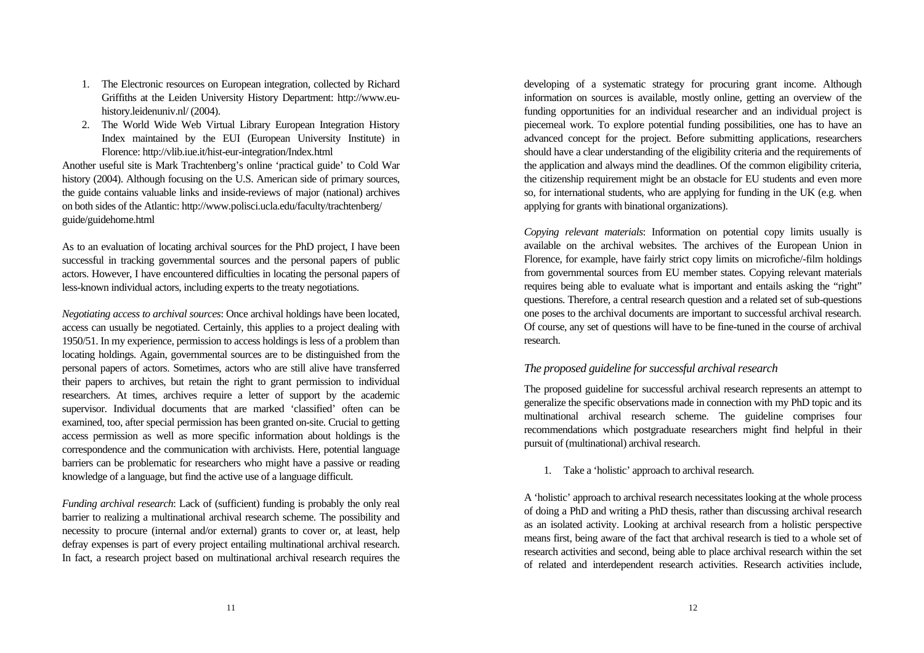- 1. The Electronic resources on European integration, collected by Richard Griffiths at the Leiden University History Department: http://www.euhistory.leidenuniv.nl/ (2004).
- 2. The World Wide Web Virtual Library European Integration History Index maintained by the EUI (European University Institute) in Florence: http://vlib.iue.it/hist-eur-integration/Index.html

Another useful site is Mark Trachtenberg's online 'practical guide' to Cold War history (2004). Although focusing on the U.S. American side of primary sources, the guide contains valuable links and inside-reviews of major (national) archives on both sides of the Atlantic: http://www.polisci.ucla.edu/faculty/trachtenberg/ guide/guidehome.html

As to an evaluation of locating archival sources for the PhD project, I have been successful in tracking governmental sources and the personal papers of public actors. However, I have encountered difficulties in locating the personal papers of less-known individual actors, including experts to the treaty negotiations.

*Negotiating access to archival sources*: Once archival holdings have been located, access can usually be negotiated. Certainly, this applies to a project dealing with 1950/51. In my experience, permission to access holdings is less of a problem than locating holdings. Again, governmental sources are to be distinguished from the personal papers of actors. Sometimes, actors who are still alive have transferred their papers to archives, but retain the right to grant permission to individual researchers. At times, archives require a letter of support by the academic supervisor. Individual documents that are marked 'classified' often can be examined, too, after special permission has been granted on-site. Crucial to getting access permission as well as more specific information about holdings is the correspondence and the communication with archivists. Here, potential language barriers can be problematic for researchers who might have a passive or reading knowledge of a language, but find the active use of a language difficult.

*Funding archival research*: Lack of (sufficient) funding is probably the only real barrier to realizing a multinational archival research scheme. The possibility and necessity to procure (internal and/or external) grants to cover or, at least, help defray expenses is part of every project entailing multinational archival research. In fact, a research project based on multinational archival research requires the

developing of a systematic strategy for procuring grant income. Although information on sources is available, mostly online, getting an overview of the funding opportunities for an individual researcher and an individual project is piecemeal work. To explore potential funding possibilities, one has to have an advanced concept for the project. Before submitting applications, researchers should have a clear understanding of the eligibility criteria and the requirements of the application and always mind the deadlines. Of the common eligibility criteria, the citizenship requirement might be an obstacle for EU students and even more so, for international students, who are applying for funding in the UK (e.g. when applying for grants with binational organizations).

*Copying relevant materials*: Information on potential copy limits usually is available on the archival websites. The archives of the European Union in Florence, for example, have fairly strict copy limits on microfiche/-film holdings from governmental sources from EU member states. Copying relevant materials requires being able to evaluate what is important and entails asking the "right" questions. Therefore, a central research question and a related set of sub-questions one poses to the archival documents are important to successful archival research. Of course, any set of questions will have to be fine-tuned in the course of archival research.

## *The proposed guideline for successful archival research*

The proposed guideline for successful archival research represents an attempt to generalize the specific observations made in connection with my PhD topic and its multinational archival research scheme. The guideline comprises four recommendations which postgraduate researchers might find helpful in their pursuit of (multinational) archival research.

1. Take a 'holistic' approach to archival research.

A 'holistic' approach to archival research necessitates looking at the whole process of doing a PhD and writing a PhD thesis, rather than discussing archival research as an isolated activity. Looking at archival research from a holistic perspective means first, being aware of the fact that archival research is tied to a whole set of research activities and second, being able to place archival research within the set of related and interdependent research activities. Research activities include,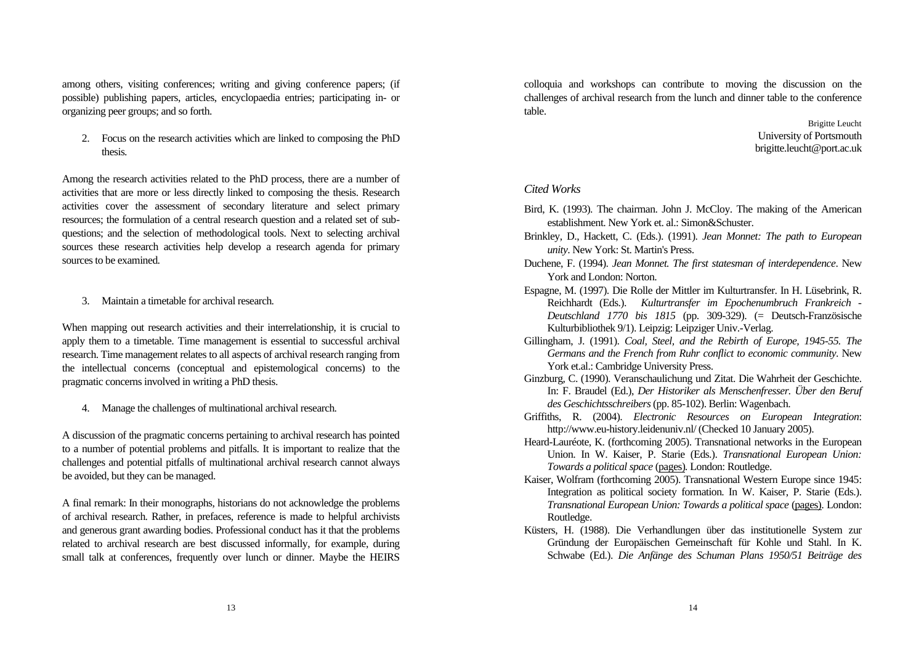among others, visiting conferences; writing and giving conference papers; (if possible) publishing papers, articles, encyclopaedia entries; participating in- or organizing peer groups; and so forth.

2. Focus on the research activities which are linked to composing the PhD thesis.

Among the research activities related to the PhD process, there are a number of activities that are more or less directly linked to composing the thesis. Research activities cover the assessment of secondary literature and select primary resources; the formulation of a central research question and a related set of subquestions; and the selection of methodological tools. Next to selecting archival sources these research activities help develop a research agenda for primary sources to be examined.

3. Maintain a timetable for archival research.

When mapping out research activities and their interrelationship, it is crucial to apply them to a timetable. Time management is essential to successful archival research. Time management relates to all aspects of archival research ranging from the intellectual concerns (conceptual and epistemological concerns) to the pragmatic concerns involved in writing a PhD thesis.

4. Manage the challenges of multinational archival research.

A discussion of the pragmatic concerns pertaining to archival research has pointed to a number of potential problems and pitfalls. It is important to realize that the challenges and potential pitfalls of multinational archival research cannot always be avoided, but they can be managed.

A final remark: In their monographs, historians do not acknowledge the problems of archival research. Rather, in prefaces, reference is made to helpful archivists and generous grant awarding bodies. Professional conduct has it that the problems related to archival research are best discussed informally, for example, during small talk at conferences, frequently over lunch or dinner. Maybe the HEIRS colloquia and workshops can contribute to moving the discussion on the challenges of archival research from the lunch and dinner table to the conference table.

> Brigitte Leucht University of Portsmouth brigitte.leucht@port.ac.uk

#### *Cited Works*

- Bird, K. (1993). The chairman. John J. McCloy. The making of the American establishment. New York et. al.: Simon&Schuster.
- Brinkley, D., Hackett, C. (Eds.). (1991). *Jean Monnet: The path to European unity*. New York: St. Martin's Press.
- Duchene, F. (1994). *Jean Monnet. The first statesman of interdependence*. New York and London: Norton.
- Espagne, M. (1997). Die Rolle der Mittler im Kulturtransfer. In H. Lüsebrink, R. Reichhardt (Eds.). *Kulturtransfer im Epochenumbruch Frankreich - Deutschland 1770 bis 1815* (pp. 309-329). (= Deutsch-Französische Kulturbibliothek 9/1). Leipzig: Leipziger Univ.-Verlag.
- Gillingham, J. (1991). *Coal, Steel, and the Rebirth of Europe, 1945-55. The Germans and the French from Ruhr conflict to economic community*. New York et.al.: Cambridge University Press.
- Ginzburg, C. (1990). Veranschaulichung und Zitat. Die Wahrheit der Geschichte. In: F. Braudel (Ed.), *Der Historiker als Menschenfresser. Über den Beruf des Geschichtsschreibers* (pp. 85-102). Berlin: Wagenbach.
- Griffiths, R. (2004). *Electronic Resources on European Integration*: http://www.eu-history.leidenuniv.nl/ (Checked 10 January 2005).
- Heard-Lauréote, K. (forthcoming 2005). Transnational networks in the European Union. In W. Kaiser, P. Starie (Eds.). *Transnational European Union: Towards a political space* (pages)*.* London: Routledge.
- Kaiser, Wolfram (forthcoming 2005). Transnational Western Europe since 1945: Integration as political society formation. In W. Kaiser, P. Starie (Eds.). *Transnational European Union: Towards a political space* (pages)*.* London: Routledge.
- Küsters, H. (1988). Die Verhandlungen über das institutionelle System zur Gründung der Europäischen Gemeinschaft für Kohle und Stahl. In K. Schwabe (Ed.). *Die Anfänge des Schuman Plans 1950/51 Beiträge des*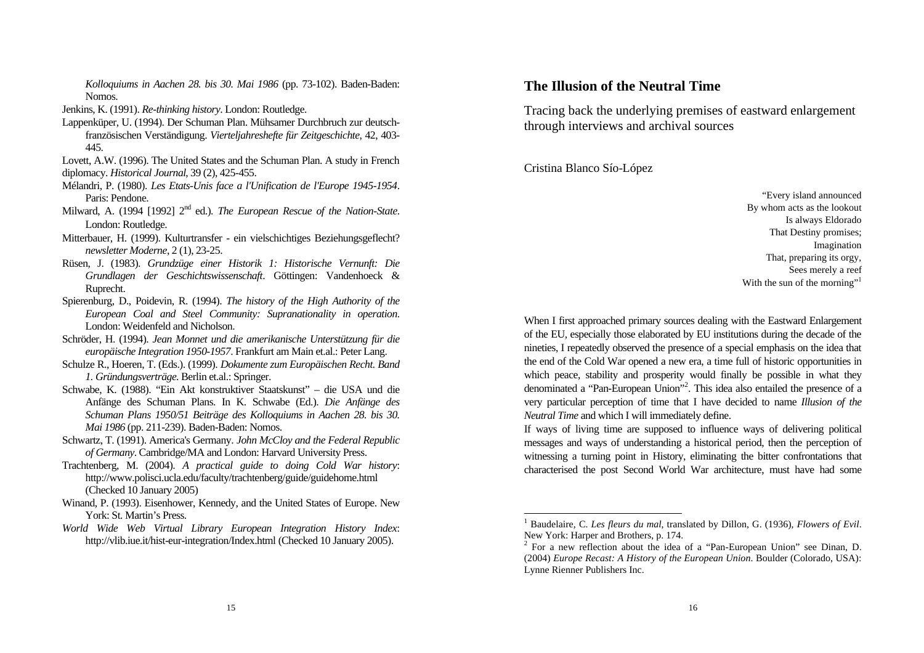*Kolloquiums in Aachen 28. bis 30. Mai 1986* (pp. 73-102). Baden-Baden: Nomos.

- Jenkins, K. (1991). *Re-thinking history*. London: Routledge.
- Lappenküper, U. (1994). Der Schuman Plan. Mühsamer Durchbruch zur deutschfranzösischen Verständigung. *Vierteljahreshefte für Zeitgeschichte*, 42, 403- 445.

Lovett, A.W. (1996). The United States and the Schuman Plan. A study in French diplomacy. *Historical Journal*, 39 (2), 425-455.

- Mélandri, P. (1980). *Les Etats-Unis face a l'Unification de l'Europe 1945-1954*. Paris: Pendone.
- Milward, A. (1994 [1992] 2<sup>nd</sup> ed.). *The European Rescue of the Nation-State*. London: Routledge.
- Mitterbauer, H. (1999). Kulturtransfer ein vielschichtiges Beziehungsgeflecht? *newsletter Moderne*, 2 (1), 23-25.
- Rüsen, J. (1983). *Grundzüge einer Historik 1: Historische Vernunft: Die Grundlagen der Geschichtswissenschaft*. Göttingen: Vandenhoeck & Ruprecht.
- Spierenburg, D., Poidevin, R. (1994). *The history of the High Authority of the European Coal and Steel Community: Supranationality in operation*. London: Weidenfeld and Nicholson.
- Schröder, H. (1994). *Jean Monnet und die amerikanische Unterstützung für die europäische Integration 1950-1957*. Frankfurt am Main et.al.: Peter Lang.
- Schulze R., Hoeren, T. (Eds.). (1999). *Dokumente zum Europäischen Recht. Band 1. Gründungsverträge*. Berlin et.al.: Springer.
- Schwabe, K. (1988). "Ein Akt konstruktiver Staatskunst" die USA und die Anfänge des Schuman Plans. In K. Schwabe (Ed.). *Die Anfänge des Schuman Plans 1950/51 Beiträge des Kolloquiums in Aachen 28. bis 30. Mai 1986* (pp. 211-239). Baden-Baden: Nomos.
- Schwartz, T. (1991). America's Germany. *John McCloy and the Federal Republic of Germany*. Cambridge/MA and London: Harvard University Press.
- Trachtenberg, M. (2004). *A practical guide to doing Cold War history*: http://www.polisci.ucla.edu/faculty/trachtenberg/guide/guidehome.html (Checked 10 January 2005)
- Winand, P. (1993). Eisenhower, Kennedy, and the United States of Europe. New York: St. Martin's Press.
- *World Wide Web Virtual Library European Integration History Index*: http://vlib.iue.it/hist-eur-integration/Index.html (Checked 10 January 2005).

# **The Illusion of the Neutral Time**

Tracing back the underlying premises of eastward enlargement through interviews and archival sources

Cristina Blanco Sío-López

-

"Every island announced By whom acts as the lookout Is always Eldorado That Destiny promises; Imagination That, preparing its orgy, Sees merely a reef With the sun of the morning"<sup>1</sup>

When I first approached primary sources dealing with the Eastward Enlargement of the EU, especially those elaborated by EU institutions during the decade of the nineties, I repeatedly observed the presence of a special emphasis on the idea that the end of the Cold War opened a new era, a time full of historic opportunities in which peace, stability and prosperity would finally be possible in what they denominated a "Pan-European Union"<sup>2</sup>. This idea also entailed the presence of a very particular perception of time that I have decided to name *Illusion of the Neutral Time* and which I will immediately define.

If ways of living time are supposed to influence ways of delivering political messages and ways of understanding a historical period, then the perception of witnessing a turning point in History, eliminating the bitter confrontations that characterised the post Second World War architecture, must have had some

<sup>1</sup> Baudelaire, C. *Les fleurs du mal*, translated by Dillon, G. (1936), *Flowers of Evil*. New York: Harper and Brothers, p. 174.

<sup>&</sup>lt;sup>2</sup> For a new reflection about the idea of a "Pan-European Union" see Dinan, D. (2004) *Europe Recast: A History of the European Union*. Boulder (Colorado, USA): Lynne Rienner Publishers Inc.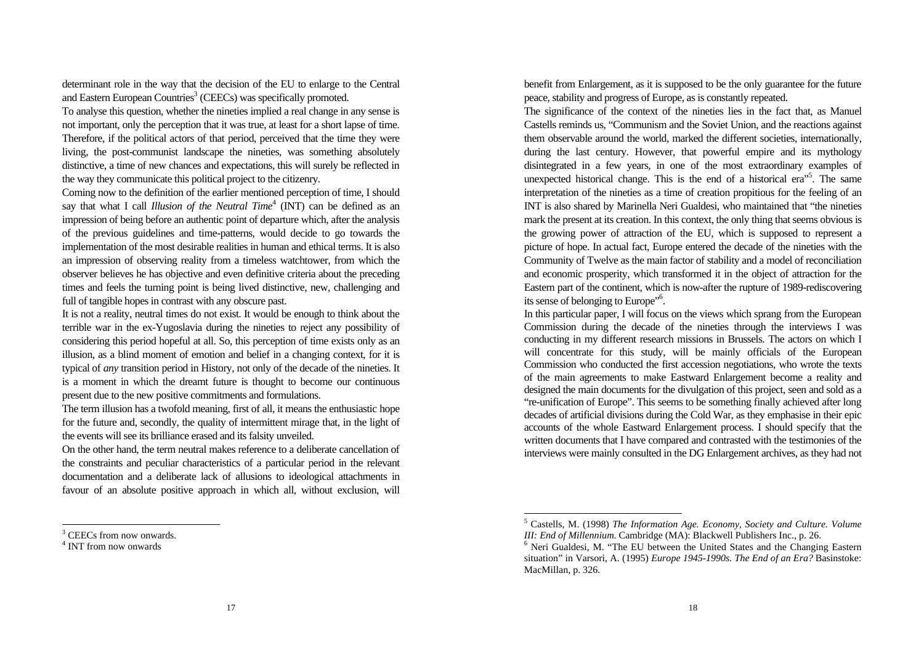determinant role in the way that the decision of the EU to enlarge to the Central and Eastern European Countries<sup>3</sup> (CEECs) was specifically promoted.

To analyse this question, whether the nineties implied a real change in any sense is not important, only the perception that it was true, at least for a short lapse of time. Therefore, if the political actors of that period, perceived that the time they were living, the post-communist landscape the nineties, was something absolutely distinctive, a time of new chances and expectations, this will surely be reflected in the way they communicate this political project to the citizenry.

Coming now to the definition of the earlier mentioned perception of time, I should say that what I call *Illusion of the Neutral Time*<sup>4</sup> (INT) can be defined as an impression of being before an authentic point of departure which, after the analysis of the previous guidelines and time-patterns, would decide to go towards the implementation of the most desirable realities in human and ethical terms. It is also an impression of observing reality from a timeless watchtower, from which the observer believes he has objective and even definitive criteria about the preceding times and feels the turning point is being lived distinctive, new, challenging and full of tangible hopes in contrast with any obscure past.

It is not a reality, neutral times do not exist. It would be enough to think about the terrible war in the ex-Yugoslavia during the nineties to reject any possibility of considering this period hopeful at all. So, this perception of time exists only as an illusion, as a blind moment of emotion and belief in a changing context, for it is typical of *any* transition period in History, not only of the decade of the nineties. It is a moment in which the dreamt future is thought to become our continuous present due to the new positive commitments and formulations.

The term illusion has a twofold meaning, first of all, it means the enthusiastic hope for the future and, secondly, the quality of intermittent mirage that, in the light of the events will see its brilliance erased and its falsity unveiled.

On the other hand, the term neutral makes reference to a deliberate cancellation of the constraints and peculiar characteristics of a particular period in the relevant documentation and a deliberate lack of allusions to ideological attachments in favour of an absolute positive approach in which all, without exclusion, will

 $\overline{a}$ 

benefit from Enlargement, as it is supposed to be the only guarantee for the future peace, stability and progress of Europe, as is constantly repeated.

The significance of the context of the nineties lies in the fact that, as Manuel Castells reminds us, "Communism and the Soviet Union, and the reactions against them observable around the world, marked the different societies, internationally, during the last century. However, that powerful empire and its mythology disintegrated in a few years, in one of the most extraordinary examples of unexpected historical change. This is the end of a historical era<sup>"5</sup>. The same interpretation of the nineties as a time of creation propitious for the feeling of an INT is also shared by Marinella Neri Gualdesi, who maintained that "the nineties mark the present at its creation. In this context, the only thing that seems obvious is the growing power of attraction of the EU, which is supposed to represent a picture of hope. In actual fact, Europe entered the decade of the nineties with the Community of Twelve as the main factor of stability and a model of reconciliation and economic prosperity, which transformed it in the object of attraction for the Eastern part of the continent, which is now-after the rupture of 1989-rediscovering its sense of belonging to Europe"<sup>6</sup>.

In this particular paper, I will focus on the views which sprang from the European Commission during the decade of the nineties through the interviews I was conducting in my different research missions in Brussels. The actors on which I will concentrate for this study, will be mainly officials of the European Commission who conducted the first accession negotiations, who wrote the texts of the main agreements to make Eastward Enlargement become a reality and designed the main documents for the divulgation of this project, seen and sold as a "re-unification of Europe". This seems to be something finally achieved after long decades of artificial divisions during the Cold War, as they emphasise in their epic accounts of the whole Eastward Enlargement process. I should specify that the written documents that I have compared and contrasted with the testimonies of the interviews were mainly consulted in the DG Enlargement archives, as they had not

-

<sup>&</sup>lt;sup>3</sup> CEECs from now onwards.

<sup>4</sup> INT from now onwards

<sup>5</sup> Castells, M. (1998) *The Information Age. Economy, Society and Culture. Volume III: End of Millennium*. Cambridge (MA): Blackwell Publishers Inc., p. 26.

<sup>&</sup>lt;sup>6</sup> Neri Gualdesi, M. "The EU between the United States and the Changing Eastern situation" in Varsori, A. (1995) *Europe 1945-1990s. The End of an Era?* Basinstoke: MacMillan, p. 326.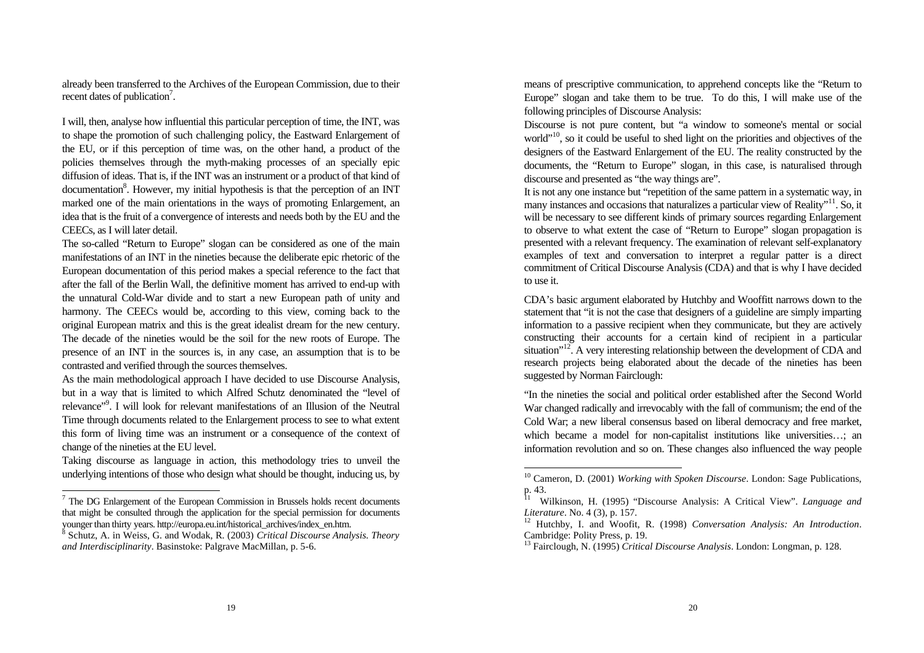already been transferred to the Archives of the European Commission, due to their recent dates of publication<sup>7</sup>.

I will, then, analyse how influential this particular perception of time, the INT, was to shape the promotion of such challenging policy, the Eastward Enlargement of the EU, or if this perception of time was, on the other hand, a product of the policies themselves through the myth-making processes of an specially epic diffusion of ideas. That is, if the INT was an instrument or a product of that kind of documentation<sup>8</sup>. However, my initial hypothesis is that the perception of an INT marked one of the main orientations in the ways of promoting Enlargement, an idea that is the fruit of a convergence of interests and needs both by the EU and the CEECs, as I will later detail.

The so-called "Return to Europe" slogan can be considered as one of the main manifestations of an INT in the nineties because the deliberate epic rhetoric of the European documentation of this period makes a special reference to the fact that after the fall of the Berlin Wall, the definitive moment has arrived to end-up with the unnatural Cold-War divide and to start a new European path of unity and harmony. The CEECs would be, according to this view, coming back to the original European matrix and this is the great idealist dream for the new century. The decade of the nineties would be the soil for the new roots of Europe. The presence of an INT in the sources is, in any case, an assumption that is to be contrasted and verified through the sources themselves.

As the main methodological approach I have decided to use Discourse Analysis, but in a way that is limited to which Alfred Schutz denominated the "level of relevance"<sup>9</sup>. I will look for relevant manifestations of an Illusion of the Neutral Time through documents related to the Enlargement process to see to what extent this form of living time was an instrument or a consequence of the context of change of the nineties at the EU level.

Taking discourse as language in action, this methodology tries to unveil the underlying intentions of those who design what should be thought, inducing us, by

 $\overline{a}$ 

means of prescriptive communication, to apprehend concepts like the "Return to Europe" slogan and take them to be true. To do this, I will make use of the following principles of Discourse Analysis:

Discourse is not pure content, but "a window to someone's mental or social world"<sup>10</sup>, so it could be useful to shed light on the priorities and objectives of the designers of the Eastward Enlargement of the EU. The reality constructed by the documents, the "Return to Europe" slogan, in this case, is naturalised through discourse and presented as "the way things are".

It is not any one instance but "repetition of the same pattern in a systematic way, in many instances and occasions that naturalizes a particular view of Reality"<sup>11</sup>. So, it will be necessary to see different kinds of primary sources regarding Enlargement to observe to what extent the case of "Return to Europe" slogan propagation is presented with a relevant frequency. The examination of relevant self-explanatory examples of text and conversation to interpret a regular patter is a direct commitment of Critical Discourse Analysis (CDA) and that is why I have decided to use it.

CDA's basic argument elaborated by Hutchby and Wooffitt narrows down to the statement that "it is not the case that designers of a guideline are simply imparting information to a passive recipient when they communicate, but they are actively constructing their accounts for a certain kind of recipient in a particular situation"<sup>12</sup>. A very interesting relationship between the development of CDA and research projects being elaborated about the decade of the nineties has been suggested by Norman Fairclough:

"In the nineties the social and political order established after the Second World War changed radically and irrevocably with the fall of communism; the end of the Cold War; a new liberal consensus based on liberal democracy and free market, which became a model for non-capitalist institutions like universities…; an information revolution and so on. These changes also influenced the way people

 $7$  The DG Enlargement of the European Commission in Brussels holds recent documents that might be consulted through the application for the special permission for documents younger than thirty years. http://europa.eu.int/historical\_archives/index\_en.htm.

<sup>8</sup> Schutz, A. in Weiss, G. and Wodak, R. (2003) *Critical Discourse Analysis. Theory and Interdisciplinarity*. Basinstoke: Palgrave MacMillan, p. 5-6.

<sup>10</sup> Cameron, D. (2001) *Working with Spoken Discourse*. London: Sage Publications, p. 43.

<sup>11</sup> Wilkinson, H. (1995) "Discourse Analysis: A Critical View". *Language and Literature*. No. 4 (3), p. 157.

<sup>12</sup> Hutchby, I. and Woofit, R. (1998) *Conversation Analysis: An Introduction*. Cambridge: Polity Press, p. 19.

<sup>13</sup> Fairclough, N. (1995) *Critical Discourse Analysis*. London: Longman, p. 128.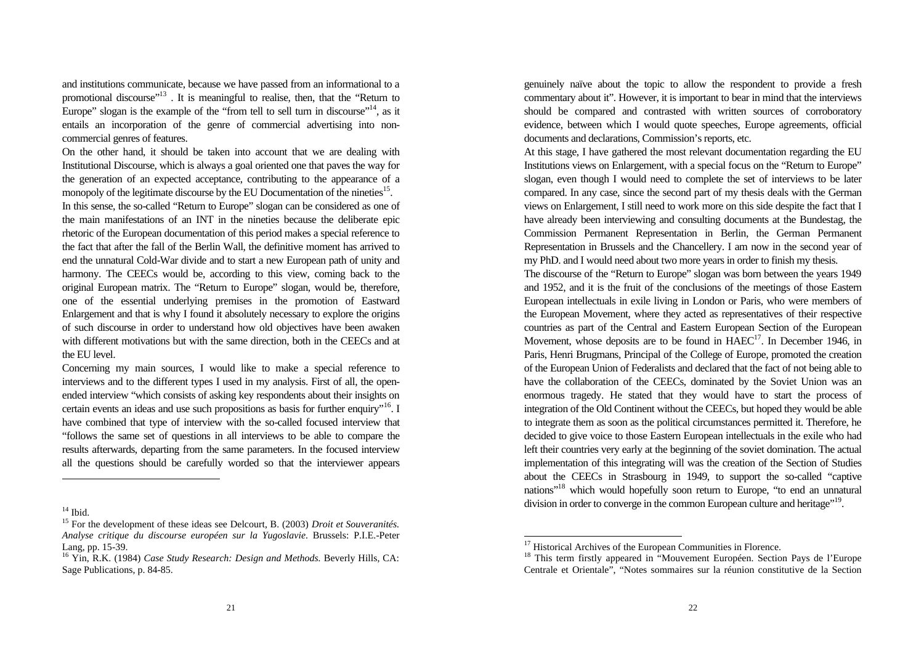and institutions communicate, because we have passed from an informational to a promotional discourse"<sup>13</sup> . It is meaningful to realise, then, that the "Return to Europe" slogan is the example of the "from tell to sell turn in discourse"<sup>14</sup>, as it entails an incorporation of the genre of commercial advertising into noncommercial genres of features.

On the other hand, it should be taken into account that we are dealing with Institutional Discourse, which is always a goal oriented one that paves the way for the generation of an expected acceptance, contributing to the appearance of a monopoly of the legitimate discourse by the EU Documentation of the nineties<sup>15</sup>. In this sense, the so-called "Return to Europe" slogan can be considered as one of the main manifestations of an INT in the nineties because the deliberate epic rhetoric of the European documentation of this period makes a special reference to the fact that after the fall of the Berlin Wall, the definitive moment has arrived to end the unnatural Cold-War divide and to start a new European path of unity and harmony. The CEECs would be, according to this view, coming back to the original European matrix. The "Return to Europe" slogan, would be, therefore, one of the essential underlying premises in the promotion of Eastward Enlargement and that is why I found it absolutely necessary to explore the origins

of such discourse in order to understand how old objectives have been awaken with different motivations but with the same direction, both in the CEECs and at the EU level.

Concerning my main sources, I would like to make a special reference to interviews and to the different types I used in my analysis. First of all, the openended interview "which consists of asking key respondents about their insights on certain events an ideas and use such propositions as basis for further enquiry"<sup>16</sup>. I have combined that type of interview with the so-called focused interview that "follows the same set of questions in all interviews to be able to compare the results afterwards, departing from the same parameters. In the focused interview all the questions should be carefully worded so that the interviewer appears

l

genuinely naïve about the topic to allow the respondent to provide a fresh commentary about it". However, it is important to bear in mind that the interviews should be compared and contrasted with written sources of corroboratory evidence, between which I would quote speeches, Europe agreements, official documents and declarations, Commission's reports, etc.

At this stage, I have gathered the most relevant documentation regarding the EU Institutions views on Enlargement, with a special focus on the "Return to Europe" slogan, even though I would need to complete the set of interviews to be later compared. In any case, since the second part of my thesis deals with the German views on Enlargement, I still need to work more on this side despite the fact that I have already been interviewing and consulting documents at the Bundestag, the Commission Permanent Representation in Berlin, the German Permanent Representation in Brussels and the Chancellery. I am now in the second year of my PhD. and I would need about two more years in order to finish my thesis.

The discourse of the "Return to Europe" slogan was born between the years 1949 and 1952, and it is the fruit of the conclusions of the meetings of those Eastern European intellectuals in exile living in London or Paris, who were members of the European Movement, where they acted as representatives of their respective countries as part of the Central and Eastern European Section of the European Movement, whose deposits are to be found in  $HAEC^{17}$ . In December 1946, in Paris, Henri Brugmans, Principal of the College of Europe, promoted the creation of the European Union of Federalists and declared that the fact of not being able to have the collaboration of the CEECs, dominated by the Soviet Union was an enormous tragedy. He stated that they would have to start the process of integration of the Old Continent without the CEECs, but hoped they would be able to integrate them as soon as the political circumstances permitted it. Therefore, he decided to give voice to those Eastern European intellectuals in the exile who had left their countries very early at the beginning of the soviet domination. The actual implementation of this integrating will was the creation of the Section of Studies about the CEECs in Strasbourg in 1949, to support the so-called "captive nations"<sup>18</sup> which would hopefully soon return to Europe, "to end an unnatural division in order to converge in the common European culture and heritage"<sup>19</sup>.

 $14$  Ibid.

<sup>15</sup> For the development of these ideas see Delcourt, B. (2003) *Droit et Souveranités. Analyse critique du discourse européen sur la Yugoslavie*. Brussels: P.I.E.-Peter Lang, pp. 15-39.

<sup>16</sup> Yin, R.K. (1984) *Case Study Research: Design and Methods.* Beverly Hills, CA: Sage Publications, p. 84-85.

<sup>&</sup>lt;sup>17</sup> Historical Archives of the European Communities in Florence.

<sup>&</sup>lt;sup>18</sup> This term firstly appeared in "Mouvement Européen. Section Pays de l'Europe Centrale et Orientale", "Notes sommaires sur la réunion constitutive de la Section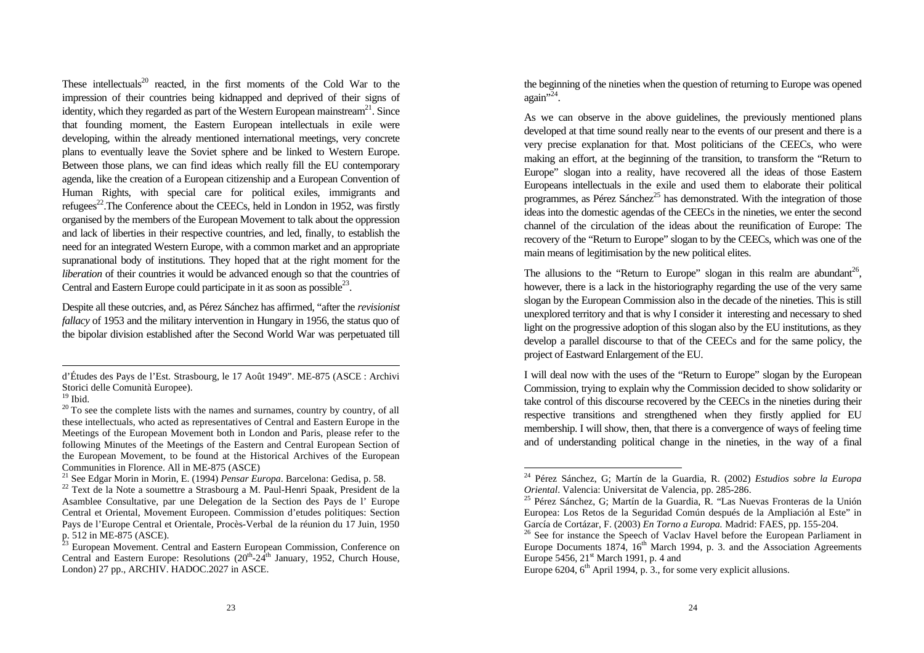These intellectuals<sup>20</sup> reacted, in the first moments of the Cold War to the impression of their countries being kidnapped and deprived of their signs of identity, which they regarded as part of the Western European mainstream<sup>21</sup>. Since that founding moment, the Eastern European intellectuals in exile were developing, within the already mentioned international meetings, very concrete plans to eventually leave the Soviet sphere and be linked to Western Europe. Between those plans, we can find ideas which really fill the EU contemporary agenda, like the creation of a European citizenship and a European Convention of Human Rights, with special care for political exiles, immigrants and refugees $^{22}$ . The Conference about the CEECs, held in London in 1952, was firstly organised by the members of the European Movement to talk about the oppression and lack of liberties in their respective countries, and led, finally, to establish the need for an integrated Western Europe, with a common market and an appropriate supranational body of institutions. They hoped that at the right moment for the *liberation* of their countries it would be advanced enough so that the countries of Central and Eastern Europe could participate in it as soon as possible $^{23}$ .

Despite all these outcries, and, as Pérez Sánchez has affirmed, "after the *revisionist fallacy* of 1953 and the military intervention in Hungary in 1956, the status quo of the bipolar division established after the Second World War was perpetuated till

l

the beginning of the nineties when the question of returning to Europe was opened again<sup>",24</sup>.

As we can observe in the above guidelines, the previously mentioned plans developed at that time sound really near to the events of our present and there is a very precise explanation for that. Most politicians of the CEECs, who were making an effort, at the beginning of the transition, to transform the "Return to Europe" slogan into a reality, have recovered all the ideas of those Eastern Europeans intellectuals in the exile and used them to elaborate their political programmes, as Pérez Sánchez<sup>25</sup> has demonstrated. With the integration of those ideas into the domestic agendas of the CEECs in the nineties, we enter the second channel of the circulation of the ideas about the reunification of Europe: The recovery of the "Return to Europe" slogan to by the CEECs, which was one of the main means of legitimisation by the new political elites.

The allusions to the "Return to Europe" slogan in this realm are abundant<sup>26</sup>, however, there is a lack in the historiography regarding the use of the very same slogan by the European Commission also in the decade of the nineties. This is still unexplored territory and that is why I consider it interesting and necessary to shed light on the progressive adoption of this slogan also by the EU institutions, as they develop a parallel discourse to that of the CEECs and for the same policy, the project of Eastward Enlargement of the EU.

I will deal now with the uses of the "Return to Europe" slogan by the European Commission, trying to explain why the Commission decided to show solidarity or take control of this discourse recovered by the CEECs in the nineties during their respective transitions and strengthened when they firstly applied for EU membership. I will show, then, that there is a convergence of ways of feeling time and of understanding political change in the nineties, in the way of a final

d'Études des Pays de l'Est. Strasbourg, le 17 Août 1949". ME-875 (ASCE : Archivi Storici delle Comunità Europee).

 $19$  Ibid.

 $20$  To see the complete lists with the names and surnames, country by country, of all these intellectuals, who acted as representatives of Central and Eastern Europe in the Meetings of the European Movement both in London and Paris, please refer to the following Minutes of the Meetings of the Eastern and Central European Section of the European Movement, to be found at the Historical Archives of the European Communities in Florence. All in ME-875 (ASCE)

<sup>21</sup> See Edgar Morin in Morin, E. (1994) *Pensar Europa*. Barcelona: Gedisa, p. 58.

<sup>&</sup>lt;sup>22</sup> Text de la Note a soumettre a Strasbourg a M. Paul-Henri Spaak, President de la Asamblee Consultative, par une Delegation de la Section des Pays de l' Europe Central et Oriental, Movement Europeen. Commission d'etudes politiques: Section Pays de l'Europe Central et Orientale, Procès-Verbal de la réunion du 17 Juin, 1950 p. 512 in ME-875 (ASCE).

<sup>&</sup>lt;sup>23</sup> European Movement. Central and Eastern European Commission, Conference on Central and Eastern Europe: Resolutions  $(20^{th} \text{-} 24^{th}$  January, 1952, Church House, London) 27 pp., ARCHIV. HADOC.2027 in ASCE.

<sup>24</sup> Pérez Sánchez, G; Martín de la Guardia, R. (2002) *Estudios sobre la Europa Oriental*. Valencia: Universitat de Valencia, pp. 285-286.

<sup>&</sup>lt;sup>25</sup> Pérez Sánchez, G; Martín de la Guardia, R. "Las Nuevas Fronteras de la Unión Europea: Los Retos de la Seguridad Común después de la Ampliación al Este" in García de Cortázar, F. (2003) *En Torno a Europa.* Madrid: FAES, pp. 155-204.

<sup>&</sup>lt;sup>26</sup> See for instance the Speech of Vaclav Havel before the European Parliament in Europe Documents 1874,  $16<sup>th</sup>$  March 1994, p. 3. and the Association Agreements Europe 5456,  $21<sup>st</sup>$  March 1991, p. 4 and

Europe 6204,  $6<sup>th</sup>$  April 1994, p. 3., for some very explicit allusions.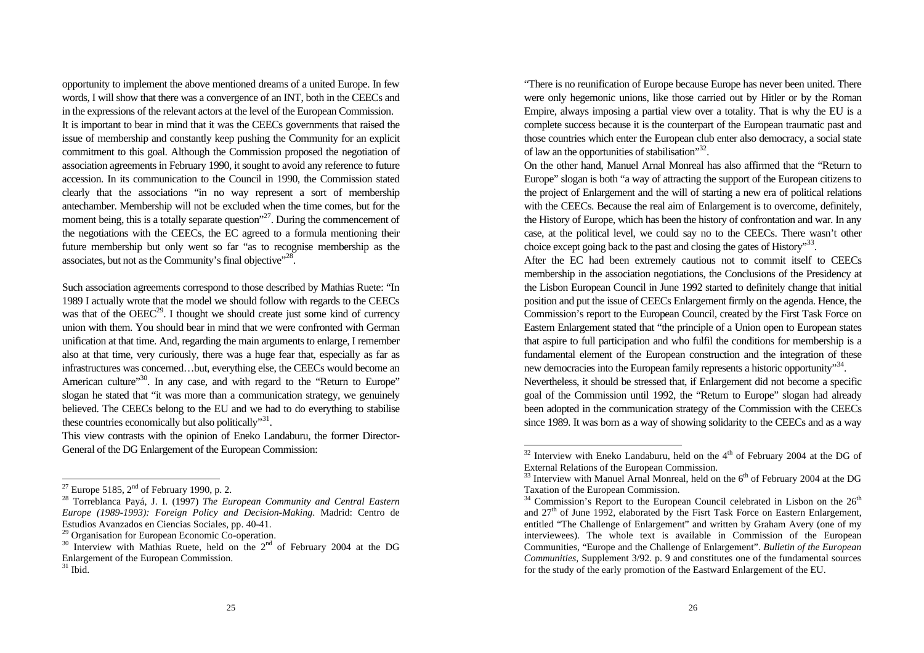opportunity to implement the above mentioned dreams of a united Europe. In few words, I will show that there was a convergence of an INT, both in the CEECs and in the expressions of the relevant actors at the level of the European Commission. It is important to bear in mind that it was the CEECs governments that raised the issue of membership and constantly keep pushing the Community for an explicit commitment to this goal. Although the Commission proposed the negotiation of association agreements in February 1990, it sought to avoid any reference to future accession. In its communication to the Council in 1990, the Commission stated clearly that the associations "in no way represent a sort of membership antechamber. Membership will not be excluded when the time comes, but for the moment being, this is a totally separate question"<sup>27</sup>. During the commencement of the negotiations with the CEECs, the EC agreed to a formula mentioning their future membership but only went so far "as to recognise membership as the associates, but not as the Community's final objective"<sup>28</sup>.

Such association agreements correspond to those described by Mathias Ruete: "In 1989 I actually wrote that the model we should follow with regards to the CEECs was that of the  $OEEC^{29}$ . I thought we should create just some kind of currency union with them. You should bear in mind that we were confronted with German unification at that time. And, regarding the main arguments to enlarge, I remember also at that time, very curiously, there was a huge fear that, especially as far as infrastructures was concerned…but, everything else, the CEECs would become an American culture"<sup>30</sup>. In any case, and with regard to the "Return to Europe" slogan he stated that "it was more than a communication strategy, we genuinely believed. The CEECs belong to the EU and we had to do everything to stabilise these countries economically but also politically"<sup>31</sup>.

This view contrasts with the opinion of Eneko Landaburu, the former Director-General of the DG Enlargement of the European Commission:

 $\overline{a}$ 

"There is no reunification of Europe because Europe has never been united. There were only hegemonic unions, like those carried out by Hitler or by the Roman Empire, always imposing a partial view over a totality. That is why the EU is a complete success because it is the counterpart of the European traumatic past and those countries which enter the European club enter also democracy, a social state of law an the opportunities of stabilisation" $32$ .

On the other hand, Manuel Arnal Monreal has also affirmed that the "Return to Europe" slogan is both "a way of attracting the support of the European citizens to the project of Enlargement and the will of starting a new era of political relations with the CEECs. Because the real aim of Enlargement is to overcome, definitely, the History of Europe, which has been the history of confrontation and war. In any case, at the political level, we could say no to the CEECs. There wasn't other choice except going back to the past and closing the gates of History"<sup>33</sup>.

After the EC had been extremely cautious not to commit itself to CEECs membership in the association negotiations, the Conclusions of the Presidency at the Lisbon European Council in June 1992 started to definitely change that initial position and put the issue of CEECs Enlargement firmly on the agenda. Hence, the Commission's report to the European Council, created by the First Task Force on Eastern Enlargement stated that "the principle of a Union open to European states that aspire to full participation and who fulfil the conditions for membership is a fundamental element of the European construction and the integration of these new democracies into the European family represents a historic opportunity"<sup>34</sup>.

Nevertheless, it should be stressed that, if Enlargement did not become a specific goal of the Commission until 1992, the "Return to Europe" slogan had already been adopted in the communication strategy of the Commission with the CEECs since 1989. It was born as a way of showing solidarity to the CEECs and as a way

<sup>&</sup>lt;sup>27</sup> Europe 5185,  $2<sup>nd</sup>$  of February 1990, p. 2.

<sup>28</sup> Torreblanca Payá, J. I. (1997) *The European Community and Central Eastern Europe (1989-1993): Foreign Policy and Decision-Making*. Madrid: Centro de Estudios Avanzados en Ciencias Sociales, pp. 40-41.

 $29$  Organisation for European Economic Co-operation.

 $30$  Interview with Mathias Ruete, held on the  $2<sup>nd</sup>$  of February 2004 at the DG Enlargement of the European Commission.

 $31$  Ibid.

 $32$  Interview with Eneko Landaburu, held on the  $4<sup>th</sup>$  of February 2004 at the DG of External Relations of the European Commission.

<sup>&</sup>lt;sup>33</sup> Interview with Manuel Arnal Monreal, held on the  $6<sup>th</sup>$  of February 2004 at the DG Taxation of the European Commission.

 $34$  Commission's Report to the European Council celebrated in Lisbon on the  $26<sup>th</sup>$ and  $27<sup>th</sup>$  of June 1992, elaborated by the Fisrt Task Force on Eastern Enlargement, entitled "The Challenge of Enlargement" and written by Graham Avery (one of my interviewees). The whole text is available in Commission of the European Communities, "Europe and the Challenge of Enlargement". *Bulletin of the European Communities*, Supplement 3/92. p. 9 and constitutes one of the fundamental sources for the study of the early promotion of the Eastward Enlargement of the EU.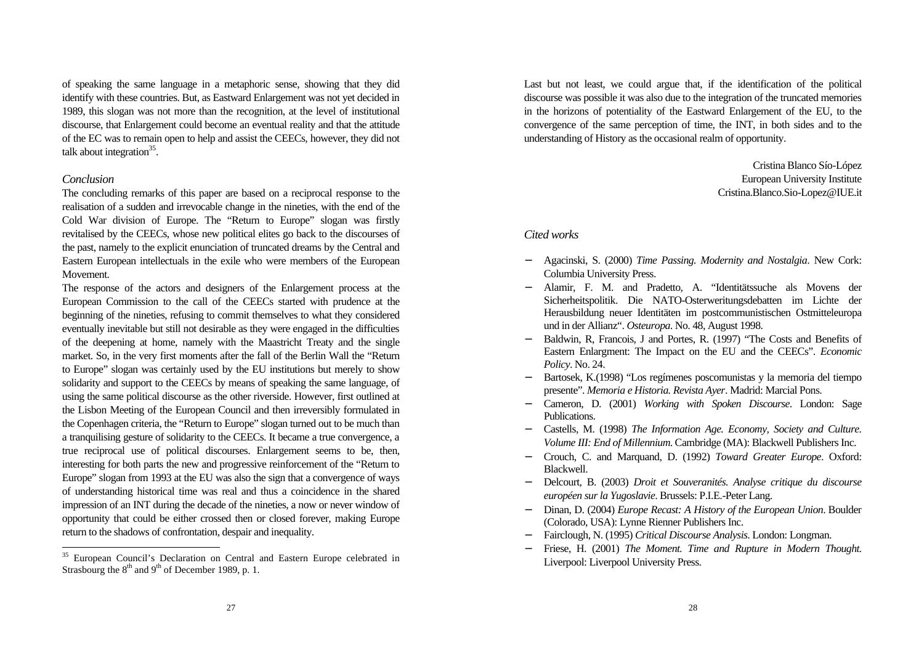of speaking the same language in a metaphoric sense, showing that they did identify with these countries. But, as Eastward Enlargement was not yet decided in 1989, this slogan was not more than the recognition, at the level of institutional discourse, that Enlargement could become an eventual reality and that the attitude of the EC was to remain open to help and assist the CEECs, however, they did not talk about integration<sup>35</sup>.

#### *Conclusion*

 $\overline{a}$ 

The concluding remarks of this paper are based on a reciprocal response to the realisation of a sudden and irrevocable change in the nineties, with the end of the Cold War division of Europe. The "Return to Europe" slogan was firstly revitalised by the CEECs, whose new political elites go back to the discourses of the past, namely to the explicit enunciation of truncated dreams by the Central and Eastern European intellectuals in the exile who were members of the European Movement.

The response of the actors and designers of the Enlargement process at the European Commission to the call of the CEECs started with prudence at the beginning of the nineties, refusing to commit themselves to what they considered eventually inevitable but still not desirable as they were engaged in the difficulties of the deepening at home, namely with the Maastricht Treaty and the single market. So, in the very first moments after the fall of the Berlin Wall the "Return to Europe" slogan was certainly used by the EU institutions but merely to show solidarity and support to the CEECs by means of speaking the same language, of using the same political discourse as the other riverside. However, first outlined at the Lisbon Meeting of the European Council and then irreversibly formulated in the Copenhagen criteria, the "Return to Europe" slogan turned out to be much than a tranquilising gesture of solidarity to the CEECs. It became a true convergence, a true reciprocal use of political discourses. Enlargement seems to be, then, interesting for both parts the new and progressive reinforcement of the "Return to Europe" slogan from 1993 at the EU was also the sign that a convergence of ways of understanding historical time was real and thus a coincidence in the shared impression of an INT during the decade of the nineties, a now or never window of opportunity that could be either crossed then or closed forever, making Europe return to the shadows of confrontation, despair and inequality.

Last but not least, we could argue that, if the identification of the political discourse was possible it was also due to the integration of the truncated memories in the horizons of potentiality of the Eastward Enlargement of the EU, to the convergence of the same perception of time, the INT, in both sides and to the understanding of History as the occasional realm of opportunity.

> Cristina Blanco Sío-López European University Institute Cristina.Blanco.Sio-Lopez@IUE.it

#### *Cited works*

- − Agacinski, S. (2000) *Time Passing. Modernity and Nostalgia*. New Cork: Columbia University Press.
- − Alamir, F. M. and Pradetto, A. "Identitätssuche als Movens der Sicherheitspolitik. Die NATO-Osterweritungsdebatten im Lichte der Herausbildung neuer Identitäten im postcommunistischen Ostmitteleuropa und in der Allianz". *Osteuropa*. No. 48, August 1998.
- − Baldwin, R, Francois, J and Portes, R. (1997) "The Costs and Benefits of Eastern Enlargment: The Impact on the EU and the CEECs". *Economic Policy*. No. 24.
- − Bartosek, K.(1998) "Los regímenes poscomunistas y la memoria del tiempo presente". *Memoria e Historia. Revista Ayer*. Madrid: Marcial Pons.
- − Cameron, D. (2001) *Working with Spoken Discourse*. London: Sage Publications.
- − Castells, M. (1998) *The Information Age. Economy, Society and Culture. Volume III: End of Millennium*. Cambridge (MA): Blackwell Publishers Inc.
- − Crouch, C. and Marquand, D. (1992) *Toward Greater Europe*. Oxford: Blackwell.
- − Delcourt, B. (2003) *Droit et Souveranités. Analyse critique du discourse européen sur la Yugoslavie*. Brussels: P.I.E.-Peter Lang.
- − Dinan, D. (2004) *Europe Recast: A History of the European Union*. Boulder (Colorado, USA): Lynne Rienner Publishers Inc.
- − Fairclough, N. (1995) *Critical Discourse Analysis*. London: Longman.
- Friese, H. (2001) *The Moment. Time and Rupture in Modern Thought*. Liverpool: Liverpool University Press.

<sup>&</sup>lt;sup>35</sup> European Council's Declaration on Central and Eastern Europe celebrated in Strasbourg the  $8<sup>th</sup>$  and  $9<sup>th</sup>$  of December 1989, p. 1.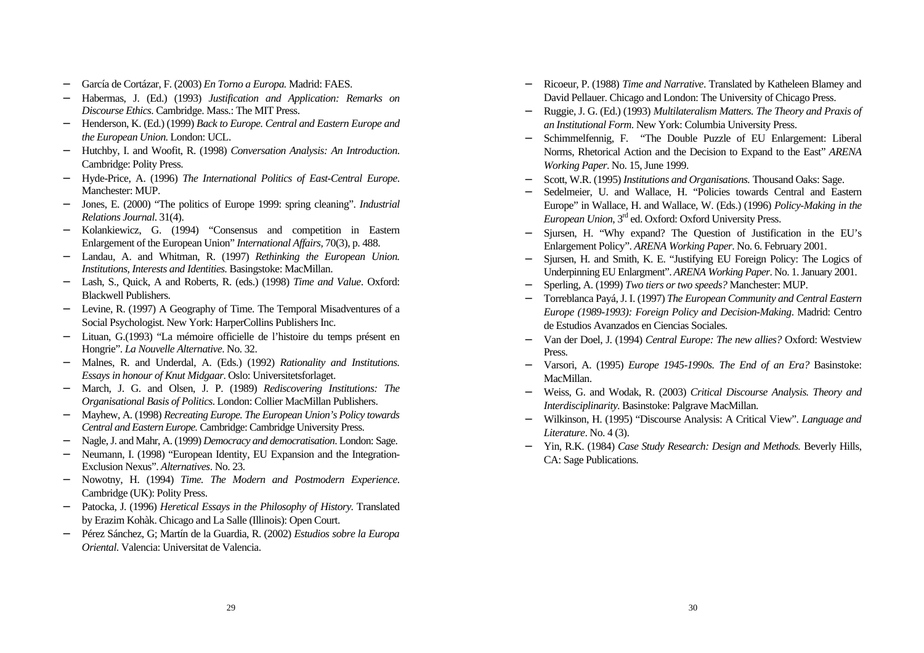- − García de Cortázar, F. (2003) *En Torno a Europa.* Madrid: FAES.
- − Habermas, J. (Ed.) (1993) *Justification and Application: Remarks on Discourse Ethics*. Cambridge. Mass.: The MIT Press.
- − Henderson, K. (Ed.) (1999) *Back to Europe. Central and Eastern Europe and the European Union*. London: UCL.
- − Hutchby, I. and Woofit, R. (1998) *Conversation Analysis: An Introduction*. Cambridge: Polity Press.
- − Hyde-Price, A. (1996) *The International Politics of East-Central Europe*. Manchester: MUP.
- − Jones, E. (2000) "The politics of Europe 1999: spring cleaning". *Industrial Relations Journal*. 31(4).
- − Kolankiewicz, G. (1994) "Consensus and competition in Eastern Enlargement of the European Union" *International Affairs,* 70(3), p. 488.
- − Landau, A. and Whitman, R. (1997) *Rethinking the European Union. Institutions, Interests and Identities.* Basingstoke: MacMillan.
- − Lash, S., Quick, A and Roberts, R. (eds.) (1998) *Time and Value*. Oxford: Blackwell Publishers.
- − Levine, R. (1997) A Geography of Time. The Temporal Misadventures of a Social Psychologist. New York: HarperCollins Publishers Inc.
- − Lituan, G.(1993) "La mémoire officielle de l'histoire du temps présent en Hongrie". *La Nouvelle Alternative*. No. 32.
- − Malnes, R. and Underdal, A. (Eds.) (1992) *Rationality and Institutions. Essays in honour of Knut Midgaar*. Oslo: Universitetsforlaget.
- − March, J. G. and Olsen, J. P. (1989) *Rediscovering Institutions: The Organisational Basis of Politics*. London: Collier MacMillan Publishers.
- − Mayhew, A. (1998) *Recreating Europe. The European Union's Policy towards Central and Eastern Europe.* Cambridge: Cambridge University Press.
- − Nagle, J. and Mahr, A. (1999) *Democracy and democratisation*. London: Sage.
- Neumann, I. (1998) "European Identity, EU Expansion and the Integration-Exclusion Nexus". *Alternatives*. No. 23.
- − Nowotny, H. (1994) *Time. The Modern and Postmodern Experience*. Cambridge (UK): Polity Press.
- − Patocka, J. (1996) *Heretical Essays in the Philosophy of History*. Translated by Erazim Kohàk. Chicago and La Salle (Illinois): Open Court.
- − Pérez Sánchez, G; Martín de la Guardia, R. (2002) *Estudios sobre la Europa Oriental*. Valencia: Universitat de Valencia.
- − Ricoeur, P. (1988) *Time and Narrative*. Translated by Katheleen Blamey and David Pellauer. Chicago and London: The University of Chicago Press.
- − Ruggie, J. G. (Ed.) (1993) *Multilateralism Matters. The Theory and Praxis of an Institutional Form*. New York: Columbia University Press.
- − Schimmelfennig, F. "The Double Puzzle of EU Enlargement: Liberal Norms, Rhetorical Action and the Decision to Expand to the East" *ARENA Working Paper*. No. 15, June 1999.
- − Scott, W.R. (1995) *Institutions and Organisations.* Thousand Oaks: Sage.
- − Sedelmeier, U. and Wallace, H. "Policies towards Central and Eastern Europe" in Wallace, H. and Wallace, W. (Eds.) (1996) *Policy-Making in the European Union*, 3rd ed. Oxford: Oxford University Press.
- − Sjursen, H. "Why expand? The Question of Justification in the EU's Enlargement Policy". *ARENA Working Paper*. No. 6. February 2001.
- − Sjursen, H. and Smith, K. E. "Justifying EU Foreign Policy: The Logics of Underpinning EU Enlargment". *ARENA Working Paper*. No. 1. January 2001.
- − Sperling, A. (1999) *Two tiers or two speeds?* Manchester: MUP.
- − Torreblanca Payá, J. I. (1997) *The European Community and Central Eastern Europe (1989-1993): Foreign Policy and Decision-Making*. Madrid: Centro de Estudios Avanzados en Ciencias Sociales.
- − Van der Doel, J. (1994) *Central Europe: The new allies?* Oxford: Westview Press.
- − Varsori, A. (1995) *Europe 1945-1990s. The End of an Era?* Basinstoke: MacMillan.
- − Weiss, G. and Wodak, R. (2003) *Critical Discourse Analysis. Theory and Interdisciplinarity*. Basinstoke: Palgrave MacMillan.
- − Wilkinson, H. (1995) "Discourse Analysis: A Critical View". *Language and Literature*. No. 4 (3).
- − Yin, R.K. (1984) *Case Study Research: Design and Methods.* Beverly Hills, CA: Sage Publications.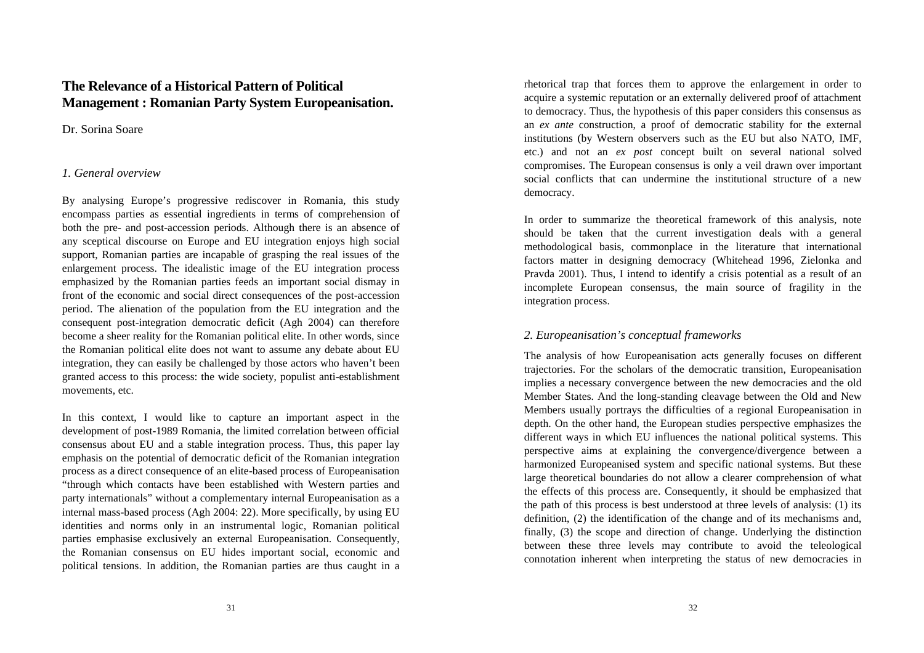# **The Relevance of a Historical Pattern of Political Management : Romanian Party System Europeanisation.**

## Dr. Sorina Soare

## *1. General overview*

By analysing Europe's progressive rediscover in Romania, this study encompass parties as essential ingredients in terms of comprehension of both the pre- and post-accession periods. Although there is an absence of any sceptical discourse on Europe and EU integration enjoys high social support, Romanian parties are incapable of grasping the real issues of the enlargement process. The idealistic image of the EU integration process emphasized by the Romanian parties feeds an important social dismay in front of the economic and social direct consequences of the post-accession period. The alienation of the population from the EU integration and the consequent post-integration democratic deficit (Agh 2004) can therefore become a sheer reality for the Romanian political elite. In other words, since the Romanian political elite does not want to assume any debate about EU integration, they can easily be challenged by those actors who haven't been granted access to this process: the wide society, populist anti-establishment movements, etc.

In this context, I would like to capture an important aspect in the development of post-1989 Romania, the limited correlation between official consensus about EU and a stable integration process. Thus, this paper lay emphasis on the potential of democratic deficit of the Romanian integration process as a direct consequence of an elite-based process of Europeanisation "through which contacts have been established with Western parties and party internationals" without a complementary internal Europeanisation as a internal mass-based process (Agh 2004: 22). More specifically, by using EU identities and norms only in an instrumental logic, Romanian political parties emphasise exclusively an external Europeanisation. Consequently, the Romanian consensus on EU hides important social, economic and political tensions. In addition, the Romanian parties are thus caught in a

rhetorical trap that forces them to approve the enlargement in order to acquire a systemic reputation or an externally delivered proof of attachment to democracy. Thus, the hypothesis of this paper considers this consensus as an *ex ante* construction, a proof of democratic stability for the external institutions (by Western observers such as the EU but also NATO, IMF, etc.) and not an *ex post* concept built on several national solved compromises. The European consensus is only a veil drawn over important social conflicts that can undermine the institutional structure of a new democracy.

In order to summarize the theoretical framework of this analysis, note should be taken that the current investigation deals with a general methodological basis, commonplace in the literature that international factors matter in designing democracy (Whitehead 1996, Zielonka and Pravda 2001). Thus, I intend to identify a crisis potential as a result of an incomplete European consensus, the main source of fragility in the integration process.

# *2. Europeanisation's conceptual frameworks*

The analysis of how Europeanisation acts generally focuses on different trajectories. For the scholars of the democratic transition, Europeanisation implies a necessary convergence between the new democracies and the old Member States. And the long-standing cleavage between the Old and New Members usually portrays the difficulties of a regional Europeanisation in depth. On the other hand, the European studies perspective emphasizes the different ways in which EU influences the national political systems. This perspective aims at explaining the convergence/divergence between a harmonized Europeanised system and specific national systems. But these large theoretical boundaries do not allow a clearer comprehension of what the effects of this process are. Consequently, it should be emphasized that the path of this process is best understood at three levels of analysis: (1) its definition, (2) the identification of the change and of its mechanisms and, finally, (3) the scope and direction of change. Underlying the distinction between these three levels may contribute to avoid the teleological connotation inherent when interpreting the status of new democracies in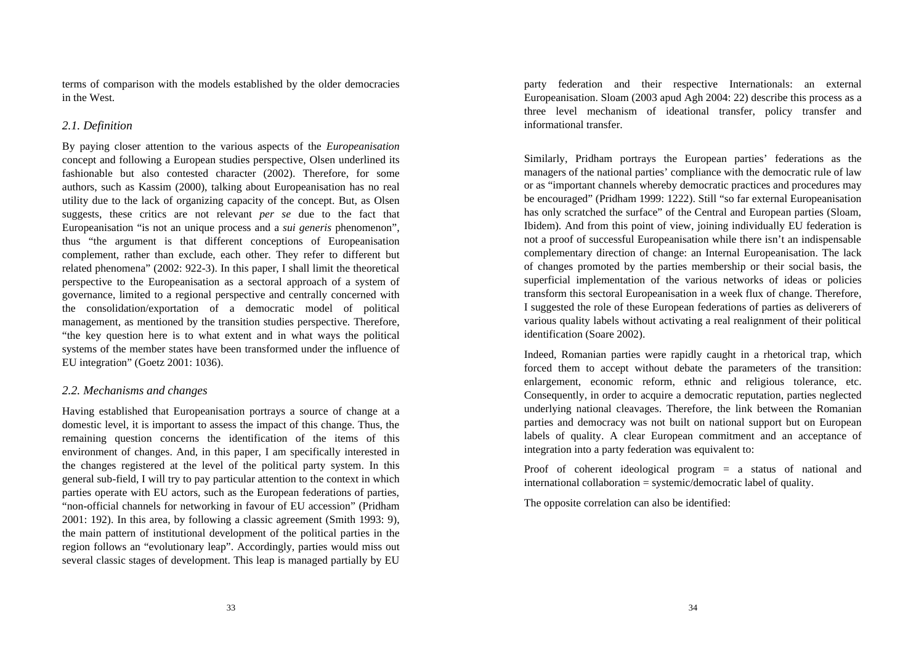terms of comparison with the models established by the older democracies in the West.

## *2.1. Definition*

By paying closer attention to the various aspects of the *Europeanisation*  concept and following a European studies perspective, Olsen underlined its fashionable but also contested character (2002). Therefore, for some authors, such as Kassim (2000), talking about Europeanisation has no real utility due to the lack of organizing capacity of the concept. But, as Olsen suggests, these critics are not relevant *per se* due to the fact that Europeanisation "is not an unique process and a *sui generis* phenomenon", thus "the argument is that different conceptions of Europeanisation complement, rather than exclude, each other. They refer to different but related phenomena" (2002: 922-3). In this paper, I shall limit the theoretical perspective to the Europeanisation as a sectoral approach of a system of governance, limited to a regional perspective and centrally concerned with the consolidation/exportation of a democratic model of political management, as mentioned by the transition studies perspective. Therefore, "the key question here is to what extent and in what ways the political systems of the member states have been transformed under the influence of EU integration" (Goetz 2001: 1036).

#### *2.2. Mechanisms and changes*

Having established that Europeanisation portrays a source of change at a domestic level, it is important to assess the impact of this change. Thus, the remaining question concerns the identification of the items of this environment of changes. And, in this paper, I am specifically interested in the changes registered at the level of the political party system. In this general sub-field, I will try to pay particular attention to the context in which parties operate with EU actors, such as the European federations of parties, "non-official channels for networking in favour of EU accession" (Pridham 2001: 192). In this area, by following a classic agreement (Smith 1993: 9), the main pattern of institutional development of the political parties in the region follows an "evolutionary leap". Accordingly, parties would miss out several classic stages of development. This leap is managed partially by EU

party federation and their respective Internationals: an external Europeanisation. Sloam (2003 apud Agh 2004: 22) describe this process as a three level mechanism of ideational transfer, policy transfer and informational transfer.

Similarly, Pridham portrays the European parties' federations as the managers of the national parties' compliance with the democratic rule of law or as "important channels whereby democratic practices and procedures may be encouraged" (Pridham 1999: 1222). Still "so far external Europeanisation has only scratched the surface" of the Central and European parties (Sloam, Ibidem). And from this point of view, joining individually EU federation is not a proof of successful Europeanisation while there isn't an indispensable complementary direction of change: an Internal Europeanisation. The lack of changes promoted by the parties membership or their social basis, the superficial implementation of the various networks of ideas or policies transform this sectoral Europeanisation in a week flux of change. Therefore, I suggested the role of these European federations of parties as deliverers of various quality labels without activating a real realignment of their political identification (Soare 2002).

Indeed, Romanian parties were rapidly caught in a rhetorical trap, which forced them to accept without debate the parameters of the transition: enlargement, economic reform, ethnic and religious tolerance, etc. Consequently, in order to acquire a democratic reputation, parties neglected underlying national cleavages. Therefore, the link between the Romanian parties and democracy was not built on national support but on European labels of quality. A clear European commitment and an acceptance of integration into a party federation was equivalent to:

Proof of coherent ideological program = a status of national and international collaboration = systemic/democratic label of quality.

The opposite correlation can also be identified: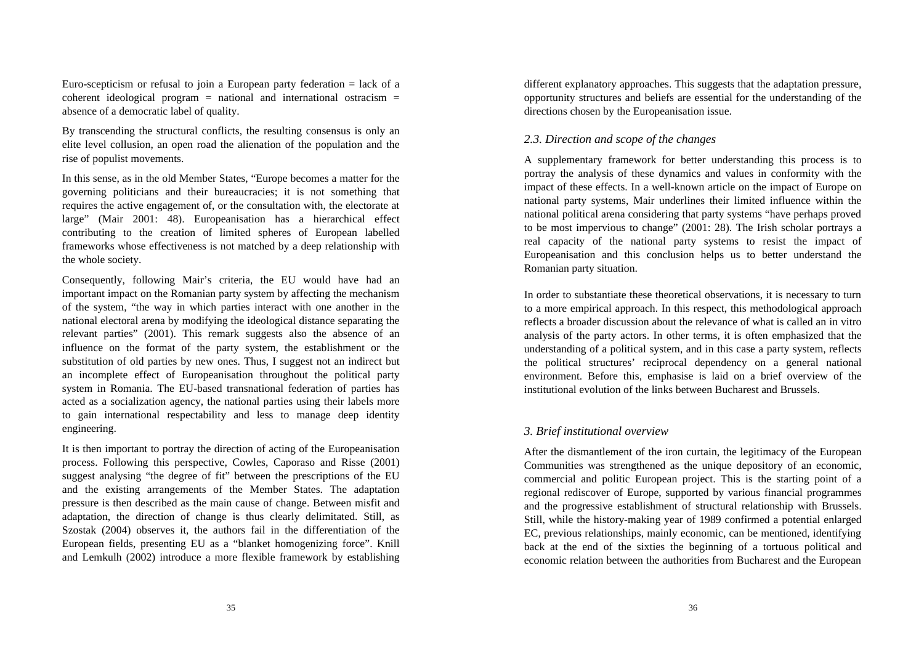Euro-scepticism or refusal to join a European party federation  $=$  lack of a coherent ideological program  $=$  national and international ostracism  $=$ absence of a democratic label of quality.

By transcending the structural conflicts, the resulting consensus is only an elite level collusion, an open road the alienation of the population and the rise of populist movements.

In this sense, as in the old Member States, "Europe becomes a matter for the governing politicians and their bureaucracies; it is not something that requires the active engagement of, or the consultation with, the electorate at large" (Mair 2001: 48). Europeanisation has a hierarchical effect contributing to the creation of limited spheres of European labelled frameworks whose effectiveness is not matched by a deep relationship with the whole society.

Consequently, following Mair's criteria, the EU would have had an important impact on the Romanian party system by affecting the mechanism of the system, "the way in which parties interact with one another in the national electoral arena by modifying the ideological distance separating the relevant parties" (2001). This remark suggests also the absence of an influence on the format of the party system, the establishment or the substitution of old parties by new ones. Thus, I suggest not an indirect but an incomplete effect of Europeanisation throughout the political party system in Romania. The EU-based transnational federation of parties has acted as a socialization agency, the national parties using their labels more to gain international respectability and less to manage deep identity engineering.

It is then important to portray the direction of acting of the Europeanisation process. Following this perspective, Cowles, Caporaso and Risse (2001) suggest analysing "the degree of fit" between the prescriptions of the EU and the existing arrangements of the Member States. The adaptation pressure is then described as the main cause of change. Between misfit and adaptation, the direction of change is thus clearly delimitated. Still, as Szostak (2004) observes it, the authors fail in the differentiation of the European fields, presenting EU as a "blanket homogenizing force". Knill and Lemkulh (2002) introduce a more flexible framework by establishing different explanatory approaches. This suggests that the adaptation pressure, opportunity structures and beliefs are essential for the understanding of the directions chosen by the Europeanisation issue.

### *2.3. Direction and scope of the changes*

A supplementary framework for better understanding this process is to portray the analysis of these dynamics and values in conformity with the impact of these effects. In a well-known article on the impact of Europe on national party systems, Mair underlines their limited influence within the national political arena considering that party systems "have perhaps proved to be most impervious to change" (2001: 28). The Irish scholar portrays a real capacity of the national party systems to resist the impact of Europeanisation and this conclusion helps us to better understand the Romanian party situation.

In order to substantiate these theoretical observations, it is necessary to turn to a more empirical approach. In this respect, this methodological approach reflects a broader discussion about the relevance of what is called an in vitro analysis of the party actors. In other terms, it is often emphasized that the understanding of a political system, and in this case a party system, reflects the political structures' reciprocal dependency on a general national environment. Before this, emphasise is laid on a brief overview of the institutional evolution of the links between Bucharest and Brussels.

#### *3. Brief institutional overview*

After the dismantlement of the iron curtain, the legitimacy of the European Communities was strengthened as the unique depository of an economic, commercial and politic European project. This is the starting point of a regional rediscover of Europe, supported by various financial programmes and the progressive establishment of structural relationship with Brussels. Still, while the history-making year of 1989 confirmed a potential enlarged EC, previous relationships, mainly economic, can be mentioned, identifying back at the end of the sixties the beginning of a tortuous political and economic relation between the authorities from Bucharest and the European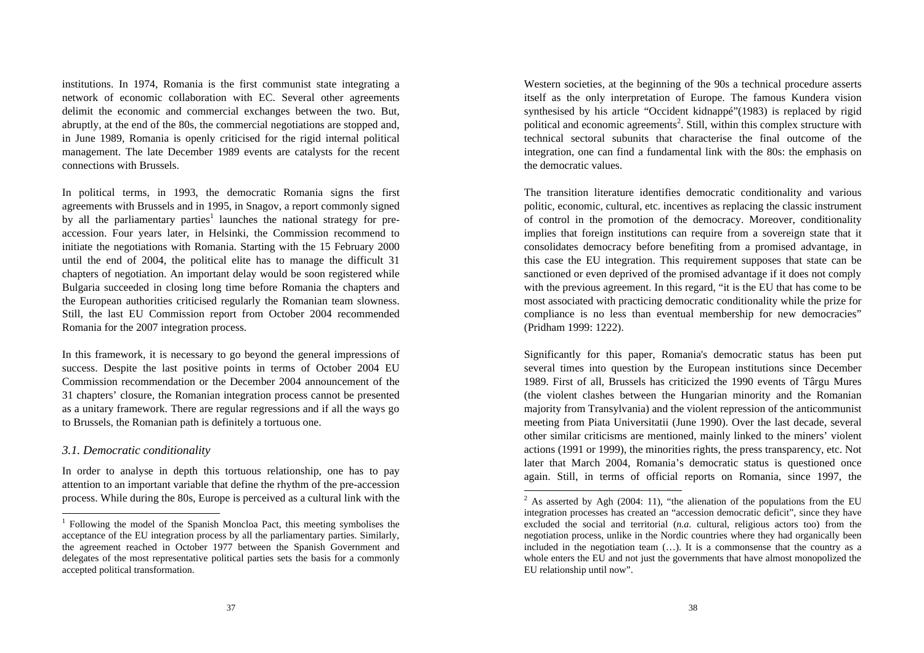institutions. In 1974, Romania is the first communist state integrating a network of economic collaboration with EC. Several other agreements delimit the economic and commercial exchanges between the two. But, abruptly, at the end of the 80s, the commercial negotiations are stopped and, in June 1989, Romania is openly criticised for the rigid internal political management. The late December 1989 events are catalysts for the recent connections with Brussels.

In political terms, in 1993, the democratic Romania signs the first agreements with Brussels and in 1995, in Snagov, a report commonly signed by all the parliamentary parties<sup>1</sup> launches the national strategy for preaccession. Four years later, in Helsinki, the Commission recommend to initiate the negotiations with Romania. Starting with the 15 February 2000 until the end of 2004, the political elite has to manage the difficult 31 chapters of negotiation. An important delay would be soon registered while Bulgaria succeeded in closing long time before Romania the chapters and the European authorities criticised regularly the Romanian team slowness. Still, the last EU Commission report from October 2004 recommended Romania for the 2007 integration process.

In this framework, it is necessary to go beyond the general impressions of success. Despite the last positive points in terms of October 2004 EU Commission recommendation or the December 2004 announcement of the 31 chapters' closure, the Romanian integration process cannot be presented as a unitary framework. There are regular regressions and if all the ways go to Brussels, the Romanian path is definitely a tortuous one.

### *3.1. Democratic conditionality*

l

In order to analyse in depth this tortuous relationship, one has to pay attention to an important variable that define the rhythm of the pre-accession process. While during the 80s, Europe is perceived as a cultural link with the

Western societies, at the beginning of the 90s a technical procedure asserts itself as the only interpretation of Europe. The famous Kundera vision synthesised by his article "Occident kidnappé"(1983) is replaced by rigid political and economic agreements<sup>2</sup>. Still, within this complex structure with technical sectoral subunits that characterise the final outcome of the integration, one can find a fundamental link with the 80s: the emphasis on the democratic values.

The transition literature identifies democratic conditionality and various politic, economic, cultural, etc. incentives as replacing the classic instrument of control in the promotion of the democracy. Moreover, conditionality implies that foreign institutions can require from a sovereign state that it consolidates democracy before benefiting from a promised advantage, in this case the EU integration. This requirement supposes that state can be sanctioned or even deprived of the promised advantage if it does not comply with the previous agreement. In this regard, "it is the EU that has come to be most associated with practicing democratic conditionality while the prize for compliance is no less than eventual membership for new democracies" (Pridham 1999: 1222).

Significantly for this paper, Romania's democratic status has been put several times into question by the European institutions since December 1989. First of all, Brussels has criticized the 1990 events of Târgu Mures (the violent clashes between the Hungarian minority and the Romanian majority from Transylvania) and the violent repression of the anticommunist meeting from Piata Universitatii (June 1990). Over the last decade, several other similar criticisms are mentioned, mainly linked to the miners' violent actions (1991 or 1999), the minorities rights, the press transparency, etc. Not later that March 2004, Romania's democratic status is questioned once again. Still, in terms of official reports on Romania, since 1997, the

-

<sup>&</sup>lt;sup>1</sup> Following the model of the Spanish Moncloa Pact, this meeting symbolises the acceptance of the EU integration process by all the parliamentary parties. Similarly, the agreement reached in October 1977 between the Spanish Government and delegates of the most representative political parties sets the basis for a commonly accepted political transformation.

<sup>&</sup>lt;sup>2</sup> As asserted by Agh (2004: 11), "the alienation of the populations from the EU integration processes has created an "accession democratic deficit", since they have excluded the social and territorial (*n.a.* cultural, religious actors too) from the negotiation process, unlike in the Nordic countries where they had organically been included in the negotiation team (…). It is a commonsense that the country as a whole enters the EU and not just the governments that have almost monopolized the EU relationship until now".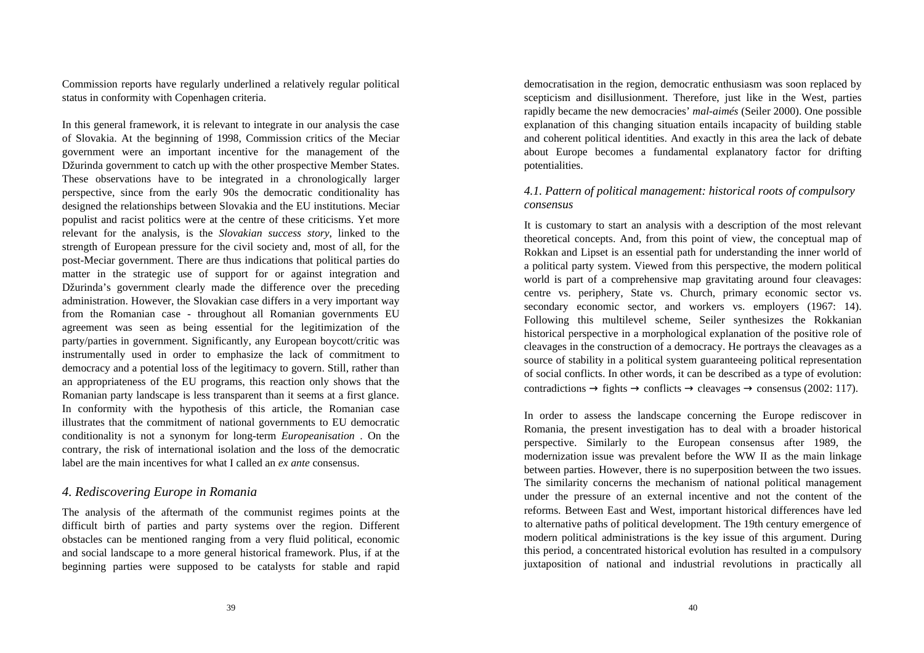Commission reports have regularly underlined a relatively regular political status in conformity with Copenhagen criteria.

In this general framework, it is relevant to integrate in our analysis the case of Slovakia. At the beginning of 1998, Commission critics of the Meciar government were an important incentive for the management of the Džurinda government to catch up with the other prospective Member States. These observations have to be integrated in a chronologically larger perspective, since from the early 90s the democratic conditionality has designed the relationships between Slovakia and the EU institutions. Meciar populist and racist politics were at the centre of these criticisms. Yet more relevant for the analysis, is the *Slovakian success story*, linked to the strength of European pressure for the civil society and, most of all, for the post-Meciar government. There are thus indications that political parties do matter in the strategic use of support for or against integration and Džurinda's government clearly made the difference over the preceding administration. However, the Slovakian case differs in a very important way from the Romanian case - throughout all Romanian governments EU agreement was seen as being essential for the legitimization of the party/parties in government. Significantly, any European boycott/critic was instrumentally used in order to emphasize the lack of commitment to democracy and a potential loss of the legitimacy to govern. Still, rather than an appropriateness of the EU programs, this reaction only shows that the Romanian party landscape is less transparent than it seems at a first glance. In conformity with the hypothesis of this article, the Romanian case illustrates that the commitment of national governments to EU democratic conditionality is not a synonym for long-term *Europeanisation* . On the contrary, the risk of international isolation and the loss of the democratic label are the main incentives for what I called an *ex ante* consensus.

# *4. Rediscovering Europe in Romania*

The analysis of the aftermath of the communist regimes points at the difficult birth of parties and party systems over the region. Different obstacles can be mentioned ranging from a very fluid political, economic and social landscape to a more general historical framework. Plus, if at the beginning parties were supposed to be catalysts for stable and rapid

democratisation in the region, democratic enthusiasm was soon replaced by scepticism and disillusionment. Therefore, just like in the West, parties rapidly became the new democracies' *mal-aimés* (Seiler 2000). One possible explanation of this changing situation entails incapacity of building stable and coherent political identities. And exactly in this area the lack of debate about Europe becomes a fundamental explanatory factor for drifting potentialities.

# *4.1. Pattern of political management: historical roots of compulsory consensus*

It is customary to start an analysis with a description of the most relevant theoretical concepts. And, from this point of view, the conceptual map of Rokkan and Lipset is an essential path for understanding the inner world of a political party system. Viewed from this perspective, the modern political world is part of a comprehensive map gravitating around four cleavages: centre vs. periphery, State vs. Church, primary economic sector vs. secondary economic sector, and workers vs. employers (1967: 14). Following this multilevel scheme, Seiler synthesizes the Rokkanian historical perspective in a morphological explanation of the positive role of cleavages in the construction of a democracy. He portrays the cleavages as a source of stability in a political system guaranteeing political representation of social conflicts. In other words, it can be described as a type of evolution: contradictions  $\rightarrow$  fights  $\rightarrow$  conflicts  $\rightarrow$  cleavages  $\rightarrow$  consensus (2002: 117).

In order to assess the landscape concerning the Europe rediscover in Romania, the present investigation has to deal with a broader historical perspective. Similarly to the European consensus after 1989, the modernization issue was prevalent before the WW II as the main linkage between parties. However, there is no superposition between the two issues. The similarity concerns the mechanism of national political management under the pressure of an external incentive and not the content of the reforms. Between East and West, important historical differences have led to alternative paths of political development. The 19th century emergence of modern political administrations is the key issue of this argument. During this period, a concentrated historical evolution has resulted in a compulsory juxtaposition of national and industrial revolutions in practically all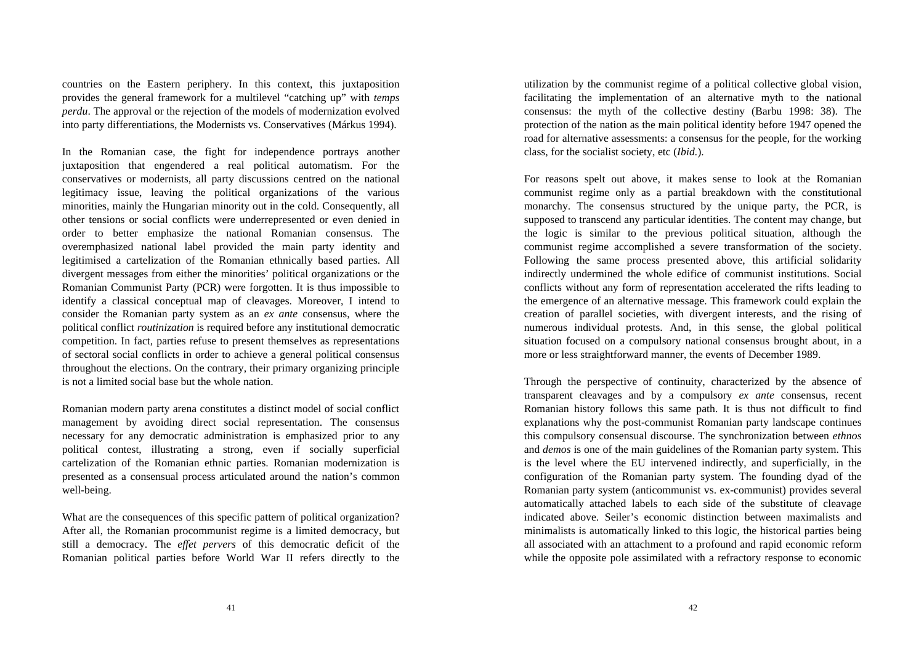countries on the Eastern periphery. In this context, this juxtaposition provides the general framework for a multilevel "catching up" with *temps perdu*. The approval or the rejection of the models of modernization evolved into party differentiations, the Modernists vs. Conservatives (Márkus 1994).

In the Romanian case, the fight for independence portrays another juxtaposition that engendered a real political automatism. For the conservatives or modernists, all party discussions centred on the national legitimacy issue, leaving the political organizations of the various minorities, mainly the Hungarian minority out in the cold. Consequently, all other tensions or social conflicts were underrepresented or even denied in order to better emphasize the national Romanian consensus. The overemphasized national label provided the main party identity and legitimised a cartelization of the Romanian ethnically based parties. All divergent messages from either the minorities' political organizations or the Romanian Communist Party (PCR) were forgotten. It is thus impossible to identify a classical conceptual map of cleavages. Moreover, I intend to consider the Romanian party system as an *ex ante* consensus, where the political conflict *routinization* is required before any institutional democratic competition. In fact, parties refuse to present themselves as representations of sectoral social conflicts in order to achieve a general political consensus throughout the elections. On the contrary, their primary organizing principle is not a limited social base but the whole nation.

Romanian modern party arena constitutes a distinct model of social conflict management by avoiding direct social representation. The consensus necessary for any democratic administration is emphasized prior to any political contest, illustrating a strong, even if socially superficial cartelization of the Romanian ethnic parties. Romanian modernization is presented as a consensual process articulated around the nation's common well-being.

What are the consequences of this specific pattern of political organization? After all, the Romanian procommunist regime is a limited democracy, but still a democracy. The *effet pervers* of this democratic deficit of the Romanian political parties before World War II refers directly to the

utilization by the communist regime of a political collective global vision, facilitating the implementation of an alternative myth to the national consensus: the myth of the collective destiny (Barbu 1998: 38). The protection of the nation as the main political identity before 1947 opened the road for alternative assessments: a consensus for the people, for the working class, for the socialist society, etc (*Ibid.*).

For reasons spelt out above, it makes sense to look at the Romanian communist regime only as a partial breakdown with the constitutional monarchy. The consensus structured by the unique party, the PCR, is supposed to transcend any particular identities. The content may change, but the logic is similar to the previous political situation, although the communist regime accomplished a severe transformation of the society. Following the same process presented above, this artificial solidarity indirectly undermined the whole edifice of communist institutions. Social conflicts without any form of representation accelerated the rifts leading to the emergence of an alternative message. This framework could explain the creation of parallel societies, with divergent interests, and the rising of numerous individual protests. And, in this sense, the global political situation focused on a compulsory national consensus brought about, in a more or less straightforward manner, the events of December 1989.

Through the perspective of continuity, characterized by the absence of transparent cleavages and by a compulsory *ex ante* consensus, recent Romanian history follows this same path. It is thus not difficult to find explanations why the post-communist Romanian party landscape continues this compulsory consensual discourse. The synchronization between *ethnos* and *demos* is one of the main guidelines of the Romanian party system. This is the level where the EU intervened indirectly, and superficially, in the configuration of the Romanian party system. The founding dyad of the Romanian party system (anticommunist vs. ex-communist) provides several automatically attached labels to each side of the substitute of cleavage indicated above. Seiler's economic distinction between maximalists and minimalists is automatically linked to this logic, the historical parties being all associated with an attachment to a profound and rapid economic reform while the opposite pole assimilated with a refractory response to economic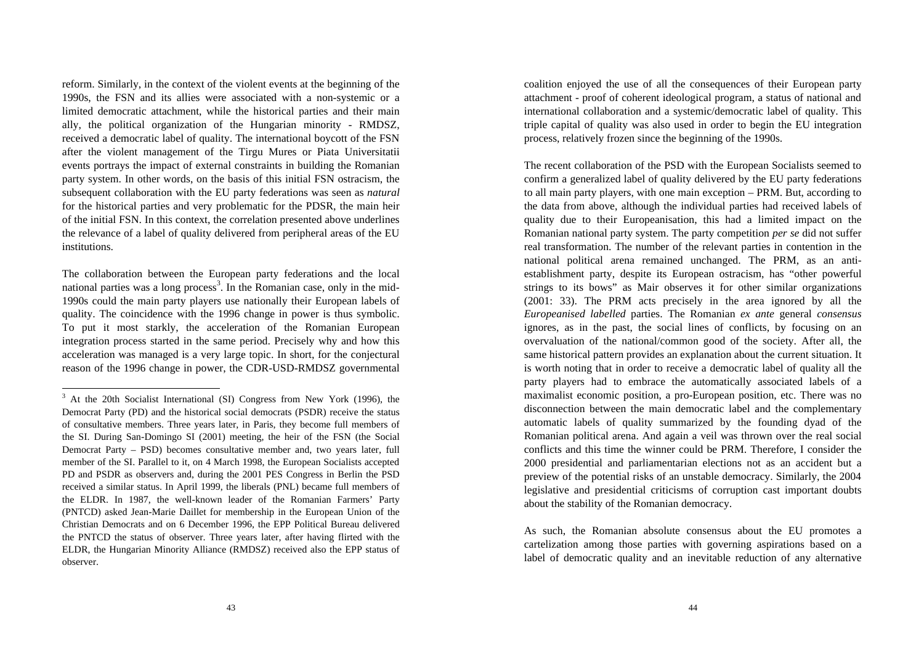reform. Similarly, in the context of the violent events at the beginning of the 1990s, the FSN and its allies were associated with a non-systemic or a limited democratic attachment, while the historical parties and their main ally, the political organization of the Hungarian minority - RMDSZ, received a democratic label of quality. The international boycott of the FSN after the violent management of the Tirgu Mures or Piata Universitatii events portrays the impact of external constraints in building the Romanian party system. In other words, on the basis of this initial FSN ostracism, the subsequent collaboration with the EU party federations was seen as *natural* for the historical parties and very problematic for the PDSR, the main heir of the initial FSN. In this context, the correlation presented above underlines the relevance of a label of quality delivered from peripheral areas of the EU institutions.

The collaboration between the European party federations and the local national parties was a long process<sup>3</sup>. In the Romanian case, only in the mid-1990s could the main party players use nationally their European labels of quality. The coincidence with the 1996 change in power is thus symbolic. To put it most starkly, the acceleration of the Romanian European integration process started in the same period. Precisely why and how this acceleration was managed is a very large topic. In short, for the conjectural reason of the 1996 change in power, the CDR-USD-RMDSZ governmental

l

coalition enjoyed the use of all the consequences of their European party attachment - proof of coherent ideological program, a status of national and international collaboration and a systemic/democratic label of quality. This triple capital of quality was also used in order to begin the EU integration process, relatively frozen since the beginning of the 1990s.

The recent collaboration of the PSD with the European Socialists seemed to confirm a generalized label of quality delivered by the EU party federations to all main party players, with one main exception – PRM. But, according to the data from above, although the individual parties had received labels of quality due to their Europeanisation, this had a limited impact on the Romanian national party system. The party competition *per se* did not suffer real transformation. The number of the relevant parties in contention in the national political arena remained unchanged. The PRM, as an antiestablishment party, despite its European ostracism, has "other powerful strings to its bows" as Mair observes it for other similar organizations (2001: 33). The PRM acts precisely in the area ignored by all the *Europeanised labelled* parties. The Romanian *ex ante* general *consensus* ignores, as in the past, the social lines of conflicts, by focusing on an overvaluation of the national/common good of the society. After all, the same historical pattern provides an explanation about the current situation. It is worth noting that in order to receive a democratic label of quality all the party players had to embrace the automatically associated labels of a maximalist economic position, a pro-European position, etc. There was no disconnection between the main democratic label and the complementary automatic labels of quality summarized by the founding dyad of the Romanian political arena. And again a veil was thrown over the real social conflicts and this time the winner could be PRM. Therefore, I consider the 2000 presidential and parliamentarian elections not as an accident but a preview of the potential risks of an unstable democracy. Similarly, the 2004 legislative and presidential criticisms of corruption cast important doubts about the stability of the Romanian democracy.

As such, the Romanian absolute consensus about the EU promotes a cartelization among those parties with governing aspirations based on a label of democratic quality and an inevitable reduction of any alternative

<sup>&</sup>lt;sup>3</sup> At the 20th Socialist International (SI) Congress from New York (1996), the Democrat Party (PD) and the historical social democrats (PSDR) receive the status of consultative members. Three years later, in Paris, they become full members of the SI. During San-Domingo SI (2001) meeting, the heir of the FSN (the Social Democrat Party – PSD) becomes consultative member and, two years later, full member of the SI. Parallel to it, on 4 March 1998, the European Socialists accepted PD and PSDR as observers and, during the 2001 PES Congress in Berlin the PSD received a similar status. In April 1999, the liberals (PNL) became full members of the ELDR. In 1987, the well-known leader of the Romanian Farmers' Party (PNTCD) asked Jean-Marie Daillet for membership in the European Union of the Christian Democrats and on 6 December 1996, the EPP Political Bureau delivered the PNTCD the status of observer. Three years later, after having flirted with the ELDR, the Hungarian Minority Alliance (RMDSZ) received also the EPP status of observer.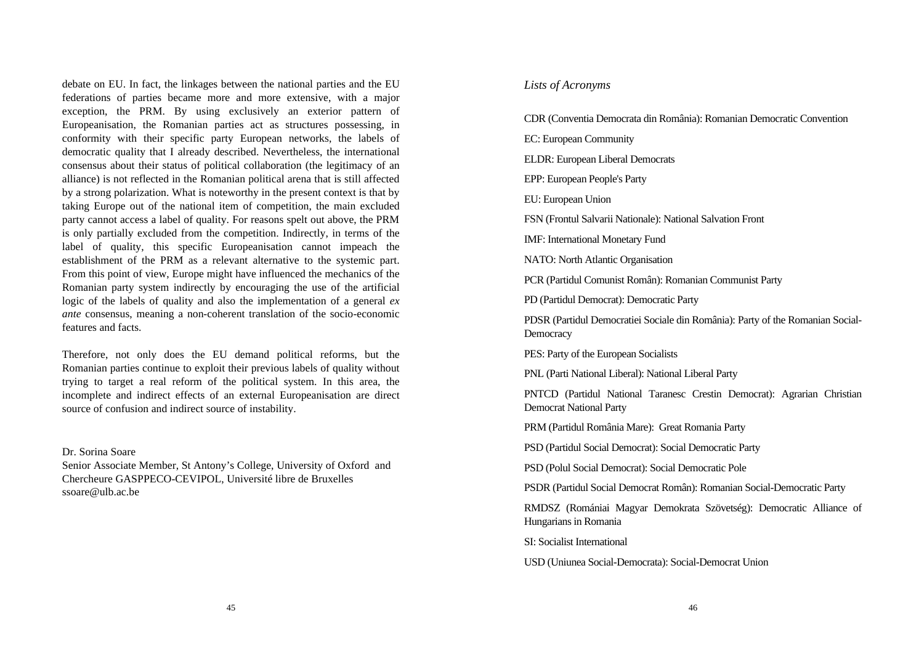debate on EU. In fact, the linkages between the national parties and the EU federations of parties became more and more extensive, with a major exception, the PRM. By using exclusively an exterior pattern of Europeanisation, the Romanian parties act as structures possessing, in conformity with their specific party European networks, the labels of democratic quality that I already described. Nevertheless, the international consensus about their status of political collaboration (the legitimacy of an alliance) is not reflected in the Romanian political arena that is still affected by a strong polarization. What is noteworthy in the present context is that by taking Europe out of the national item of competition, the main excluded party cannot access a label of quality. For reasons spelt out above, the PRM is only partially excluded from the competition. Indirectly, in terms of the label of quality, this specific Europeanisation cannot impeach the establishment of the PRM as a relevant alternative to the systemic part. From this point of view, Europe might have influenced the mechanics of the Romanian party system indirectly by encouraging the use of the artificial logic of the labels of quality and also the implementation of a general *ex ante* consensus, meaning a non-coherent translation of the socio-economic features and facts.

Therefore, not only does the EU demand political reforms, but the Romanian parties continue to exploit their previous labels of quality without trying to target a real reform of the political system. In this area, the incomplete and indirect effects of an external Europeanisation are direct source of confusion and indirect source of instability.

Dr. Sorina Soare

Senior Associate Member, St Antony's College, University of Oxford and Chercheure GASPPECO-CEVIPOL, Université libre de Bruxelles ssoare@ulb.ac.be

## *Lists of Acronyms*

CDR (Conventia Democrata din România): Romanian Democratic Convention EC: European Community ELDR: European Liberal Democrats EPP: European People's Party EU: European Union FSN (Frontul Salvarii Nationale): National Salvation Front IMF: International Monetary Fund NATO: North Atlantic Organisation PCR (Partidul Comunist Român): Romanian Communist Party PD (Partidul Democrat): Democratic Party PDSR (Partidul Democratiei Sociale din România): Party of the Romanian Social-**Democracy** PES: Party of the European Socialists PNL (Parti National Liberal): National Liberal Party PNTCD (Partidul National Taranesc Crestin Democrat): Agrarian Christian Democrat National Party PRM (Partidul România Mare): Great Romania Party PSD (Partidul Social Democrat): Social Democratic Party PSD (Polul Social Democrat): Social Democratic Pole

PSDR (Partidul Social Democrat Român): Romanian Social-Democratic Party

RMDSZ (Romániai Magyar Demokrata Szövetség): Democratic Alliance of Hungarians in Romania

SI: Socialist International

USD (Uniunea Social-Democrata): Social-Democrat Union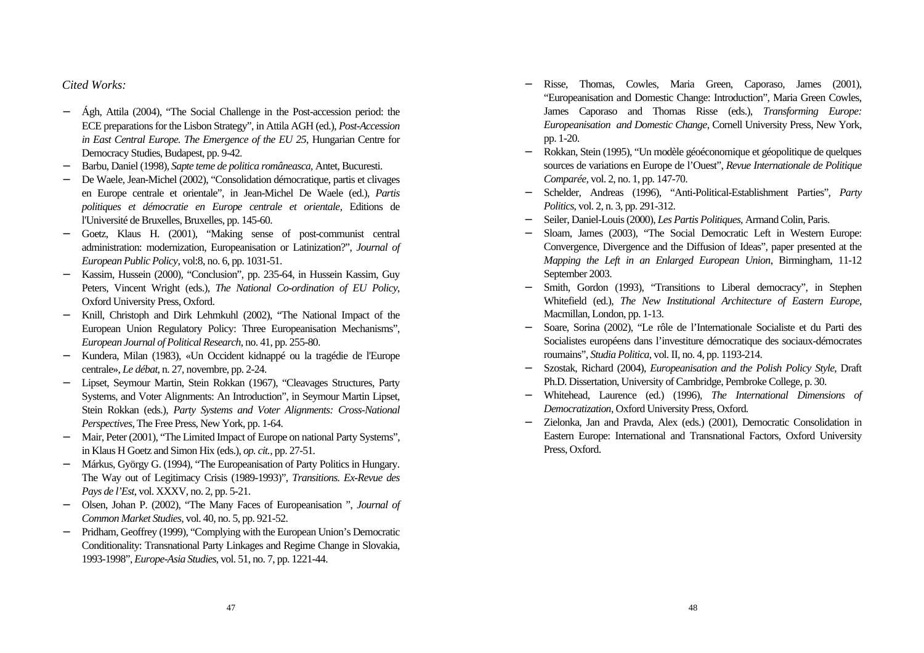# *Cited Works:*

- − Ágh, Attila (2004), "The Social Challenge in the Post-accession period: the ECE preparations for the Lisbon Strategy", in Attila AGH (ed.), *Post-Accession in East Central Europe. The Emergence of the EU 25*, Hungarian Centre for Democracy Studies*,* Budapest, pp. 9-42.
- − Barbu, Daniel (1998), *Sapte teme de politica româneasca,* Antet, Bucuresti.
- − De Waele, Jean-Michel (2002), "Consolidation démocratique, partis et clivages en Europe centrale et orientale", in Jean-Michel De Waele (ed.), *Partis politiques et démocratie en Europe centrale et orientale*, Editions de l'Université de Bruxelles, Bruxelles, pp. 145-60.
- − Goetz, Klaus H. (2001), "Making sense of post-communist central administration: modernization, Europeanisation or Latinization?", *Journal of European Public Policy*, vol:8, no. 6, pp. 1031-51.
- − Kassim, Hussein (2000), "Conclusion", pp. 235-64, in Hussein Kassim, Guy Peters, Vincent Wright (eds.), *The National Co-ordination of EU Policy*, Oxford University Press, Oxford.
- Knill, Christoph and Dirk Lehmkuhl (2002), "The National Impact of the European Union Regulatory Policy: Three Europeanisation Mechanisms", *European Journal of Political Research*, no. 41, pp. 255-80.
- − Kundera, Milan (1983), «Un Occident kidnappé ou la tragédie de l'Europe centrale», *Le débat*, n. 27, novembre, pp. 2-24.
- − Lipset, Seymour Martin, Stein Rokkan (1967), "Cleavages Structures, Party Systems, and Voter Alignments: An Introduction", in Seymour Martin Lipset, Stein Rokkan (eds.), *Party Systems and Voter Alignments: Cross-National Perspectives,* The Free Press, New York, pp. 1-64.
- − Mair, Peter (2001), "The Limited Impact of Europe on national Party Systems", in Klaus H Goetz and Simon Hix (eds.), *op. cit.*, pp. 27-51.
- − Márkus, György G. (1994), "The Europeanisation of Party Politics in Hungary. The Way out of Legitimacy Crisis (1989-1993)", *Transitions. Ex-Revue des Pays de l'Est*, vol. XXXV, no. 2, pp. 5-21.
- − Olsen, Johan P. (2002), "The Many Faces of Europeanisation ", *Journal of Common Market Studies*, vol. 40, no. 5, pp. 921-52.
- − Pridham, Geoffrey (1999), "Complying with the European Union's Democratic Conditionality: Transnational Party Linkages and Regime Change in Slovakia, 1993-1998", *Europe-Asia Studies*, vol. 51, no. 7, pp. 1221-44.
- − Risse, Thomas, Cowles, Maria Green, Caporaso, James (2001), "Europeanisation and Domestic Change: Introduction", Maria Green Cowles, James Caporaso and Thomas Risse (eds.), *Transforming Europe: Europeanisation and Domestic Change*, Cornell University Press, New York, pp. 1-20.
- − Rokkan, Stein (1995), "Un modèle géoéconomique et géopolitique de quelques sources de variations en Europe de l'Ouest", *Revue Internationale de Politique Comparée,* vol. 2, no. 1, pp. 147-70.
- − Schelder, Andreas (1996), "Anti-Political-Establishment Parties", *Party Politics*, vol. 2, n. 3, pp. 291-312.
- − Seiler, Daniel-Louis (2000), *Les Partis Politiques,* Armand Colin, Paris.
- Sloam, James (2003), "The Social Democratic Left in Western Europe: Convergence, Divergence and the Diffusion of Ideas", paper presented at the *Mapping the Left in an Enlarged European Union*, Birmingham, 11-12 September 2003.
- − Smith, Gordon (1993), "Transitions to Liberal democracy", in Stephen Whitefield (ed.), *The New Institutional Architecture of Eastern Europe*, Macmillan, London, pp. 1-13.
- − Soare, Sorina (2002), "Le rôle de l'Internationale Socialiste et du Parti des Socialistes européens dans l'investiture démocratique des sociaux-démocrates roumains", *Studia Politica*, vol. II, no. 4, pp. 1193-214.
- − Szostak, Richard (2004), *Europeanisation and the Polish Policy Style*, Draft Ph.D. Dissertation, University of Cambridge, Pembroke College, p. 30.
- − Whitehead, Laurence (ed.) (1996), *The International Dimensions of Democratization*, Oxford University Press, Oxford.
- − Zielonka, Jan and Pravda, Alex (eds.) (2001), Democratic Consolidation in Eastern Europe: International and Transnational Factors, Oxford University Press, Oxford.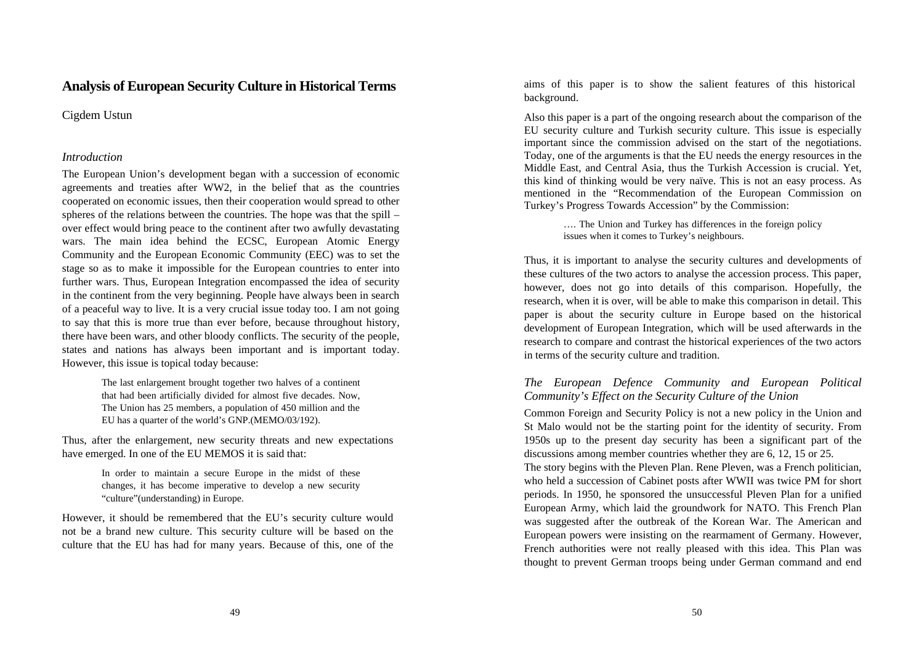# **Analysis of European Security Culture in Historical Terms**

Cigdem Ustun

#### *Introduction*

The European Union's development began with a succession of economic agreements and treaties after WW2, in the belief that as the countries cooperated on economic issues, then their cooperation would spread to other spheres of the relations between the countries. The hope was that the spill – over effect would bring peace to the continent after two awfully devastating wars. The main idea behind the ECSC, European Atomic Energy Community and the European Economic Community (EEC) was to set the stage so as to make it impossible for the European countries to enter into further wars. Thus, European Integration encompassed the idea of security in the continent from the very beginning. People have always been in search of a peaceful way to live. It is a very crucial issue today too. I am not going to say that this is more true than ever before, because throughout history, there have been wars, and other bloody conflicts. The security of the people, states and nations has always been important and is important today. However, this issue is topical today because:

> The last enlargement brought together two halves of a continent that had been artificially divided for almost five decades. Now, The Union has 25 members, a population of 450 million and the EU has a quarter of the world's GNP.(MEMO/03/192).

Thus, after the enlargement, new security threats and new expectations have emerged. In one of the EU MEMOS it is said that:

> In order to maintain a secure Europe in the midst of these changes, it has become imperative to develop a new security "culture"(understanding) in Europe.

However, it should be remembered that the EU's security culture would not be a brand new culture. This security culture will be based on the culture that the EU has had for many years. Because of this, one of the aims of this paper is to show the salient features of this historical background.

Also this paper is a part of the ongoing research about the comparison of the EU security culture and Turkish security culture. This issue is especially important since the commission advised on the start of the negotiations. Today, one of the arguments is that the EU needs the energy resources in the Middle East, and Central Asia, thus the Turkish Accession is crucial. Yet, this kind of thinking would be very naïve. This is not an easy process. As mentioned in the "Recommendation of the European Commission on Turkey's Progress Towards Accession" by the Commission:

> …. The Union and Turkey has differences in the foreign policy issues when it comes to Turkey's neighbours.

Thus, it is important to analyse the security cultures and developments of these cultures of the two actors to analyse the accession process. This paper, however, does not go into details of this comparison. Hopefully, the research, when it is over, will be able to make this comparison in detail. This paper is about the security culture in Europe based on the historical development of European Integration, which will be used afterwards in the research to compare and contrast the historical experiences of the two actors in terms of the security culture and tradition.

## *The European Defence Community and European Political Community's Effect on the Security Culture of the Union*

Common Foreign and Security Policy is not a new policy in the Union and St Malo would not be the starting point for the identity of security. From 1950s up to the present day security has been a significant part of the discussions among member countries whether they are 6, 12, 15 or 25.

The story begins with the Pleven Plan. Rene Pleven, was a French politician, who held a succession of Cabinet posts after WWII was twice PM for short periods. In 1950, he sponsored the unsuccessful Pleven Plan for a unified European Army, which laid the groundwork for NATO. This French Plan was suggested after the outbreak of the Korean War. The American and European powers were insisting on the rearmament of Germany. However, French authorities were not really pleased with this idea. This Plan was thought to prevent German troops being under German command and end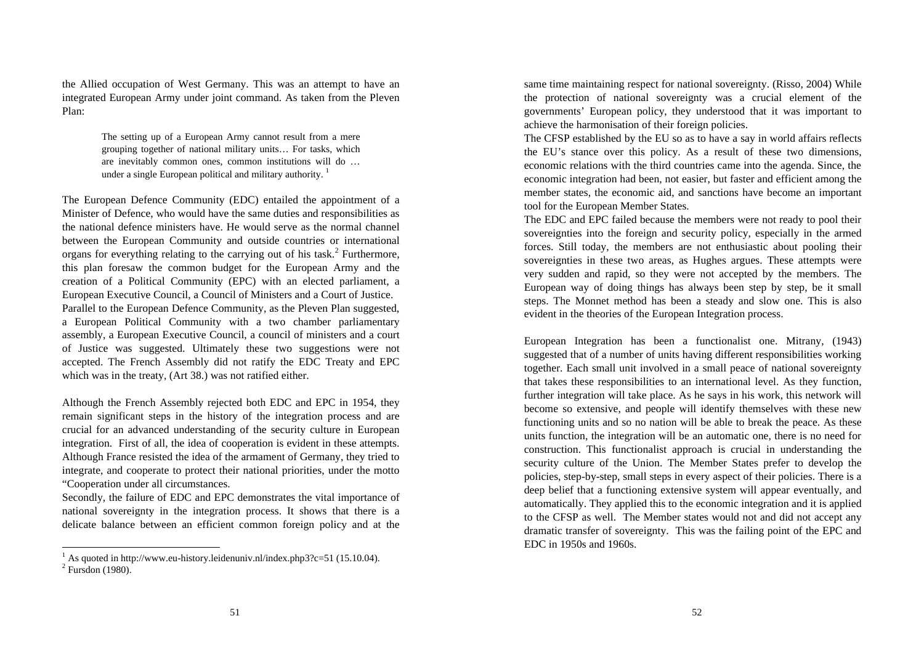the Allied occupation of West Germany. This was an attempt to have an integrated European Army under joint command. As taken from the Pleven Plan:

> The setting up of a European Army cannot result from a mere grouping together of national military units… For tasks, which are inevitably common ones, common institutions will do … under a single European political and military authority.<sup>1</sup>

The European Defence Community (EDC) entailed the appointment of a Minister of Defence, who would have the same duties and responsibilities as the national defence ministers have. He would serve as the normal channel between the European Community and outside countries or international organs for everything relating to the carrying out of his task.<sup>2</sup> Furthermore, this plan foresaw the common budget for the European Army and the creation of a Political Community (EPC) with an elected parliament, a European Executive Council, a Council of Ministers and a Court of Justice. Parallel to the European Defence Community, as the Pleven Plan suggested, a European Political Community with a two chamber parliamentary assembly, a European Executive Council, a council of ministers and a court of Justice was suggested. Ultimately these two suggestions were not accepted. The French Assembly did not ratify the EDC Treaty and EPC which was in the treaty, (Art 38.) was not ratified either.

Although the French Assembly rejected both EDC and EPC in 1954, they remain significant steps in the history of the integration process and are crucial for an advanced understanding of the security culture in European integration. First of all, the idea of cooperation is evident in these attempts. Although France resisted the idea of the armament of Germany, they tried to integrate, and cooperate to protect their national priorities, under the motto "Cooperation under all circumstances.

Secondly, the failure of EDC and EPC demonstrates the vital importance of national sovereignty in the integration process. It shows that there is a delicate balance between an efficient common foreign policy and at the

 $\overline{a}$ 

same time maintaining respect for national sovereignty. (Risso, 2004) While the protection of national sovereignty was a crucial element of the governments' European policy, they understood that it was important to achieve the harmonisation of their foreign policies.

The CFSP established by the EU so as to have a say in world affairs reflects the EU's stance over this policy. As a result of these two dimensions, economic relations with the third countries came into the agenda. Since, the economic integration had been, not easier, but faster and efficient among the member states, the economic aid, and sanctions have become an important tool for the European Member States.

The EDC and EPC failed because the members were not ready to pool their sovereignties into the foreign and security policy, especially in the armed forces. Still today, the members are not enthusiastic about pooling their sovereignties in these two areas, as Hughes argues. These attempts were very sudden and rapid, so they were not accepted by the members. The European way of doing things has always been step by step, be it small steps. The Monnet method has been a steady and slow one. This is also evident in the theories of the European Integration process.

European Integration has been a functionalist one. Mitrany, (1943) suggested that of a number of units having different responsibilities working together. Each small unit involved in a small peace of national sovereignty that takes these responsibilities to an international level. As they function, further integration will take place. As he says in his work, this network will become so extensive, and people will identify themselves with these new functioning units and so no nation will be able to break the peace. As these units function, the integration will be an automatic one, there is no need for construction. This functionalist approach is crucial in understanding the security culture of the Union. The Member States prefer to develop the policies, step-by-step, small steps in every aspect of their policies. There is a deep belief that a functioning extensive system will appear eventually, and automatically. They applied this to the economic integration and it is applied to the CFSP as well. The Member states would not and did not accept any dramatic transfer of sovereignty. This was the failing point of the EPC and EDC in 1950s and 1960s.

<sup>&</sup>lt;sup>1</sup> As quoted in http://www.eu-history.leidenuniv.nl/index.php3?c=51 (15.10.04). <sup>2</sup> Fursdon (1980).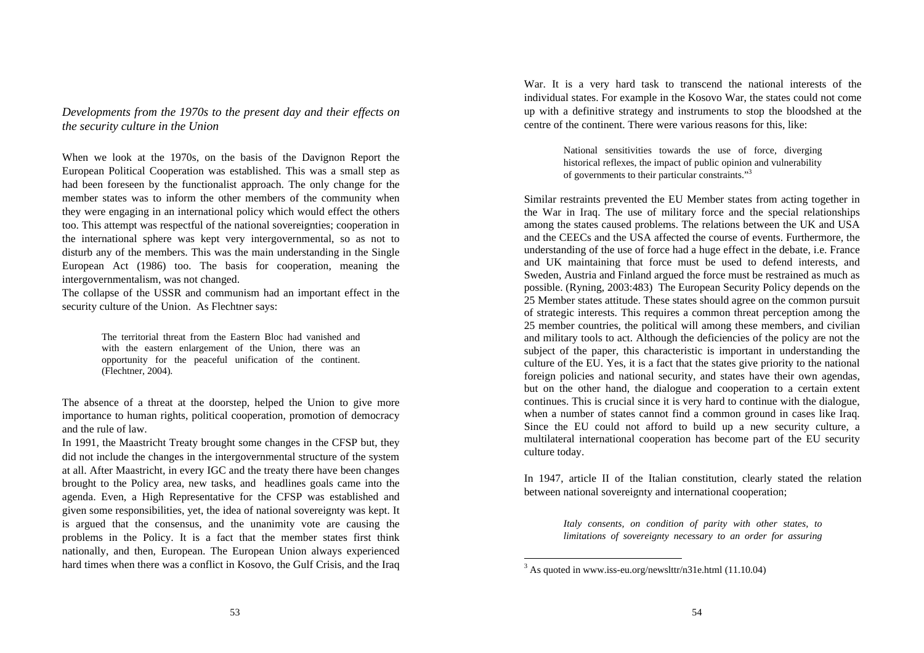*Developments from the 1970s to the present day and their effects on the security culture in the Union*

When we look at the 1970s, on the basis of the Davignon Report the European Political Cooperation was established. This was a small step as had been foreseen by the functionalist approach. The only change for the member states was to inform the other members of the community when they were engaging in an international policy which would effect the others too. This attempt was respectful of the national sovereignties; cooperation in the international sphere was kept very intergovernmental, so as not to disturb any of the members. This was the main understanding in the Single European Act (1986) too. The basis for cooperation, meaning the intergovernmentalism, was not changed.

The collapse of the USSR and communism had an important effect in the security culture of the Union. As Flechtner says:

> The territorial threat from the Eastern Bloc had vanished and with the eastern enlargement of the Union, there was an opportunity for the peaceful unification of the continent. (Flechtner, 2004).

The absence of a threat at the doorstep, helped the Union to give more importance to human rights, political cooperation, promotion of democracy and the rule of law.

In 1991, the Maastricht Treaty brought some changes in the CFSP but, they did not include the changes in the intergovernmental structure of the system at all. After Maastricht, in every IGC and the treaty there have been changes brought to the Policy area, new tasks, and headlines goals came into the agenda. Even, a High Representative for the CFSP was established and given some responsibilities, yet, the idea of national sovereignty was kept. It is argued that the consensus, and the unanimity vote are causing the problems in the Policy. It is a fact that the member states first think nationally, and then, European. The European Union always experienced hard times when there was a conflict in Kosovo, the Gulf Crisis, and the Iraq

War. It is a very hard task to transcend the national interests of the individual states. For example in the Kosovo War, the states could not come up with a definitive strategy and instruments to stop the bloodshed at the centre of the continent. There were various reasons for this, like:

> National sensitivities towards the use of force, diverging historical reflexes, the impact of public opinion and vulnerability of governments to their particular constraints."<sup>3</sup>

Similar restraints prevented the EU Member states from acting together in the War in Iraq. The use of military force and the special relationships among the states caused problems. The relations between the UK and USA and the CEECs and the USA affected the course of events. Furthermore, the understanding of the use of force had a huge effect in the debate, i.e. France and UK maintaining that force must be used to defend interests, and Sweden, Austria and Finland argued the force must be restrained as much as possible. (Ryning, 2003:483) The European Security Policy depends on the 25 Member states attitude. These states should agree on the common pursuit of strategic interests. This requires a common threat perception among the 25 member countries, the political will among these members, and civilian and military tools to act. Although the deficiencies of the policy are not the subject of the paper, this characteristic is important in understanding the culture of the EU. Yes, it is a fact that the states give priority to the national foreign policies and national security, and states have their own agendas, but on the other hand, the dialogue and cooperation to a certain extent continues. This is crucial since it is very hard to continue with the dialogue, when a number of states cannot find a common ground in cases like Iraq. Since the EU could not afford to build up a new security culture, a multilateral international cooperation has become part of the EU security culture today.

In 1947, article II of the Italian constitution, clearly stated the relation between national sovereignty and international cooperation;

> *Italy consents, on condition of parity with other states, to limitations of sovereignty necessary to an order for assuring*

<sup>3</sup> As quoted in www.iss-eu.org/newslttr/n31e.html (11.10.04)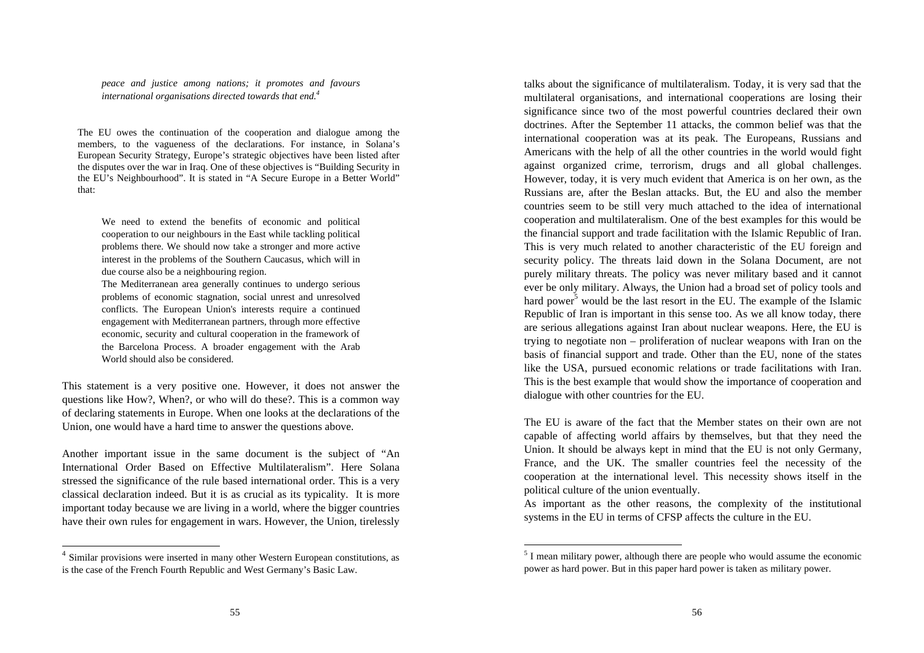*peace and justice among nations; it promotes and favours international organisations directed towards that end.<sup>4</sup>*

The EU owes the continuation of the cooperation and dialogue among the members, to the vagueness of the declarations. For instance, in Solana's European Security Strategy, Europe's strategic objectives have been listed after the disputes over the war in Iraq. One of these objectives is "Building Security in the EU's Neighbourhood". It is stated in "A Secure Europe in a Better World" that:

We need to extend the benefits of economic and political cooperation to our neighbours in the East while tackling political problems there. We should now take a stronger and more active interest in the problems of the Southern Caucasus, which will in due course also be a neighbouring region.

The Mediterranean area generally continues to undergo serious problems of economic stagnation, social unrest and unresolved conflicts. The European Union's interests require a continued engagement with Mediterranean partners, through more effective economic, security and cultural cooperation in the framework of the Barcelona Process. A broader engagement with the Arab World should also be considered.

This statement is a very positive one. However, it does not answer the questions like How?, When?, or who will do these?. This is a common way of declaring statements in Europe. When one looks at the declarations of the Union, one would have a hard time to answer the questions above.

Another important issue in the same document is the subject of "An International Order Based on Effective Multilateralism". Here Solana stressed the significance of the rule based international order. This is a very classical declaration indeed. But it is as crucial as its typicality. It is more important today because we are living in a world, where the bigger countries have their own rules for engagement in wars. However, the Union, tirelessly

 $\overline{a}$ 

talks about the significance of multilateralism. Today, it is very sad that the multilateral organisations, and international cooperations are losing their significance since two of the most powerful countries declared their own doctrines. After the September 11 attacks, the common belief was that the international cooperation was at its peak. The Europeans, Russians and Americans with the help of all the other countries in the world would fight against organized crime, terrorism, drugs and all global challenges. However, today, it is very much evident that America is on her own, as the Russians are, after the Beslan attacks. But, the EU and also the member countries seem to be still very much attached to the idea of international cooperation and multilateralism. One of the best examples for this would be the financial support and trade facilitation with the Islamic Republic of Iran. This is very much related to another characteristic of the EU foreign and security policy. The threats laid down in the Solana Document, are not purely military threats. The policy was never military based and it cannot ever be only military. Always, the Union had a broad set of policy tools and hard power<sup>5</sup> would be the last resort in the EU. The example of the Islamic Republic of Iran is important in this sense too. As we all know today, there are serious allegations against Iran about nuclear weapons. Here, the EU is trying to negotiate non – proliferation of nuclear weapons with Iran on the basis of financial support and trade. Other than the EU, none of the states like the USA, pursued economic relations or trade facilitations with Iran. This is the best example that would show the importance of cooperation and dialogue with other countries for the EU.

The EU is aware of the fact that the Member states on their own are not capable of affecting world affairs by themselves, but that they need the Union. It should be always kept in mind that the EU is not only Germany, France, and the UK. The smaller countries feel the necessity of the cooperation at the international level. This necessity shows itself in the political culture of the union eventually.

As important as the other reasons, the complexity of the institutional systems in the EU in terms of CFSP affects the culture in the EU.

<sup>&</sup>lt;sup>4</sup> Similar provisions were inserted in many other Western European constitutions, as is the case of the French Fourth Republic and West Germany's Basic Law.

 $<sup>5</sup>$  I mean military power, although there are people who would assume the economic</sup> power as hard power. But in this paper hard power is taken as military power.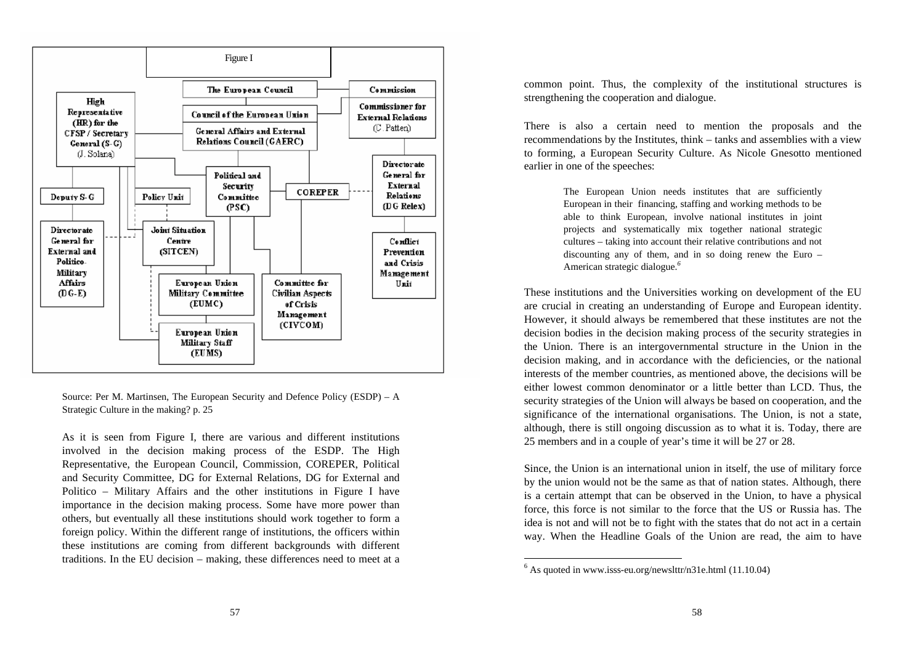

Source: Per M. Martinsen, The European Security and Defence Policy (ESDP) – A Strategic Culture in the making? p. 25

As it is seen from Figure I, there are various and different institutions involved in the decision making process of the ESDP. The High Representative, the European Council, Commission, COREPER, Political and Security Committee, DG for External Relations, DG for External and Politico – Military Affairs and the other institutions in Figure I have importance in the decision making process. Some have more power than others, but eventually all these institutions should work together to form a foreign policy. Within the different range of institutions, the officers within these institutions are coming from different backgrounds with different traditions. In the EU decision – making, these differences need to meet at a common point. Thus, the complexity of the institutional structures is strengthening the cooperation and dialogue.

There is also a certain need to mention the proposals and the recommendations by the Institutes, think – tanks and assemblies with a view to forming, a European Security Culture. As Nicole Gnesotto mentioned earlier in one of the speeches:

> The European Union needs institutes that are sufficiently European in their financing, staffing and working methods to be able to think European, involve national institutes in joint projects and systematically mix together national strategic cultures – taking into account their relative contributions and not discounting any of them, and in so doing renew the Euro – American strategic dialogue.*<sup>6</sup>*

These institutions and the Universities working on development of the EU are crucial in creating an understanding of Europe and European identity. However, it should always be remembered that these institutes are not the decision bodies in the decision making process of the security strategies in the Union. There is an intergovernmental structure in the Union in the decision making, and in accordance with the deficiencies, or the national interests of the member countries, as mentioned above, the decisions will be either lowest common denominator or a little better than LCD. Thus, the security strategies of the Union will always be based on cooperation, and the significance of the international organisations. The Union, is not a state, although, there is still ongoing discussion as to what it is. Today, there are 25 members and in a couple of year's time it will be 27 or 28.

Since, the Union is an international union in itself, the use of military force by the union would not be the same as that of nation states. Although, there is a certain attempt that can be observed in the Union, to have a physical force, this force is not similar to the force that the US or Russia has. The idea is not and will not be to fight with the states that do not act in a certain way. When the Headline Goals of the Union are read, the aim to have

 $6$  As quoted in www.isss-eu.org/newslttr/n31e.html (11.10.04)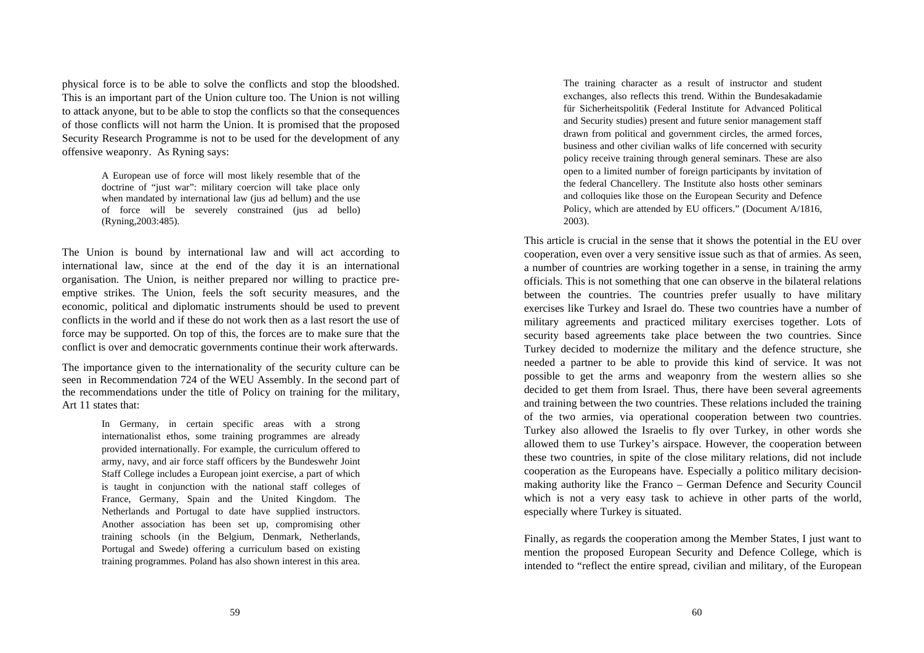physical force is to be able to solve the conflicts and stop the bloodshed. This is an important part of the Union culture too. The Union is not willing to attack anyone, but to be able to stop the conflicts so that the consequences of those conflicts will not harm the Union. It is promised that the proposed Security Research Programme is not to be used for the development of any offensive weaponry. As Ryning says:

> A European use of force will most likely resemble that of the doctrine of "just war": military coercion will take place only when mandated by international law (jus ad bellum) and the use of force will be severely constrained (jus ad bello) (Ryning,2003:485).

The Union is bound by international law and will act according to international law, since at the end of the day it is an international organisation. The Union, is neither prepared nor willing to practice preemptive strikes. The Union, feels the soft security measures, and the economic, political and diplomatic instruments should be used to prevent conflicts in the world and if these do not work then as a last resort the use of force may be supported. On top of this, the forces are to make sure that the conflict is over and democratic governments continue their work afterwards.

The importance given to the internationality of the security culture can be seen in Recommendation 724 of the WEU Assembly. In the second part of the recommendations under the title of Policy on training for the military, Art 11 states that:

> In Germany, in certain specific areas with a strong internationalist ethos, some training programmes are already provided internationally. For example, the curriculum offered to army, navy, and air force staff officers by the Bundeswehr Joint Staff College includes a European joint exercise, a part of which is taught in conjunction with the national staff colleges of France, Germany, Spain and the United Kingdom. The Netherlands and Portugal to date have supplied instructors. Another association has been set up, compromising other training schools (in the Belgium, Denmark, Netherlands, Portugal and Swede) offering a curriculum based on existing training programmes. Poland has also shown interest in this area.

The training character as a result of instructor and student exchanges, also reflects this trend. Within the Bundesakadamie für Sicherheitspolitik (Federal Institute for Advanced Political and Security studies) present and future senior management staff drawn from political and government circles, the armed forces, business and other civilian walks of life concerned with security policy receive training through general seminars. These are also open to a limited number of foreign participants by invitation of the federal Chancellery. The Institute also hosts other seminars and colloquies like those on the European Security and Defence Policy, which are attended by EU officers." (Document A/1816, 2003).

This article is crucial in the sense that it shows the potential in the EU over cooperation, even over a very sensitive issue such as that of armies. As seen, a number of countries are working together in a sense, in training the army officials. This is not something that one can observe in the bilateral relations between the countries. The countries prefer usually to have military exercises like Turkey and Israel do. These two countries have a number of military agreements and practiced military exercises together. Lots of security based agreements take place between the two countries. Since Turkey decided to modernize the military and the defence structure, she needed a partner to be able to provide this kind of service. It was not possible to get the arms and weaponry from the western allies so she decided to get them from Israel. Thus, there have been several agreements and training between the two countries. These relations included the training of the two armies, via operational cooperation between two countries. Turkey also allowed the Israelis to fly over Turkey, in other words she allowed them to use Turkey's airspace. However, the cooperation between these two countries, in spite of the close military relations, did not include cooperation as the Europeans have. Especially a politico military decisionmaking authority like the Franco – German Defence and Security Council which is not a very easy task to achieve in other parts of the world, especially where Turkey is situated.

Finally, as regards the cooperation among the Member States, I just want to mention the proposed European Security and Defence College, which is intended to "reflect the entire spread, civilian and military, of the European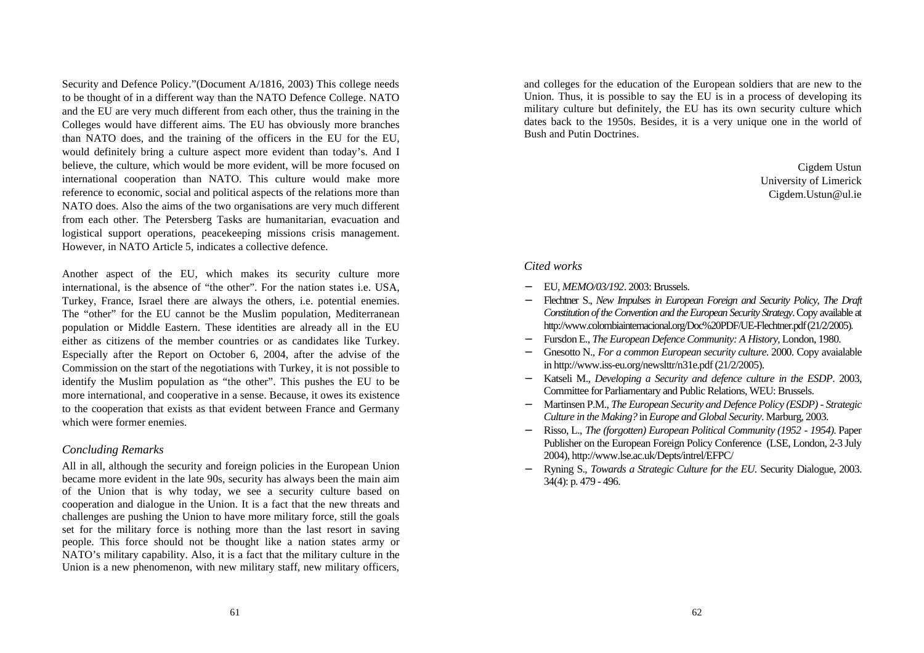Security and Defence Policy."(Document A/1816, 2003) This college needs to be thought of in a different way than the NATO Defence College. NATO and the EU are very much different from each other, thus the training in the Colleges would have different aims. The EU has obviously more branches than NATO does, and the training of the officers in the EU for the EU, would definitely bring a culture aspect more evident than today's. And I believe, the culture, which would be more evident, will be more focused on international cooperation than NATO. This culture would make more reference to economic, social and political aspects of the relations more than NATO does. Also the aims of the two organisations are very much different from each other. The Petersberg Tasks are humanitarian, evacuation and logistical support operations, peacekeeping missions crisis management. However, in NATO Article 5, indicates a collective defence.

Another aspect of the EU, which makes its security culture more international, is the absence of "the other". For the nation states i.e. USA, Turkey, France, Israel there are always the others, i.e. potential enemies. The "other" for the EU cannot be the Muslim population, Mediterranean population or Middle Eastern. These identities are already all in the EU either as citizens of the member countries or as candidates like Turkey. Especially after the Report on October 6, 2004, after the advise of the Commission on the start of the negotiations with Turkey, it is not possible to identify the Muslim population as "the other". This pushes the EU to be more international, and cooperative in a sense. Because, it owes its existence to the cooperation that exists as that evident between France and Germany which were former enemies.

### *Concluding Remarks*

All in all, although the security and foreign policies in the European Union became more evident in the late 90s, security has always been the main aim of the Union that is why today, we see a security culture based on cooperation and dialogue in the Union. It is a fact that the new threats and challenges are pushing the Union to have more military force, still the goals set for the military force is nothing more than the last resort in saving people. This force should not be thought like a nation states army or NATO's military capability. Also, it is a fact that the military culture in the Union is a new phenomenon, with new military staff, new military officers, and colleges for the education of the European soldiers that are new to the Union. Thus, it is possible to say the EU is in a process of developing its military culture but definitely, the EU has its own security culture which dates back to the 1950s. Besides, it is a very unique one in the world of Bush and Putin Doctrines.

> Cigdem Ustun University of Limerick Cigdem.Ustun@ul.ie

# *Cited works*

- − EU, *MEMO/03/192*. 2003: Brussels.
- − Flechtner S., *New Impulses in European Foreign and Security Policy, The Draft Constitution of the Convention and the European Security Strategy*. Copy available at http://www.colombiainternacional.org/Doc%20PDF/UE-Flechtner.pdf (21/2/2005).
- − Fursdon E., *The European Defence Community: A History*, London, 1980.
- − Gnesotto N., *For a common European security culture*. 2000. Copy avaialable in http://www.iss-eu.org/newslttr/n31e.pdf (21/2/2005).
- − Katseli M., *Developing a Security and defence culture in the ESDP*. 2003, Committee for Parliamentary and Public Relations, WEU: Brussels.
- − Martinsen P.M., *The European Security and Defence Policy (ESDP) Strategic Culture in the Making?* in *Europe and Global Security*. Marburg, 2003.
- − Risso, L., *The (forgotten) European Political Community (1952 1954)*. Paper Publisher on the European Foreign Policy Conference (LSE, London, 2-3 July 2004), http://www.lse.ac.uk/Depts/intrel/EFPC/
- − Ryning S., *Towards a Strategic Culture for the EU.* Security Dialogue, 2003. 34(4): p. 479 - 496.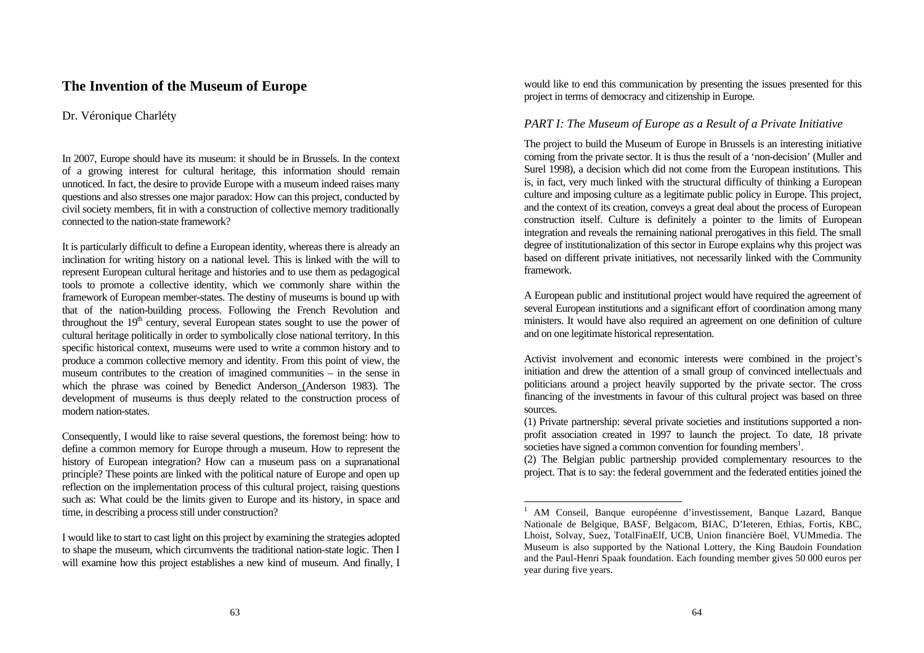# **The Invention of the Museum of Europe**

## Dr. Véronique Charléty

In 2007, Europe should have its museum: it should be in Brussels. In the context of a growing interest for cultural heritage, this information should remain unnoticed. In fact, the desire to provide Europe with a museum indeed raises many questions and also stresses one major paradox: How can this project, conducted by civil society members, fit in with a construction of collective memory traditionally connected to the nation-state framework?

It is particularly difficult to define a European identity, whereas there is already an inclination for writing history on a national level. This is linked with the will to represent European cultural heritage and histories and to use them as pedagogical tools to promote a collective identity, which we commonly share within the framework of European member-states. The destiny of museums is bound up with that of the nation-building process. Following the French Revolution and throughout the  $19<sup>th</sup>$  century, several European states sought to use the power of cultural heritage politically in order to symbolically close national territory. In this specific historical context, museums were used to write a common history and to produce a common collective memory and identity. From this point of view, the museum contributes to the creation of imagined communities – in the sense in which the phrase was coined by Benedict Anderson (Anderson 1983). The development of museums is thus deeply related to the construction process of modern nation-states.

Consequently, I would like to raise several questions, the foremost being: how to define a common memory for Europe through a museum. How to represent the history of European integration? How can a museum pass on a supranational principle? These points are linked with the political nature of Europe and open up reflection on the implementation process of this cultural project, raising questions such as: What could be the limits given to Europe and its history, in space and time, in describing a process still under construction?

I would like to start to cast light on this project by examining the strategies adopted to shape the museum, which circumvents the traditional nation-state logic. Then I will examine how this project establishes a new kind of museum. And finally, I would like to end this communication by presenting the issues presented for this project in terms of democracy and citizenship in Europe.

## *PART I: The Museum of Europe as a Result of a Private Initiative*

The project to build the Museum of Europe in Brussels is an interesting initiative coming from the private sector. It is thus the result of a 'non-decision' (Muller and Surel 1998), a decision which did not come from the European institutions. This is, in fact, very much linked with the structural difficulty of thinking a European culture and imposing culture as a legitimate public policy in Europe. This project, and the context of its creation, conveys a great deal about the process of European construction itself. Culture is definitely a pointer to the limits of European integration and reveals the remaining national prerogatives in this field. The small degree of institutionalization of this sector in Europe explains why this project was based on different private initiatives, not necessarily linked with the Community framework.

A European public and institutional project would have required the agreement of several European institutions and a significant effort of coordination among many ministers. It would have also required an agreement on one definition of culture and on one legitimate historical representation.

Activist involvement and economic interests were combined in the project's initiation and drew the attention of a small group of convinced intellectuals and politicians around a project heavily supported by the private sector. The cross financing of the investments in favour of this cultural project was based on three sources.

(1) Private partnership: several private societies and institutions supported a nonprofit association created in 1997 to launch the project. To date, 18 private societies have signed a common convention for founding members<sup>1</sup>.

(2) The Belgian public partnership provided complementary resources to the project. That is to say: the federal government and the federated entities joined the

<sup>1</sup> AM Conseil, Banque européenne d'investissement, Banque Lazard, Banque Nationale de Belgique, BASF, Belgacom, BIAC, D'Ieteren, Ethias, Fortis, KBC, Lhoist, Solvay, Suez, TotalFinaElf, UCB, Union financière Boël, VUMmedia. The Museum is also supported by the National Lottery, the King Baudoin Foundation and the Paul-Henri Spaak foundation. Each founding member gives 50 000 euros per year during five years.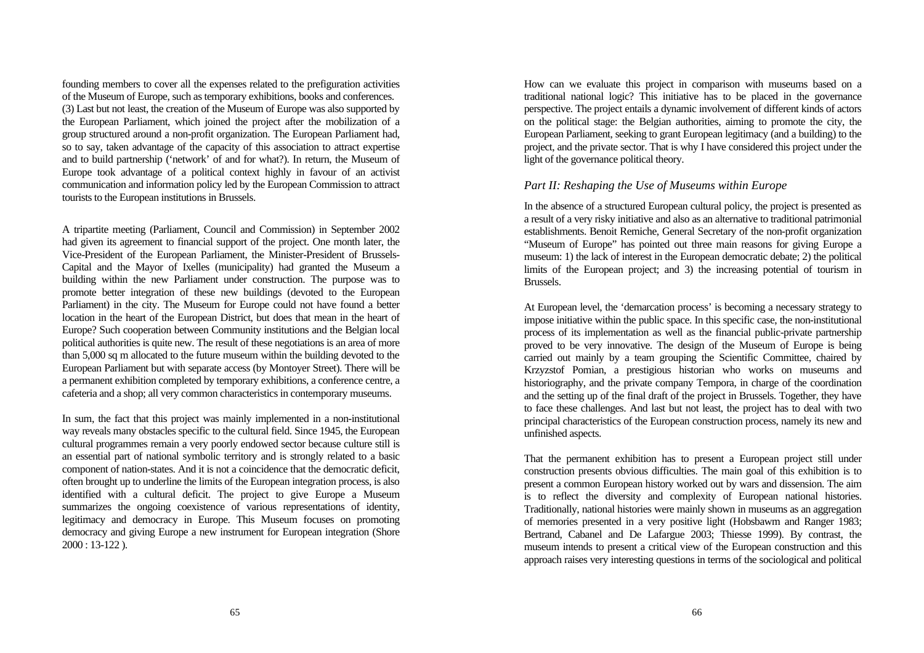founding members to cover all the expenses related to the prefiguration activities of the Museum of Europe, such as temporary exhibitions, books and conferences. (3) Last but not least, the creation of the Museum of Europe was also supported by the European Parliament, which joined the project after the mobilization of a group structured around a non-profit organization. The European Parliament had, so to say, taken advantage of the capacity of this association to attract expertise and to build partnership ('network' of and for what?). In return, the Museum of Europe took advantage of a political context highly in favour of an activist communication and information policy led by the European Commission to attract tourists to the European institutions in Brussels.

A tripartite meeting (Parliament, Council and Commission) in September 2002 had given its agreement to financial support of the project. One month later, the Vice-President of the European Parliament, the Minister-President of Brussels-Capital and the Mayor of Ixelles (municipality) had granted the Museum a building within the new Parliament under construction. The purpose was to promote better integration of these new buildings (devoted to the European Parliament) in the city. The Museum for Europe could not have found a better location in the heart of the European District, but does that mean in the heart of Europe? Such cooperation between Community institutions and the Belgian local political authorities is quite new. The result of these negotiations is an area of more than 5,000 sq m allocated to the future museum within the building devoted to the European Parliament but with separate access (by Montoyer Street). There will be a permanent exhibition completed by temporary exhibitions, a conference centre, a cafeteria and a shop; all very common characteristics in contemporary museums.

In sum, the fact that this project was mainly implemented in a non-institutional way reveals many obstacles specific to the cultural field. Since 1945, the European cultural programmes remain a very poorly endowed sector because culture still is an essential part of national symbolic territory and is strongly related to a basic component of nation-states. And it is not a coincidence that the democratic deficit, often brought up to underline the limits of the European integration process, is also identified with a cultural deficit. The project to give Europe a Museum summarizes the ongoing coexistence of various representations of identity, legitimacy and democracy in Europe. This Museum focuses on promoting democracy and giving Europe a new instrument for European integration (Shore 2000 : 13-122 ).

How can we evaluate this project in comparison with museums based on a traditional national logic? This initiative has to be placed in the governance perspective. The project entails a dynamic involvement of different kinds of actors on the political stage: the Belgian authorities, aiming to promote the city, the European Parliament, seeking to grant European legitimacy (and a building) to the project, and the private sector. That is why I have considered this project under the light of the governance political theory.

#### *Part II: Reshaping the Use of Museums within Europe*

In the absence of a structured European cultural policy, the project is presented as a result of a very risky initiative and also as an alternative to traditional patrimonial establishments. Benoit Remiche, General Secretary of the non-profit organization "Museum of Europe" has pointed out three main reasons for giving Europe a museum: 1) the lack of interest in the European democratic debate; 2) the political limits of the European project; and 3) the increasing potential of tourism in Brussels.

At European level, the 'demarcation process' is becoming a necessary strategy to impose initiative within the public space. In this specific case, the non-institutional process of its implementation as well as the financial public-private partnership proved to be very innovative. The design of the Museum of Europe is being carried out mainly by a team grouping the Scientific Committee, chaired by Krzyzstof Pomian, a prestigious historian who works on museums and historiography, and the private company Tempora, in charge of the coordination and the setting up of the final draft of the project in Brussels. Together, they have to face these challenges. And last but not least, the project has to deal with two principal characteristics of the European construction process, namely its new and unfinished aspects.

That the permanent exhibition has to present a European project still under construction presents obvious difficulties. The main goal of this exhibition is to present a common European history worked out by wars and dissension. The aim is to reflect the diversity and complexity of European national histories. Traditionally, national histories were mainly shown in museums as an aggregation of memories presented in a very positive light (Hobsbawm and Ranger 1983; Bertrand, Cabanel and De Lafargue 2003; Thiesse 1999). By contrast, the museum intends to present a critical view of the European construction and this approach raises very interesting questions in terms of the sociological and political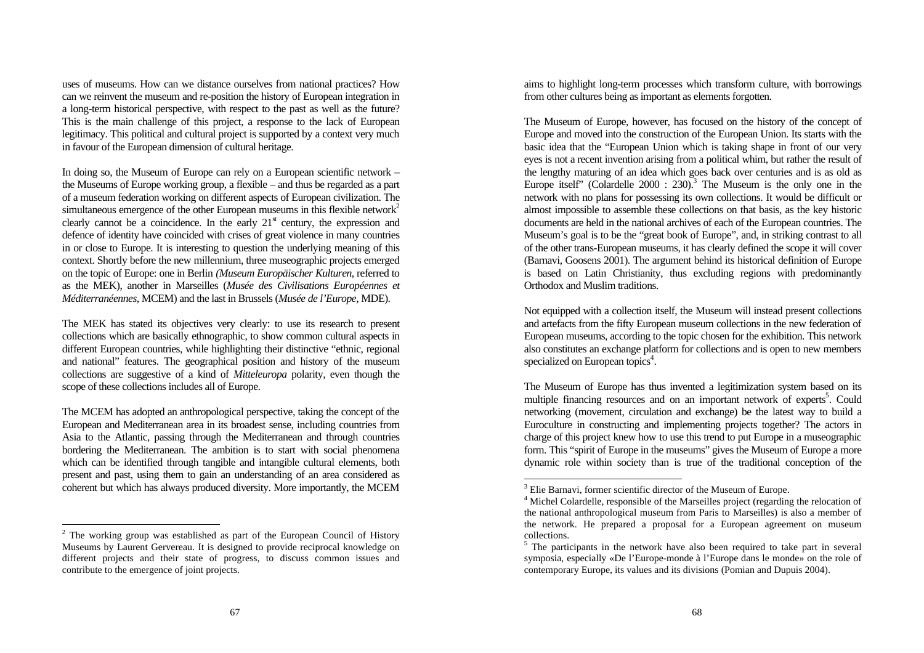uses of museums. How can we distance ourselves from national practices? How can we reinvent the museum and re-position the history of European integration in a long-term historical perspective, with respect to the past as well as the future? This is the main challenge of this project, a response to the lack of European legitimacy. This political and cultural project is supported by a context very much in favour of the European dimension of cultural heritage.

In doing so, the Museum of Europe can rely on a European scientific network – the Museums of Europe working group, a flexible – and thus be regarded as a part of a museum federation working on different aspects of European civilization. The simultaneous emergence of the other European museums in this flexible network<sup>2</sup> clearly cannot be a coincidence. In the early  $21<sup>st</sup>$  century, the expression and defence of identity have coincided with crises of great violence in many countries in or close to Europe. It is interesting to question the underlying meaning of this context. Shortly before the new millennium, three museographic projects emerged on the topic of Europe: one in Berlin *(Museum Europäischer Kulturen*, referred to as the MEK), another in Marseilles (*Musée des Civilisations Européennes et Méditerranéennes*, MCEM) and the last in Brussels (*Musée de l'Europe*, MDE).

The MEK has stated its objectives very clearly: to use its research to present collections which are basically ethnographic, to show common cultural aspects in different European countries, while highlighting their distinctive "ethnic, regional and national" features. The geographical position and history of the museum collections are suggestive of a kind of *Mitteleuropa* polarity, even though the scope of these collections includes all of Europe.

The MCEM has adopted an anthropological perspective, taking the concept of the European and Mediterranean area in its broadest sense, including countries from Asia to the Atlantic, passing through the Mediterranean and through countries bordering the Mediterranean. The ambition is to start with social phenomena which can be identified through tangible and intangible cultural elements, both present and past, using them to gain an understanding of an area considered as coherent but which has always produced diversity. More importantly, the MCEM

 $\overline{a}$ 

aims to highlight long-term processes which transform culture, with borrowings from other cultures being as important as elements forgotten.

The Museum of Europe, however, has focused on the history of the concept of Europe and moved into the construction of the European Union. Its starts with the basic idea that the "European Union which is taking shape in front of our very eyes is not a recent invention arising from a political whim, but rather the result of the lengthy maturing of an idea which goes back over centuries and is as old as Europe itself' (Colardelle  $2000 : 230$ ).<sup>3</sup> The Museum is the only one in the network with no plans for possessing its own collections. It would be difficult or almost impossible to assemble these collections on that basis, as the key historic documents are held in the national archives of each of the European countries. The Museum's goal is to be the "great book of Europe", and, in striking contrast to all of the other trans-European museums, it has clearly defined the scope it will cover (Barnavi, Goosens 2001). The argument behind its historical definition of Europe is based on Latin Christianity, thus excluding regions with predominantly Orthodox and Muslim traditions.

Not equipped with a collection itself, the Museum will instead present collections and artefacts from the fifty European museum collections in the new federation of European museums, according to the topic chosen for the exhibition. This network also constitutes an exchange platform for collections and is open to new members specialized on European topics<sup>4</sup>.

The Museum of Europe has thus invented a legitimization system based on its multiple financing resources and on an important network of experts<sup>5</sup>. Could networking (movement, circulation and exchange) be the latest way to build a Euroculture in constructing and implementing projects together? The actors in charge of this project knew how to use this trend to put Europe in a museographic form. This "spirit of Europe in the museums" gives the Museum of Europe a more dynamic role within society than is true of the traditional conception of the

 $2$  The working group was established as part of the European Council of History Museums by Laurent Gervereau. It is designed to provide reciprocal knowledge on different projects and their state of progress, to discuss common issues and contribute to the emergence of joint projects.

<sup>&</sup>lt;sup>3</sup> Elie Barnavi, former scientific director of the Museum of Europe.

<sup>&</sup>lt;sup>4</sup> Michel Colardelle, responsible of the Marseilles project (regarding the relocation of the national anthropological museum from Paris to Marseilles) is also a member of the network. He prepared a proposal for a European agreement on museum collections.

<sup>&</sup>lt;sup>5</sup> The participants in the network have also been required to take part in several symposia, especially «De l'Europe-monde à l'Europe dans le monde» on the role of contemporary Europe, its values and its divisions (Pomian and Dupuis 2004).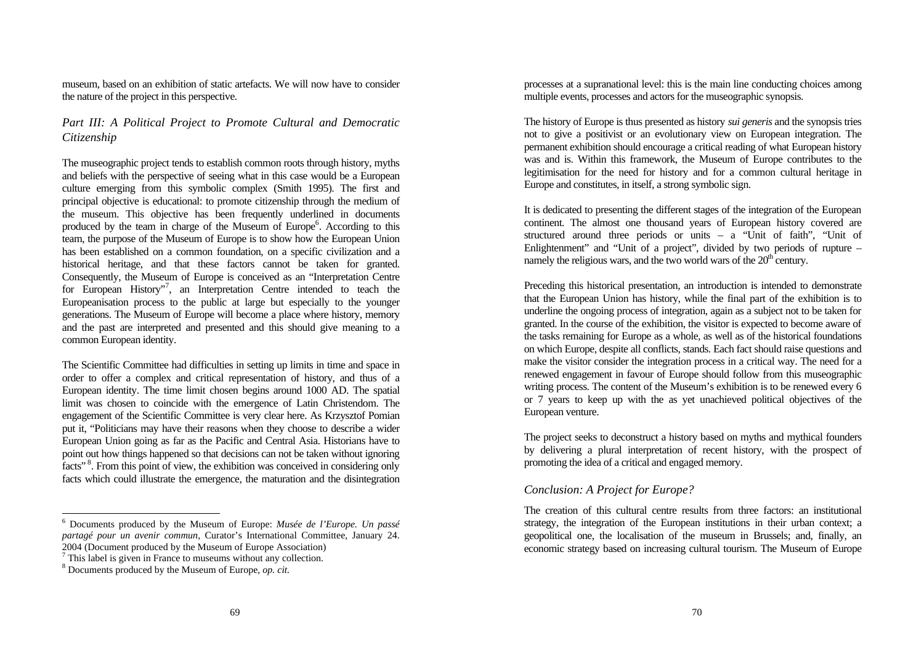museum, based on an exhibition of static artefacts. We will now have to consider the nature of the project in this perspective.

# *Part III: A Political Project to Promote Cultural and Democratic Citizenship*

The museographic project tends to establish common roots through history, myths and beliefs with the perspective of seeing what in this case would be a European culture emerging from this symbolic complex (Smith 1995). The first and principal objective is educational: to promote citizenship through the medium of the museum. This objective has been frequently underlined in documents produced by the team in charge of the Museum of Europe<sup>6</sup>. According to this team, the purpose of the Museum of Europe is to show how the European Union has been established on a common foundation, on a specific civilization and a historical heritage, and that these factors cannot be taken for granted. Consequently, the Museum of Europe is conceived as an "Interpretation Centre for European History", an Interpretation Centre intended to teach the Europeanisation process to the public at large but especially to the younger generations. The Museum of Europe will become a place where history, memory and the past are interpreted and presented and this should give meaning to a common European identity.

The Scientific Committee had difficulties in setting up limits in time and space in order to offer a complex and critical representation of history, and thus of a European identity. The time limit chosen begins around 1000 AD. The spatial limit was chosen to coincide with the emergence of Latin Christendom. The engagement of the Scientific Committee is very clear here. As Krzysztof Pomian put it, "Politicians may have their reasons when they choose to describe a wider European Union going as far as the Pacific and Central Asia. Historians have to point out how things happened so that decisions can not be taken without ignoring facts"<sup>8</sup>. From this point of view, the exhibition was conceived in considering only facts which could illustrate the emergence, the maturation and the disintegration

l

processes at a supranational level: this is the main line conducting choices among multiple events, processes and actors for the museographic synopsis.

The history of Europe is thus presented as history *sui generis* and the synopsis tries not to give a positivist or an evolutionary view on European integration. The permanent exhibition should encourage a critical reading of what European history was and is. Within this framework, the Museum of Europe contributes to the legitimisation for the need for history and for a common cultural heritage in Europe and constitutes, in itself, a strong symbolic sign.

It is dedicated to presenting the different stages of the integration of the European continent. The almost one thousand years of European history covered are structured around three periods or units – a "Unit of faith", "Unit of Enlightenment" and "Unit of a project", divided by two periods of rupture – namely the religious wars, and the two world wars of the  $20<sup>th</sup>$  century.

Preceding this historical presentation, an introduction is intended to demonstrate that the European Union has history, while the final part of the exhibition is to underline the ongoing process of integration, again as a subject not to be taken for granted. In the course of the exhibition, the visitor is expected to become aware of the tasks remaining for Europe as a whole, as well as of the historical foundations on which Europe, despite all conflicts, stands. Each fact should raise questions and make the visitor consider the integration process in a critical way. The need for a renewed engagement in favour of Europe should follow from this museographic writing process. The content of the Museum's exhibition is to be renewed every 6 or 7 years to keep up with the as yet unachieved political objectives of the European venture.

The project seeks to deconstruct a history based on myths and mythical founders by delivering a plural interpretation of recent history, with the prospect of promoting the idea of a critical and engaged memory.

## *Conclusion: A Project for Europe?*

The creation of this cultural centre results from three factors: an institutional strategy, the integration of the European institutions in their urban context; a geopolitical one, the localisation of the museum in Brussels; and, finally, an economic strategy based on increasing cultural tourism. The Museum of Europe

<sup>6</sup> Documents produced by the Museum of Europe: *Musée de l'Europe. Un passé partagé pour un avenir commun*, Curator's International Committee, January 24. 2004 (Document produced by the Museum of Europe Association)

 $7$  This label is given in France to museums without any collection.

<sup>8</sup> Documents produced by the Museum of Europe, *op. cit.*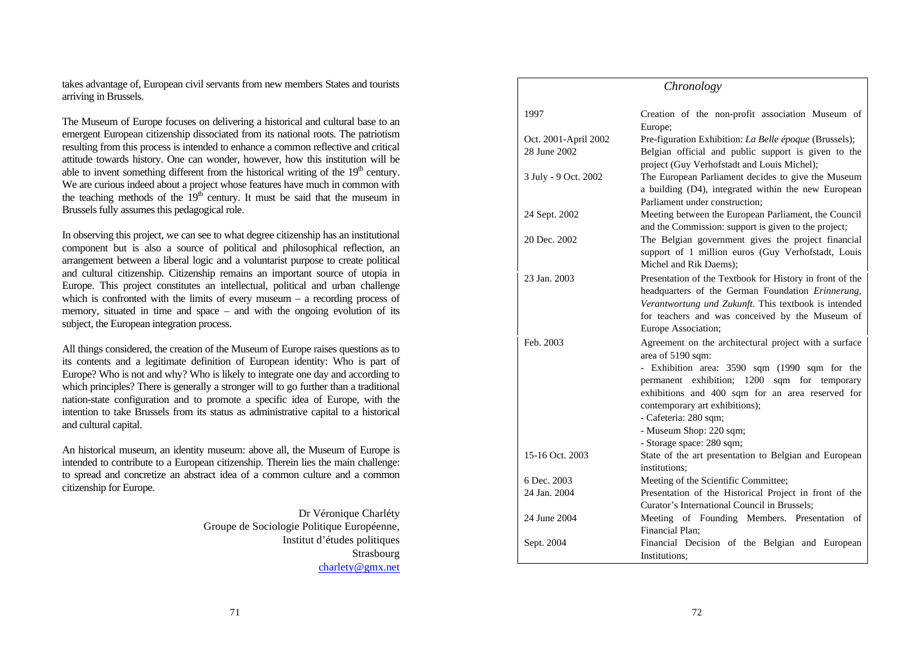takes advantage of, European civil servants from new members States and tourists arriving in Brussels.

The Museum of Europe focuses on delivering a historical and cultural base to an emergent European citizenship dissociated from its national roots. The patriotism resulting from this process is intended to enhance a common reflective and critical attitude towards history. One can wonder, however, how this institution will be able to invent something different from the historical writing of the  $19<sup>th</sup>$  century. We are curious indeed about a project whose features have much in common with the teaching methods of the  $19<sup>th</sup>$  century. It must be said that the museum in Brussels fully assumes this pedagogical role.

In observing this project, we can see to what degree citizenship has an institutional component but is also a source of political and philosophical reflection, an arrangement between a liberal logic and a voluntarist purpose to create political and cultural citizenship. Citizenship remains an important source of utopia in Europe. This project constitutes an intellectual, political and urban challenge which is confronted with the limits of every museum – a recording process of memory, situated in time and space – and with the ongoing evolution of its subject, the European integration process.

All things considered, the creation of the Museum of Europe raises questions as to its contents and a legitimate definition of European identity: Who is part of Europe? Who is not and why? Who is likely to integrate one day and according to which principles? There is generally a stronger will to go further than a traditional nation-state configuration and to promote a specific idea of Europe, with the intention to take Brussels from its status as administrative capital to a historical and cultural capital.

An historical museum, an identity museum: above all, the Museum of Europe is intended to contribute to a European citizenship. Therein lies the main challenge: to spread and concretize an abstract idea of a common culture and a common citizenship for Europe.

> Dr Véronique Charléty Groupe de Sociologie Politique Européenne, Institut d'études politiques Strasbourg charlety@gmx.net

| Chronology                           |                                                                                                                                                                                                                                                                                                                                                       |  |
|--------------------------------------|-------------------------------------------------------------------------------------------------------------------------------------------------------------------------------------------------------------------------------------------------------------------------------------------------------------------------------------------------------|--|
| 1997                                 | Creation of the non-profit association Museum of<br>Europe;                                                                                                                                                                                                                                                                                           |  |
| Oct. 2001-April 2002<br>28 June 2002 | Pre-figuration Exhibition: La Belle époque (Brussels);<br>Belgian official and public support is given to the<br>project (Guy Verhofstadt and Louis Michel);                                                                                                                                                                                          |  |
| 3 July - 9 Oct. 2002                 | The European Parliament decides to give the Museum<br>a building (D4), integrated within the new European<br>Parliament under construction:                                                                                                                                                                                                           |  |
| 24 Sept. 2002                        | Meeting between the European Parliament, the Council<br>and the Commission: support is given to the project;                                                                                                                                                                                                                                          |  |
| 20 Dec. 2002                         | The Belgian government gives the project financial<br>support of 1 million euros (Guy Verhofstadt, Louis<br>Michel and Rik Daems):                                                                                                                                                                                                                    |  |
| 23 Jan. 2003                         | Presentation of the Textbook for History in front of the<br>headquarters of the German Foundation Erinnerung,<br>Verantwortung und Zukunft. This textbook is intended<br>for teachers and was conceived by the Museum of<br>Europe Association;                                                                                                       |  |
| Feb. 2003                            | Agreement on the architectural project with a surface<br>area of 5190 sqm:<br>- Exhibition area: 3590 sqm (1990 sqm for the<br>permanent exhibition; 1200<br>sqm for temporary<br>exhibitions and 400 sqm for an area reserved for<br>contemporary art exhibitions);<br>- Cafeteria: 280 sqm;<br>- Museum Shop: 220 sqm;<br>- Storage space: 280 sqm; |  |
| 15-16 Oct. 2003                      | State of the art presentation to Belgian and European<br>institutions:                                                                                                                                                                                                                                                                                |  |
| 6 Dec. 2003                          | Meeting of the Scientific Committee;                                                                                                                                                                                                                                                                                                                  |  |
| 24 Jan. 2004                         | Presentation of the Historical Project in front of the<br>Curator's International Council in Brussels:                                                                                                                                                                                                                                                |  |
| 24 June 2004                         | Meeting of Founding Members. Presentation of<br>Financial Plan:                                                                                                                                                                                                                                                                                       |  |
| Sept. 2004                           | Financial Decision of the Belgian and European<br>Institutions:                                                                                                                                                                                                                                                                                       |  |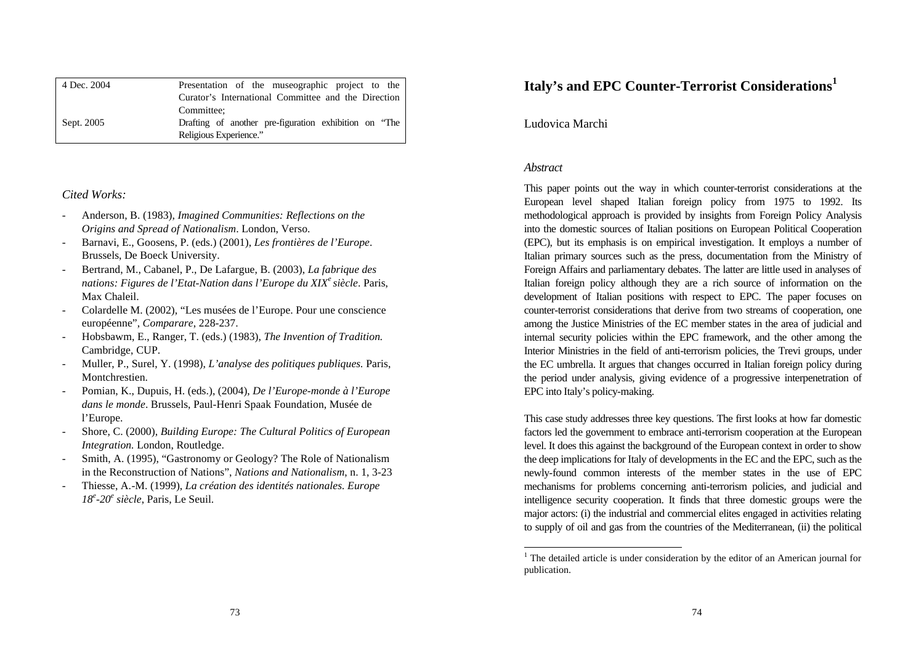| 4 Dec. 2004 | Presentation of the muse ographic project to the      |
|-------------|-------------------------------------------------------|
|             | Curator's International Committee and the Direction   |
|             | Committee:                                            |
| Sept. 2005  | Drafting of another pre-figuration exhibition on "The |
|             | Religious Experience."                                |

## *Cited Works:*

- Anderson, B. (1983), *Imagined Communities: Reflections on the Origins and Spread of Nationalism*. London, Verso.
- Barnavi, E., Goosens, P. (eds.) (2001), *Les frontières de l'Europe*. Brussels, De Boeck University.
- Bertrand, M., Cabanel, P., De Lafargue, B. (2003), *La fabrique des nations: Figures de l'Etat-Nation dans l'Europe du XIX<sup>e</sup>siècle*. Paris, Max Chaleil.
- Colardelle M. (2002), "Les musées de l'Europe. Pour une conscience européenne", *Comparare*, 228-237.
- Hobsbawm, E., Ranger, T. (eds.) (1983), *The Invention of Tradition.* Cambridge, CUP.
- Muller, P., Surel, Y. (1998), *L'analyse des politiques publiques.* Paris, Montchrestien.
- Pomian, K., Dupuis, H. (eds.), (2004), *De l'Europe-monde à l'Europe dans le monde*. Brussels, Paul-Henri Spaak Foundation, Musée de l'Europe.
- Shore, C. (2000), *Building Europe: The Cultural Politics of European Integration.* London, Routledge.
- Smith, A. (1995), "Gastronomy or Geology? The Role of Nationalism in the Reconstruction of Nations", *Nations and Nationalism*, n. 1, 3-23
- Thiesse, A.-M. (1999), *La création des identités nationales. Europe 18<sup>e</sup> -20<sup>e</sup> siècle*, Paris, Le Seuil.

# **Italy's and EPC Counter-Terrorist Considerations<sup>1</sup>**

Ludovica Marchi

## *Abstract*

1

This paper points out the way in which counter-terrorist considerations at the European level shaped Italian foreign policy from 1975 to 1992. Its methodological approach is provided by insights from Foreign Policy Analysis into the domestic sources of Italian positions on European Political Cooperation (EPC), but its emphasis is on empirical investigation. It employs a number of Italian primary sources such as the press, documentation from the Ministry of Foreign Affairs and parliamentary debates. The latter are little used in analyses of Italian foreign policy although they are a rich source of information on the development of Italian positions with respect to EPC. The paper focuses on counter-terrorist considerations that derive from two streams of cooperation, one among the Justice Ministries of the EC member states in the area of judicial and internal security policies within the EPC framework, and the other among the Interior Ministries in the field of anti-terrorism policies, the Trevi groups, under the EC umbrella. It argues that changes occurred in Italian foreign policy during the period under analysis, giving evidence of a progressive interpenetration of EPC into Italy's policy-making.

This case study addresses three key questions. The first looks at how far domestic factors led the government to embrace anti-terrorism cooperation at the European level. It does this against the background of the European context in order to show the deep implications for Italy of developments in the EC and the EPC, such as the newly-found common interests of the member states in the use of EPC mechanisms for problems concerning anti-terrorism policies, and judicial and intelligence security cooperation. It finds that three domestic groups were the major actors: (i) the industrial and commercial elites engaged in activities relating to supply of oil and gas from the countries of the Mediterranean, (ii) the political

 $<sup>1</sup>$  The detailed article is under consideration by the editor of an American journal for</sup> publication.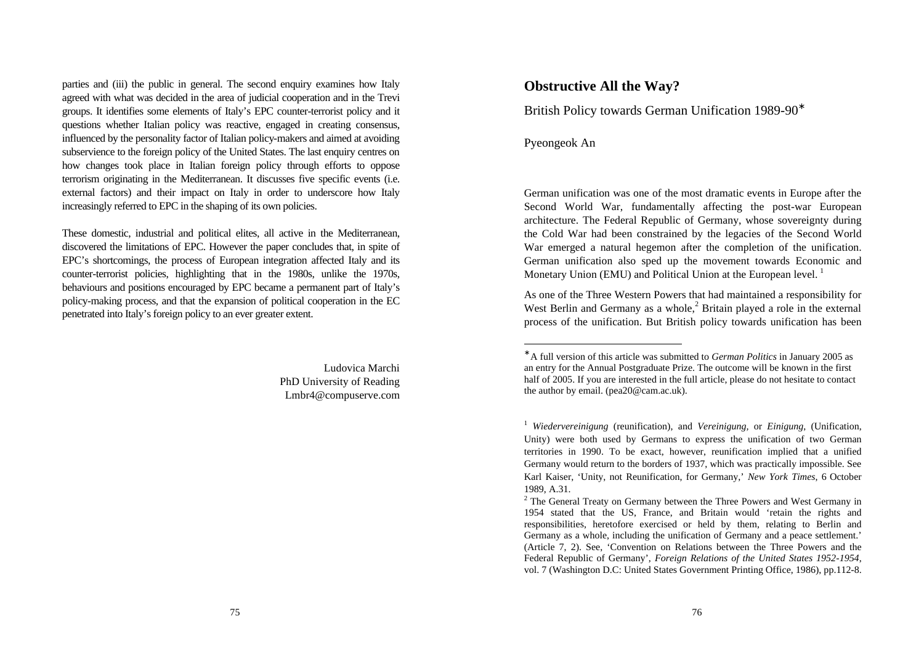parties and (iii) the public in general. The second enquiry examines how Italy agreed with what was decided in the area of judicial cooperation and in the Trevi groups. It identifies some elements of Italy's EPC counter-terrorist policy and it questions whether Italian policy was reactive, engaged in creating consensus, influenced by the personality factor of Italian policy-makers and aimed at avoiding subservience to the foreign policy of the United States. The last enquiry centres on how changes took place in Italian foreign policy through efforts to oppose terrorism originating in the Mediterranean. It discusses five specific events (i.e. external factors) and their impact on Italy in order to underscore how Italy increasingly referred to EPC in the shaping of its own policies.

These domestic, industrial and political elites, all active in the Mediterranean, discovered the limitations of EPC. However the paper concludes that, in spite of EPC's shortcomings, the process of European integration affected Italy and its counter-terrorist policies, highlighting that in the 1980s, unlike the 1970s, behaviours and positions encouraged by EPC became a permanent part of Italy's policy-making process, and that the expansion of political cooperation in the EC penetrated into Italy's foreign policy to an ever greater extent.

> Ludovica Marchi PhD University of Reading Lmbr4@compuserve.com

# **Obstructive All the Way?**

British Policy towards German Unification 1989-90<sup>∗</sup>

Pyeongeok An

1

German unification was one of the most dramatic events in Europe after the Second World War, fundamentally affecting the post-war European architecture. The Federal Republic of Germany, whose sovereignty during the Cold War had been constrained by the legacies of the Second World War emerged a natural hegemon after the completion of the unification. German unification also sped up the movement towards Economic and Monetary Union (EMU) and Political Union at the European level.<sup>1</sup>

As one of the Three Western Powers that had maintained a responsibility for West Berlin and Germany as a whole, $<sup>2</sup>$  Britain played a role in the external</sup> process of the unification. But British policy towards unification has been

<sup>∗</sup> A full version of this article was submitted to *German Politics* in January 2005 as an entry for the Annual Postgraduate Prize. The outcome will be known in the first half of 2005. If you are interested in the full article, please do not hesitate to contact the author by email. (pea20@cam.ac.uk).

<sup>1</sup> *Wiedervereinigung* (reunification), and *Vereinigung,* or *Einigung*, (Unification, Unity) were both used by Germans to express the unification of two German territories in 1990. To be exact, however, reunification implied that a unified Germany would return to the borders of 1937, which was practically impossible. See Karl Kaiser, 'Unity, not Reunification, for Germany,' *New York Times*, 6 October 1989, A.31.

 $2$  The General Treaty on Germany between the Three Powers and West Germany in 1954 stated that the US, France, and Britain would 'retain the rights and responsibilities, heretofore exercised or held by them, relating to Berlin and Germany as a whole, including the unification of Germany and a peace settlement.' (Article 7, 2). See, 'Convention on Relations between the Three Powers and the Federal Republic of Germany', *Foreign Relations of the United States 1952-1954*, vol. 7 (Washington D.C: United States Government Printing Office, 1986), pp.112-8.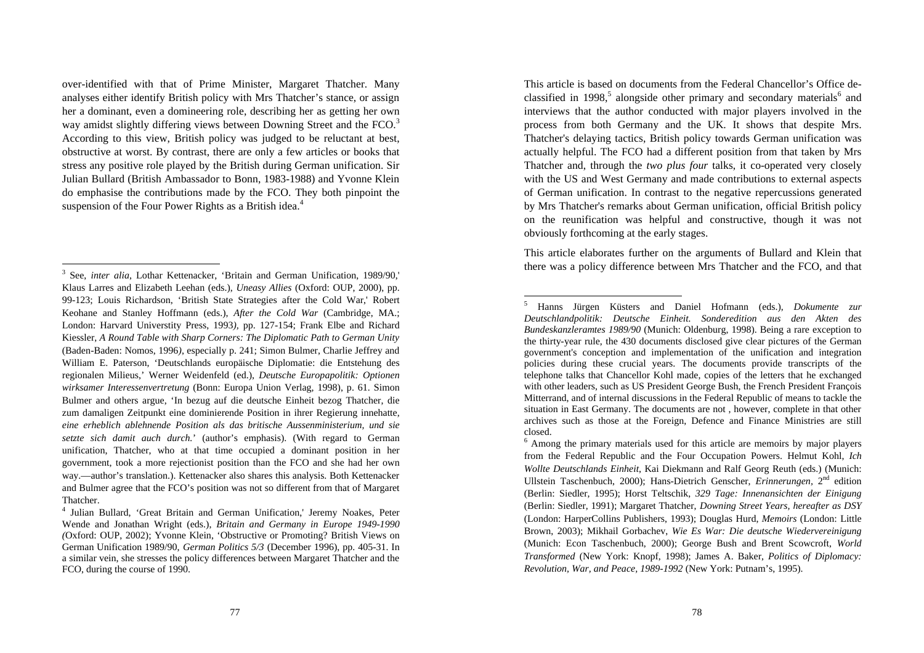over-identified with that of Prime Minister, Margaret Thatcher. Many analyses either identify British policy with Mrs Thatcher's stance, or assign her a dominant, even a domineering role, describing her as getting her own way amidst slightly differing views between Downing Street and the FCO.<sup>3</sup> According to this view, British policy was judged to be reluctant at best, obstructive at worst. By contrast, there are only a few articles or books that stress any positive role played by the British during German unification. Sir Julian Bullard (British Ambassador to Bonn, 1983-1988) and Yvonne Klein do emphasise the contributions made by the FCO. They both pinpoint the suspension of the Four Power Rights as a British idea.<sup>4</sup>

 $\overline{a}$ 

This article is based on documents from the Federal Chancellor's Office declassified in 1998,<sup>5</sup> alongside other primary and secondary materials<sup>6</sup> and interviews that the author conducted with major players involved in the process from both Germany and the UK. It shows that despite Mrs. Thatcher's delaying tactics, British policy towards German unification was actually helpful. The FCO had a different position from that taken by Mrs Thatcher and, through the *two plus four* talks, it co-operated very closely with the US and West Germany and made contributions to external aspects of German unification. In contrast to the negative repercussions generated by Mrs Thatcher's remarks about German unification, official British policy on the reunification was helpful and constructive, though it was not obviously forthcoming at the early stages.

This article elaborates further on the arguments of Bullard and Klein that there was a policy difference between Mrs Thatcher and the FCO, and that

<sup>&</sup>lt;sup>3</sup> See, *inter alia*, Lothar Kettenacker, 'Britain and German Unification, 1989/90,' Klaus Larres and Elizabeth Leehan (eds.), *Uneasy Allies* (Oxford: OUP, 2000), pp. 99-123; Louis Richardson, 'British State Strategies after the Cold War,' Robert Keohane and Stanley Hoffmann (eds.), *After the Cold War* (Cambridge, MA.; London: Harvard Universtity Press, 1993*),* pp. 127-154; Frank Elbe and Richard Kiessler, *A Round Table with Sharp Corners: The Diplomatic Path to German Unity*  (Baden-Baden: Nomos, 1996*)*, especially p. 241; Simon Bulmer, Charlie Jeffrey and William E. Paterson, 'Deutschlands europäische Diplomatie: die Entstehung des regionalen Milieus,' Werner Weidenfeld (ed.), *Deutsche Europapolitik: Optionen wirksamer Interessenvertretung* (Bonn: Europa Union Verlag, 1998), p. 61. Simon Bulmer and others argue, 'In bezug auf die deutsche Einheit bezog Thatcher, die zum damaligen Zeitpunkt eine dominierende Position in ihrer Regierung innehatte, *eine erheblich ablehnende Position als das britische Aussenministerium, und sie setzte sich damit auch durch.*' (author's emphasis). (With regard to German unification, Thatcher, who at that time occupied a dominant position in her government, took a more rejectionist position than the FCO and she had her own way.—author's translation.). Kettenacker also shares this analysis. Both Kettenacker and Bulmer agree that the FCO's position was not so different from that of Margaret Thatcher.

<sup>4</sup> Julian Bullard, 'Great Britain and German Unification,' Jeremy Noakes, Peter Wende and Jonathan Wright (eds.), *Britain and Germany in Europe 1949-1990 (*Oxford: OUP, 2002); Yvonne Klein, 'Obstructive or Promoting? British Views on German Unification 1989/90, *German Politics 5/3* (December 1996), pp. 405-31. In a similar vein, she stresses the policy differences between Margaret Thatcher and the FCO, during the course of 1990.

<sup>5</sup> Hanns Jürgen Küsters and Daniel Hofmann (eds.), *Dokumente zur Deutschlandpolitik: Deutsche Einheit. Sonderedition aus den Akten des Bundeskanzleramtes 1989/90* (Munich: Oldenburg, 1998). Being a rare exception to the thirty-year rule, the 430 documents disclosed give clear pictures of the German government's conception and implementation of the unification and integration policies during these crucial years. The documents provide transcripts of the telephone talks that Chancellor Kohl made, copies of the letters that he exchanged with other leaders, such as US President George Bush, the French President François Mitterrand, and of internal discussions in the Federal Republic of means to tackle the situation in East Germany. The documents are not , however, complete in that other archives such as those at the Foreign, Defence and Finance Ministries are still closed.

<sup>&</sup>lt;sup>6</sup> Among the primary materials used for this article are memoirs by major players from the Federal Republic and the Four Occupation Powers. Helmut Kohl, *Ich Wollte Deutschlands Einheit*, Kai Diekmann and Ralf Georg Reuth (eds.) (Munich: Ullstein Taschenbuch, 2000); Hans-Dietrich Genscher, *Erinnerungen,* 2nd edition (Berlin: Siedler, 1995); Horst Teltschik, *329 Tage: Innenansichten der Einigung* (Berlin: Siedler, 1991); Margaret Thatcher, *Downing Street Years, hereafter as DSY* (London: HarperCollins Publishers, 1993); Douglas Hurd, *Memoirs* (London: Little Brown, 2003); Mikhail Gorbachev, *Wie Es War: Die deutsche Wiedervereinigung* (Munich: Econ Taschenbuch, 2000); George Bush and Brent Scowcroft, *World Transformed* (New York: Knopf, 1998); James A. Baker, *Politics of Diplomacy: Revolution, War, and Peace, 1989-1992* (New York: Putnam's, 1995).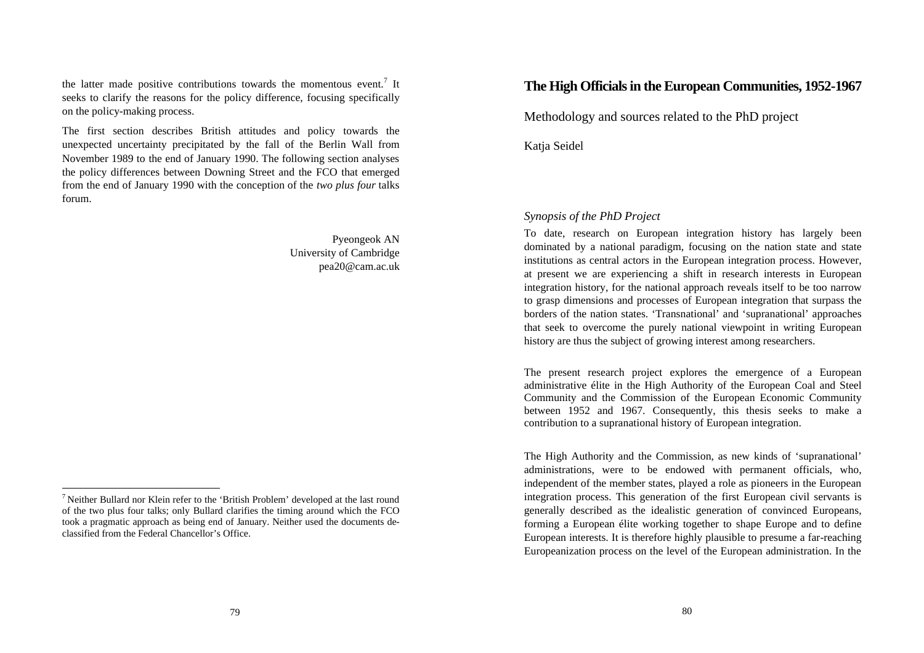the latter made positive contributions towards the momentous event.<sup>7</sup> It seeks to clarify the reasons for the policy difference, focusing specifically on the policy-making process.

The first section describes British attitudes and policy towards the unexpected uncertainty precipitated by the fall of the Berlin Wall from November 1989 to the end of January 1990. The following section analyses the policy differences between Downing Street and the FCO that emerged from the end of January 1990 with the conception of the *two plus four* talks forum.

> Pyeongeok AN University of Cambridge pea20@cam.ac.uk

 $\overline{a}$ 

# **The High Officials in the European Communities, 1952-1967**

Methodology and sources related to the PhD project

Katja Seidel

## *Synopsis of the PhD Project*

To date, research on European integration history has largely been dominated by a national paradigm, focusing on the nation state and state institutions as central actors in the European integration process. However, at present we are experiencing a shift in research interests in European integration history, for the national approach reveals itself to be too narrow to grasp dimensions and processes of European integration that surpass the borders of the nation states. 'Transnational' and 'supranational' approaches that seek to overcome the purely national viewpoint in writing European history are thus the subject of growing interest among researchers.

The present research project explores the emergence of a European administrative élite in the High Authority of the European Coal and Steel Community and the Commission of the European Economic Community between 1952 and 1967. Consequently, this thesis seeks to make a contribution to a supranational history of European integration.

The High Authority and the Commission, as new kinds of 'supranational' administrations, were to be endowed with permanent officials, who, independent of the member states, played a role as pioneers in the European integration process. This generation of the first European civil servants is generally described as the idealistic generation of convinced Europeans, forming a European élite working together to shape Europe and to define European interests. It is therefore highly plausible to presume a far-reaching Europeanization process on the level of the European administration. In the

 $<sup>7</sup>$  Neither Bullard nor Klein refer to the 'British Problem' developed at the last round</sup> of the two plus four talks; only Bullard clarifies the timing around which the FCO took a pragmatic approach as being end of January. Neither used the documents declassified from the Federal Chancellor's Office.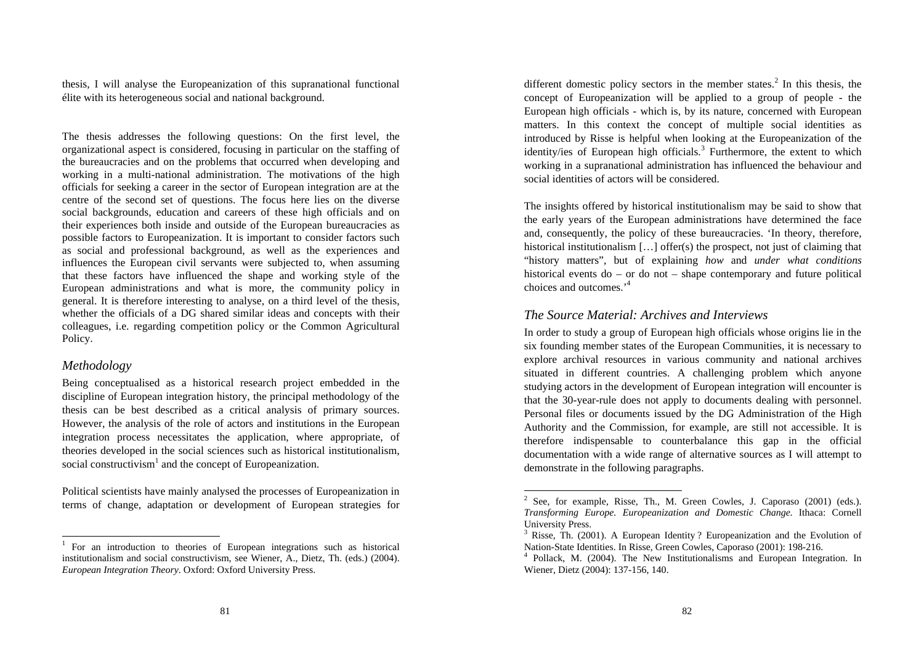thesis, I will analyse the Europeanization of this supranational functional élite with its heterogeneous social and national background.

The thesis addresses the following questions: On the first level, the organizational aspect is considered, focusing in particular on the staffing of the bureaucracies and on the problems that occurred when developing and working in a multi-national administration. The motivations of the high officials for seeking a career in the sector of European integration are at the centre of the second set of questions. The focus here lies on the diverse social backgrounds, education and careers of these high officials and on their experiences both inside and outside of the European bureaucracies as possible factors to Europeanization. It is important to consider factors such as social and professional background, as well as the experiences and influences the European civil servants were subjected to, when assuming that these factors have influenced the shape and working style of the European administrations and what is more, the community policy in general. It is therefore interesting to analyse, on a third level of the thesis, whether the officials of a DG shared similar ideas and concepts with their colleagues, i.e. regarding competition policy or the Common Agricultural Policy.

## *Methodology*

 $\overline{a}$ 

Being conceptualised as a historical research project embedded in the discipline of European integration history, the principal methodology of the thesis can be best described as a critical analysis of primary sources. However, the analysis of the role of actors and institutions in the European integration process necessitates the application, where appropriate, of theories developed in the social sciences such as historical institutionalism, social constructivism<sup>1</sup> and the concept of Europeanization.

Political scientists have mainly analysed the processes of Europeanization in terms of change, adaptation or development of European strategies for

different domestic policy sectors in the member states.<sup>2</sup> In this thesis, the concept of Europeanization will be applied to a group of people - the European high officials - which is, by its nature, concerned with European matters. In this context the concept of multiple social identities as introduced by Risse is helpful when looking at the Europeanization of the identity/ies of European high officials.<sup>3</sup> Furthermore, the extent to which working in a supranational administration has influenced the behaviour and social identities of actors will be considered.

The insights offered by historical institutionalism may be said to show that the early years of the European administrations have determined the face and, consequently, the policy of these bureaucracies. 'In theory, therefore, historical institutionalism [...] offer(s) the prospect, not just of claiming that "history matters", but of explaining *how* and *under what conditions* historical events do – or do not – shape contemporary and future political choices and outcomes.'<sup>4</sup>

# *The Source Material: Archives and Interviews*

-

In order to study a group of European high officials whose origins lie in the six founding member states of the European Communities, it is necessary to explore archival resources in various community and national archives situated in different countries. A challenging problem which anyone studying actors in the development of European integration will encounter is that the 30-year-rule does not apply to documents dealing with personnel. Personal files or documents issued by the DG Administration of the High Authority and the Commission, for example, are still not accessible. It is therefore indispensable to counterbalance this gap in the official documentation with a wide range of alternative sources as I will attempt to demonstrate in the following paragraphs.

<sup>&</sup>lt;sup>1</sup> For an introduction to theories of European integrations such as historical institutionalism and social constructivism, see Wiener, A., Dietz, Th. (eds.) (2004). *European Integration Theory*. Oxford: Oxford University Press.

<sup>2</sup> See, for example, Risse, Th., M. Green Cowles, J. Caporaso (2001) (eds.). *Transforming Europe. Europeanization and Domestic Change*. Ithaca: Cornell University Press.

<sup>&</sup>lt;sup>3</sup> Risse, Th. (2001). A European Identity ? Europeanization and the Evolution of Nation-State Identities. In Risse, Green Cowles, Caporaso (2001): 198-216.

<sup>4</sup> Pollack, M. (2004). The New Institutionalisms and European Integration. In Wiener, Dietz (2004): 137-156, 140.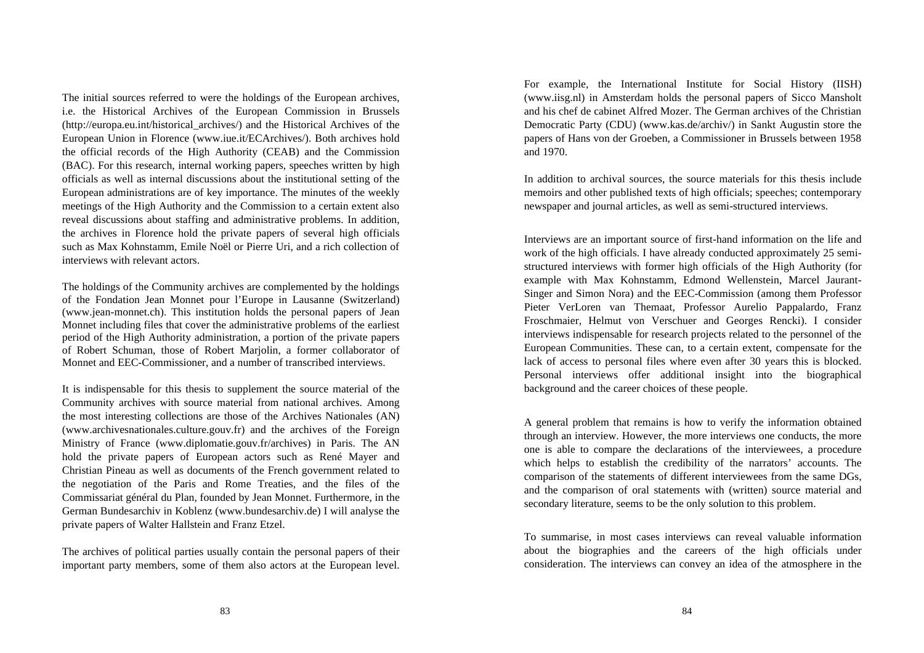The initial sources referred to were the holdings of the European archives, i.e. the Historical Archives of the European Commission in Brussels (http://europa.eu.int/historical\_archives/) and the Historical Archives of the European Union in Florence (www.iue.it/ECArchives/). Both archives hold the official records of the High Authority (CEAB) and the Commission (BAC). For this research, internal working papers, speeches written by high officials as well as internal discussions about the institutional setting of the European administrations are of key importance. The minutes of the weekly meetings of the High Authority and the Commission to a certain extent also reveal discussions about staffing and administrative problems. In addition, the archives in Florence hold the private papers of several high officials such as Max Kohnstamm, Emile Noël or Pierre Uri, and a rich collection of interviews with relevant actors.

The holdings of the Community archives are complemented by the holdings of the Fondation Jean Monnet pour l'Europe in Lausanne (Switzerland) (www.jean-monnet.ch). This institution holds the personal papers of Jean Monnet including files that cover the administrative problems of the earliest period of the High Authority administration, a portion of the private papers of Robert Schuman, those of Robert Marjolin, a former collaborator of Monnet and EEC-Commissioner, and a number of transcribed interviews.

It is indispensable for this thesis to supplement the source material of the Community archives with source material from national archives. Among the most interesting collections are those of the Archives Nationales (AN) (www.archivesnationales.culture.gouv.fr) and the archives of the Foreign Ministry of France (www.diplomatie.gouv.fr/archives) in Paris. The AN hold the private papers of European actors such as René Mayer and Christian Pineau as well as documents of the French government related to the negotiation of the Paris and Rome Treaties, and the files of the Commissariat général du Plan, founded by Jean Monnet. Furthermore, in the German Bundesarchiv in Koblenz (www.bundesarchiv.de) I will analyse the private papers of Walter Hallstein and Franz Etzel.

The archives of political parties usually contain the personal papers of their important party members, some of them also actors at the European level. For example, the International Institute for Social History (IISH) (www.iisg.nl) in Amsterdam holds the personal papers of Sicco Mansholt and his chef de cabinet Alfred Mozer. The German archives of the Christian Democratic Party (CDU) (www.kas.de/archiv/) in Sankt Augustin store the papers of Hans von der Groeben, a Commissioner in Brussels between 1958 and 1970.

In addition to archival sources, the source materials for this thesis include memoirs and other published texts of high officials; speeches; contemporary newspaper and journal articles, as well as semi-structured interviews.

Interviews are an important source of first-hand information on the life and work of the high officials. I have already conducted approximately 25 semistructured interviews with former high officials of the High Authority (for example with Max Kohnstamm, Edmond Wellenstein, Marcel Jaurant-Singer and Simon Nora) and the EEC-Commission (among them Professor Pieter VerLoren van Themaat, Professor Aurelio Pappalardo, Franz Froschmaier, Helmut von Verschuer and Georges Rencki). I consider interviews indispensable for research projects related to the personnel of the European Communities. These can, to a certain extent, compensate for the lack of access to personal files where even after 30 years this is blocked. Personal interviews offer additional insight into the biographical background and the career choices of these people.

A general problem that remains is how to verify the information obtained through an interview. However, the more interviews one conducts, the more one is able to compare the declarations of the interviewees, a procedure which helps to establish the credibility of the narrators' accounts. The comparison of the statements of different interviewees from the same DGs, and the comparison of oral statements with (written) source material and secondary literature, seems to be the only solution to this problem.

To summarise, in most cases interviews can reveal valuable information about the biographies and the careers of the high officials under consideration. The interviews can convey an idea of the atmosphere in the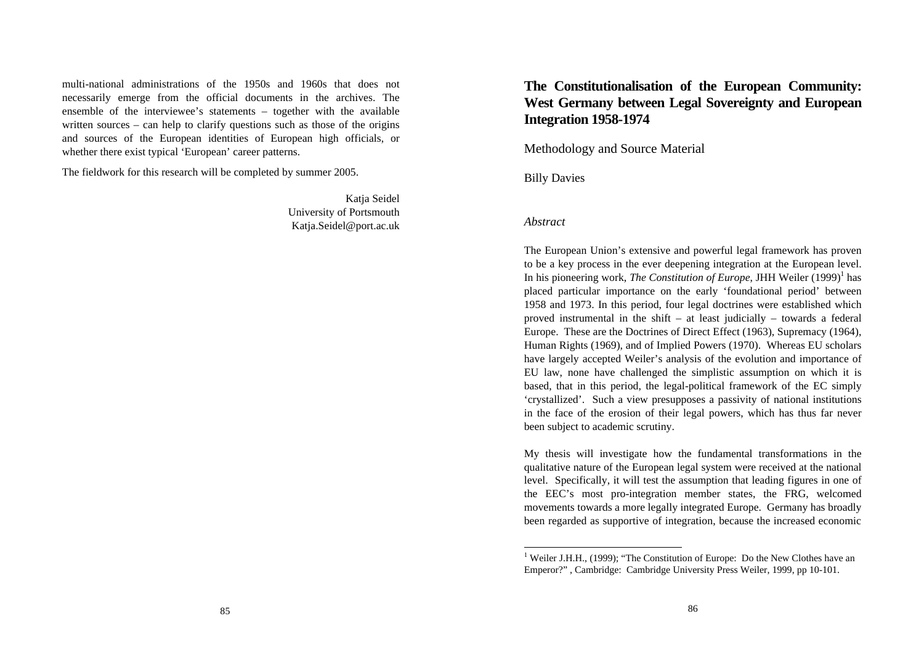multi-national administrations of the 1950s and 1960s that does not necessarily emerge from the official documents in the archives. The ensemble of the interviewee's statements – together with the available written sources – can help to clarify questions such as those of the origins and sources of the European identities of European high officials, or whether there exist typical 'European' career patterns.

The fieldwork for this research will be completed by summer 2005.

Katja Seidel University of Portsmouth Katja.Seidel@port.ac.uk

# **The Constitutionalisation of the European Community: West Germany between Legal Sovereignty and European Integration 1958-1974**

Methodology and Source Material

Billy Davies

#### *Abstract*

1

The European Union's extensive and powerful legal framework has proven to be a key process in the ever deepening integration at the European level. In his pioneering work, *The Constitution of Europe*, JHH Weiler (1999)<sup>1</sup> has placed particular importance on the early 'foundational period' between 1958 and 1973. In this period, four legal doctrines were established which proved instrumental in the shift – at least judicially – towards a federal Europe. These are the Doctrines of Direct Effect (1963), Supremacy (1964), Human Rights (1969), and of Implied Powers (1970). Whereas EU scholars have largely accepted Weiler's analysis of the evolution and importance of EU law, none have challenged the simplistic assumption on which it is based, that in this period, the legal-political framework of the EC simply 'crystallized'. Such a view presupposes a passivity of national institutions in the face of the erosion of their legal powers, which has thus far never been subject to academic scrutiny.

My thesis will investigate how the fundamental transformations in the qualitative nature of the European legal system were received at the national level. Specifically, it will test the assumption that leading figures in one of the EEC's most pro-integration member states, the FRG, welcomed movements towards a more legally integrated Europe. Germany has broadly been regarded as supportive of integration, because the increased economic

<sup>&</sup>lt;sup>1</sup> Weiler J.H.H., (1999); "The Constitution of Europe: Do the New Clothes have an Emperor?" , Cambridge: Cambridge University Press Weiler, 1999, pp 10-101.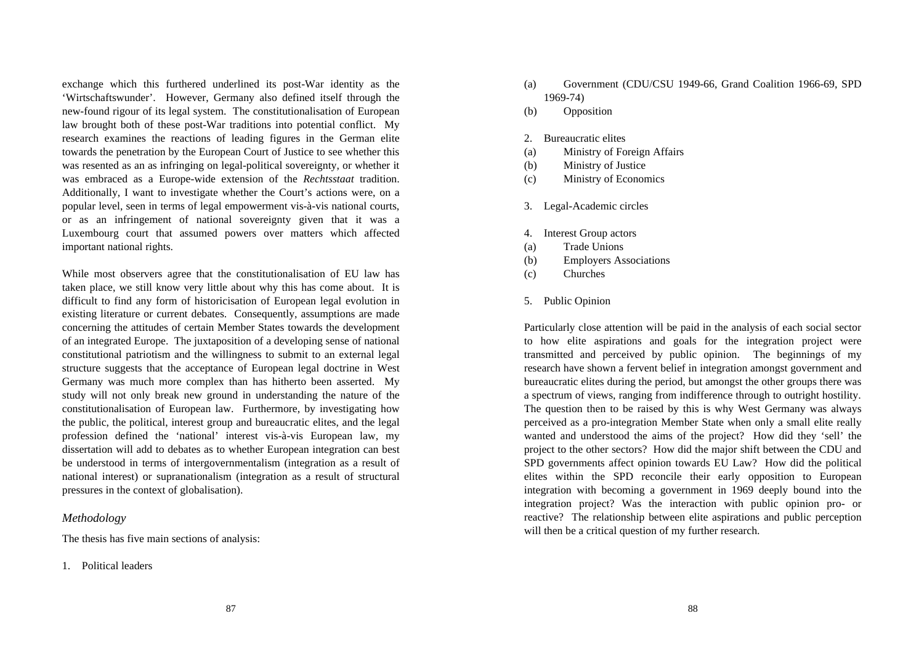exchange which this furthered underlined its post-War identity as the 'Wirtschaftswunder'. However, Germany also defined itself through the new-found rigour of its legal system. The constitutionalisation of European law brought both of these post-War traditions into potential conflict. My research examines the reactions of leading figures in the German elite towards the penetration by the European Court of Justice to see whether this was resented as an as infringing on legal-political sovereignty, or whether it was embraced as a Europe-wide extension of the *Rechtsstaat* tradition. Additionally, I want to investigate whether the Court's actions were, on a popular level, seen in terms of legal empowerment vis-à-vis national courts, or as an infringement of national sovereignty given that it was a Luxembourg court that assumed powers over matters which affected important national rights.

While most observers agree that the constitutionalisation of EU law has taken place, we still know very little about why this has come about. It is difficult to find any form of historicisation of European legal evolution in existing literature or current debates. Consequently, assumptions are made concerning the attitudes of certain Member States towards the development of an integrated Europe. The juxtaposition of a developing sense of national constitutional patriotism and the willingness to submit to an external legal structure suggests that the acceptance of European legal doctrine in West Germany was much more complex than has hitherto been asserted. My study will not only break new ground in understanding the nature of the constitutionalisation of European law. Furthermore, by investigating how the public, the political, interest group and bureaucratic elites, and the legal profession defined the 'national' interest vis-à-vis European law, my dissertation will add to debates as to whether European integration can best be understood in terms of intergovernmentalism (integration as a result of national interest) or supranationalism (integration as a result of structural pressures in the context of globalisation).

#### *Methodology*

The thesis has five main sections of analysis:

1. Political leaders

- (a) Government (CDU/CSU 1949-66, Grand Coalition 1966-69, SPD 1969-74)
- (b) Opposition

#### 2. Bureaucratic elites

- (a) Ministry of Foreign Affairs
- (b) Ministry of Justice
- (c) Ministry of Economics
- 3. Legal-Academic circles
- 4. Interest Group actors
- (a) Trade Unions
- (b) Employers Associations
- (c) Churches
- 5. Public Opinion

Particularly close attention will be paid in the analysis of each social sector to how elite aspirations and goals for the integration project were transmitted and perceived by public opinion. The beginnings of my research have shown a fervent belief in integration amongst government and bureaucratic elites during the period, but amongst the other groups there was a spectrum of views, ranging from indifference through to outright hostility. The question then to be raised by this is why West Germany was always perceived as a pro-integration Member State when only a small elite really wanted and understood the aims of the project? How did they 'sell' the project to the other sectors? How did the major shift between the CDU and SPD governments affect opinion towards EU Law? How did the political elites within the SPD reconcile their early opposition to European integration with becoming a government in 1969 deeply bound into the integration project? Was the interaction with public opinion pro- or reactive? The relationship between elite aspirations and public perception will then be a critical question of my further research.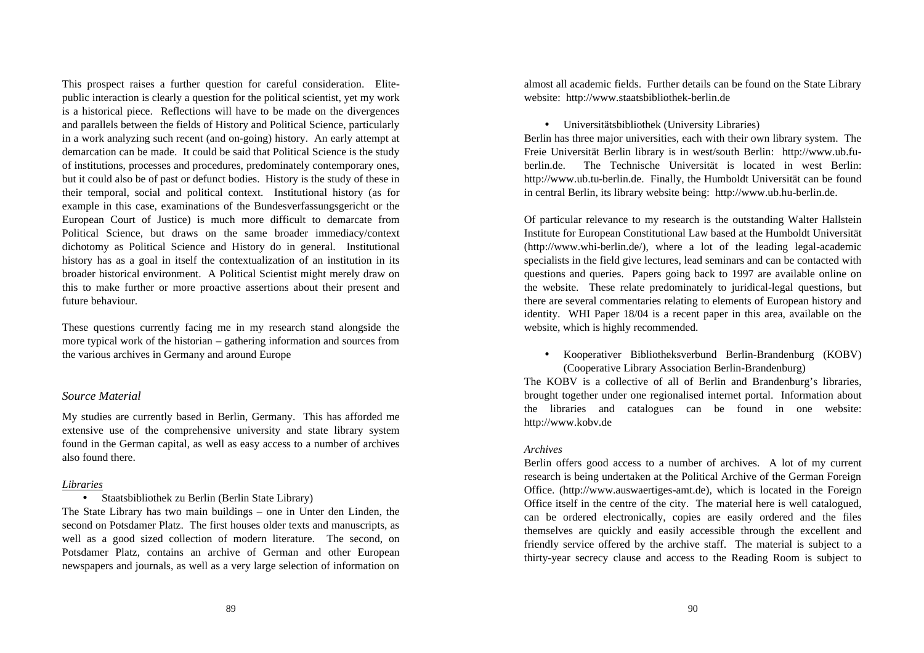This prospect raises a further question for careful consideration. Elitepublic interaction is clearly a question for the political scientist, yet my work is a historical piece. Reflections will have to be made on the divergences and parallels between the fields of History and Political Science, particularly in a work analyzing such recent (and on-going) history. An early attempt at demarcation can be made. It could be said that Political Science is the study of institutions, processes and procedures, predominately contemporary ones, but it could also be of past or defunct bodies. History is the study of these in their temporal, social and political context. Institutional history (as for example in this case, examinations of the Bundesverfassungsgericht or the European Court of Justice) is much more difficult to demarcate from Political Science, but draws on the same broader immediacy/context dichotomy as Political Science and History do in general. Institutional history has as a goal in itself the contextualization of an institution in its broader historical environment. A Political Scientist might merely draw on this to make further or more proactive assertions about their present and future behaviour.

These questions currently facing me in my research stand alongside the more typical work of the historian – gathering information and sources from the various archives in Germany and around Europe

#### *Source Material*

My studies are currently based in Berlin, Germany. This has afforded me extensive use of the comprehensive university and state library system found in the German capital, as well as easy access to a number of archives also found there.

#### *Libraries*

• Staatsbibliothek zu Berlin (Berlin State Library)

The State Library has two main buildings – one in Unter den Linden, the second on Potsdamer Platz. The first houses older texts and manuscripts, as well as a good sized collection of modern literature. The second, on Potsdamer Platz, contains an archive of German and other European newspapers and journals, as well as a very large selection of information on almost all academic fields. Further details can be found on the State Library website: http://www.staatsbibliothek-berlin.de

• Universitätsbibliothek (University Libraries)

Berlin has three major universities, each with their own library system. The Freie Universität Berlin library is in west/south Berlin: http://www.ub.fuberlin.de. The Technische Universität is located in west Berlin: http://www.ub.tu-berlin.de. Finally, the Humboldt Universität can be found in central Berlin, its library website being: http://www.ub.hu-berlin.de.

Of particular relevance to my research is the outstanding Walter Hallstein Institute for European Constitutional Law based at the Humboldt Universität (http://www.whi-berlin.de/), where a lot of the leading legal-academic specialists in the field give lectures, lead seminars and can be contacted with questions and queries. Papers going back to 1997 are available online on the website. These relate predominately to juridical-legal questions, but there are several commentaries relating to elements of European history and identity. WHI Paper 18/04 is a recent paper in this area, available on the website, which is highly recommended.

• Kooperativer Bibliotheksverbund Berlin-Brandenburg (KOBV) (Cooperative Library Association Berlin-Brandenburg)

The KOBV is a collective of all of Berlin and Brandenburg's libraries, brought together under one regionalised internet portal. Information about the libraries and catalogues can be found in one website: http://www.kobv.de

#### *Archives*

Berlin offers good access to a number of archives. A lot of my current research is being undertaken at the Political Archive of the German Foreign Office. (http://www.auswaertiges-amt.de), which is located in the Foreign Office itself in the centre of the city. The material here is well catalogued, can be ordered electronically, copies are easily ordered and the files themselves are quickly and easily accessible through the excellent and friendly service offered by the archive staff. The material is subject to a thirty-year secrecy clause and access to the Reading Room is subject to